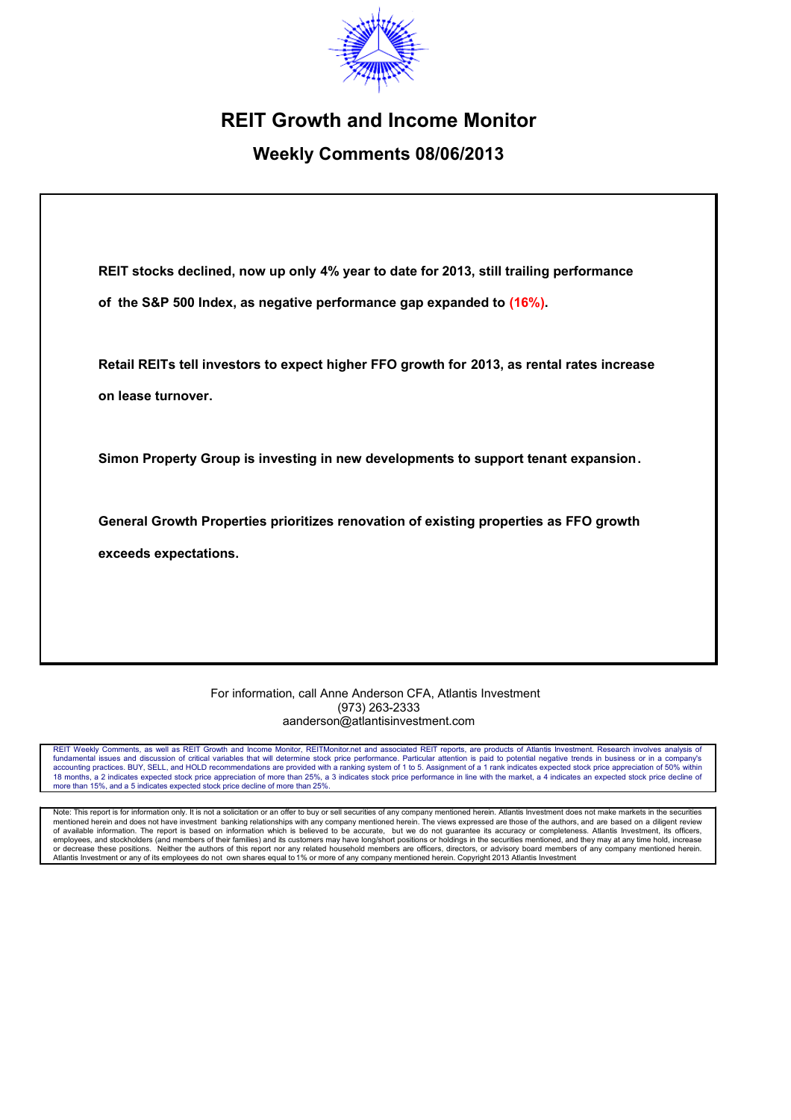

# **REIT Growth and Income Monitor**

# **Weekly Comments 08/06/2013**

**REIT stocks declined, now up only 4% year to date for 2013, still trailing performance of the S&P 500 Index, as negative performance gap expanded to (16%).**

**Retail REITs tell investors to expect higher FFO growth for 2013, as rental rates increase on lease turnover.**

**Simon Property Group is investing in new developments to support tenant expansion.**

**General Growth Properties prioritizes renovation of existing properties as FFO growth exceeds expectations.**

#### For information, call Anne Anderson CFA, Atlantis Investment (973) 263-2333 aanderson@atlantisinvestment.com

REIT Weekly Comments, as well as REIT Growth and Income Monitor, REITMonitor.net and associated REIT reports, are products of Atlantis Investment. Research involves analysis of fundamental issues and discussion of critical variables that will determine stock price performance. Particular attention is paid to potential negative trends in business or in a company's accounting practices. BUY, SELL, and HOLD recommendations are provided with a ranking system of 1 to 5. Assignment of a 1 rank indicates expected stock price appreciation of 50% within 18 months, a 2 indicates expected stock price appreciation of more than 25%, a 3 indicates stock price performance in line with the market, a 4 indicates an expected stock price decline of more than 15%, and a 5 indicates expected stock price decline of more than 25%.

Note: This report is for information only. It is not a solicitation or an offer to buy or sell securities of any company mentioned herein. Atlantis Investment does not make markets in the securities mentioned herein and does not have investment banking relationships with any company mentioned herein. The views expressed are those of the authors, and are based on a diligent review of available information. The report is based on information which is believed to be accurate, but we do not guarantee its accuracy or completeness. Atlantis Investment, its officers,<br>employees, and stockholders (and membe or decrease these positions. Neither the authors of this report nor any related household members are officers, directors, or advisory board members of any company mentioned herein.<br>Atlantis Investment or any of its employ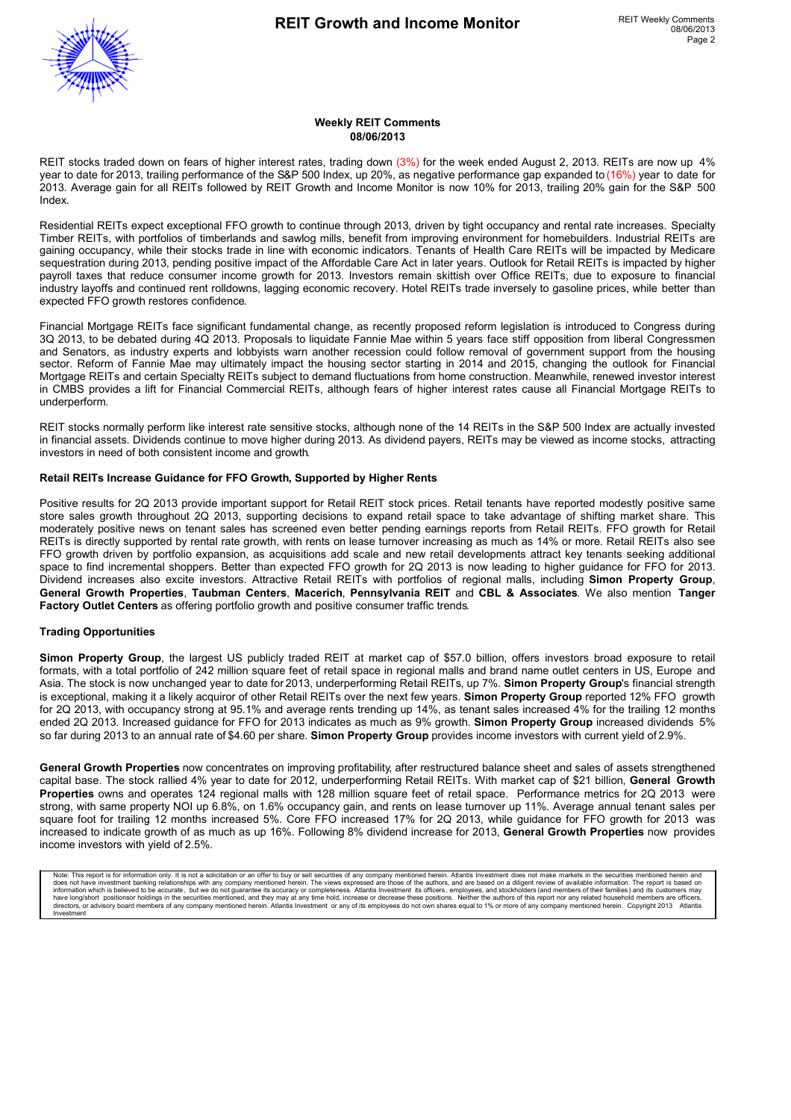

#### **Weekly REIT Comments 08/06/2013**

REIT stocks traded down on fears of higher interest rates, trading down (3%) for the week ended August 2, 2013. REITs are now up 4% year to date for 2013, trailing performance of the S&P 500 Index, up 20%, as negative performance gap expanded to (16%) year to date for 2013. Average gain for all REITs followed by REIT Growth and Income Monitor is now 10% for 2013, trailing 20% gain for the S&P 500 Index.

Residential REITs expect exceptional FFO growth to continue through 2013, driven by tight occupancy and rental rate increases. Specialty Timber REITs, with portfolios of timberlands and sawlog mills, benefit from improving environment for homebuilders. Industrial REITs are gaining occupancy, while their stocks trade in line with economic indicators. Tenants of Health Care REITs will be impacted by Medicare sequestration during 2013, pending positive impact of the Affordable Care Act in later years. Outlook for Retail REITs is impacted by higher payroll taxes that reduce consumer income growth for 2013. Investors remain skittish over Office REITs, due to exposure to financial industry layoffs and continued rent rolldowns, lagging economic recovery. Hotel REITs trade inversely to gasoline prices, while better than expected FFO growth restores confidence.

Financial Mortgage REITs face significant fundamental change, as recently proposed reform legislation is introduced to Congress during 3Q 2013, to be debated during 4Q 2013. Proposals to liquidate Fannie Mae within 5 years face stiff opposition from liberal Congressmen and Senators, as industry experts and lobbyists warn another recession could follow removal of government support from the housing sector. Reform of Fannie Mae may ultimately impact the housing sector starting in 2014 and 2015, changing the outlook for Financial Mortgage REITs and certain Specialty REITs subject to demand fluctuations from home construction. Meanwhile, renewed investor interest in CMBS provides a lift for Financial Commercial REITs, although fears of higher interest rates cause all Financial Mortgage REITs to underperform.

REIT stocks normally perform like interest rate sensitive stocks, although none of the 14 REITs in the S&P 500 Index are actually invested in financial assets. Dividends continue to move higher during 2013. As dividend payers, REITs may be viewed as income stocks, attracting investors in need of both consistent income and growth.

#### **Retail REITs Increase Guidance for FFO Growth, Supported by Higher Rents**

Positive results for 2Q 2013 provide important support for Retail REIT stock prices. Retail tenants have reported modestly positive same store sales growth throughout 2Q 2013, supporting decisions to expand retail space to take advantage of shifting market share. This moderately positive news on tenant sales has screened even better pending earnings reports from Retail REITs. FFO growth for Retail REITs is directly supported by rental rate growth, with rents on lease turnover increasing as much as 14% or more. Retail REITs also see FFO growth driven by portfolio expansion, as acquisitions add scale and new retail developments attract key tenants seeking additional space to find incremental shoppers. Better than expected FFO growth for 2Q 2013 is now leading to higher guidance for FFO for 2013. Dividend increases also excite investors. Attractive Retail REITs with portfolios of regional malls, including **Simon Property Group**, **General Growth Properties**, **Taubman Centers**, **Macerich**, **Pennsylvania REIT** and **CBL & Associates**. We also mention **Tanger Factory Outlet Centers** as offering portfolio growth and positive consumer traffic trends.

#### **Trading Opportunities**

**Simon Property Group**, the largest US publicly traded REIT at market cap of \$57.0 billion, offers investors broad exposure to retail formats, with a total portfolio of 242 million square feet of retail space in regional malls and brand name outlet centers in US, Europe and Asia. The stock is now unchanged year to date for 2013, underperforming Retail REITs, up 7%. **Simon Property Group**'s financial strength is exceptional, making it a likely acquiror of other Retail REITs over the next few years. **Simon Property Group** reported 12% FFO growth for 2Q 2013, with occupancy strong at 95.1% and average rents trending up 14%, as tenant sales increased 4% for the trailing 12 months ended 2Q 2013. Increased guidance for FFO for 2013 indicates as much as 9% growth. **Simon Property Group** increased dividends 5% so far during 2013 to an annual rate of \$4.60 per share. **Simon Property Group** provides income investors with current yield of 2.9%.

**General Growth Properties** now concentrates on improving profitability, after restructured balance sheet and sales of assets strengthened capital base. The stock rallied 4% year to date for 2012, underperforming Retail REITs. With market cap of \$21 billion, **General Growth Properties** owns and operates 124 regional malls with 128 million square feet of retail space. Performance metrics for 2Q 2013 were strong, with same property NOI up 6.8%, on 1.6% occupancy gain, and rents on lease turnover up 11%. Average annual tenant sales per square foot for trailing 12 months increased 5%. Core FFO increased 17% for 2Q 2013, while guidance for FFO growth for 2013 was increased to indicate growth of as much as up 16%. Following 8% dividend increase for 2013, **General Growth Properties** now provides income investors with yield of 2.5%.

Note: This report is for information only. It is not a solicitation or an offer to buy or sell securities of any company mentioned herein. Atlantis Investment does not make markets in the securities mentioned herein and<br>do information which is believed to be accurate, but we do not guarantee its accuracy or completeness. Atlantis Investment its officers, employees, and stockholders (and members of their families) and its customers may<br>direct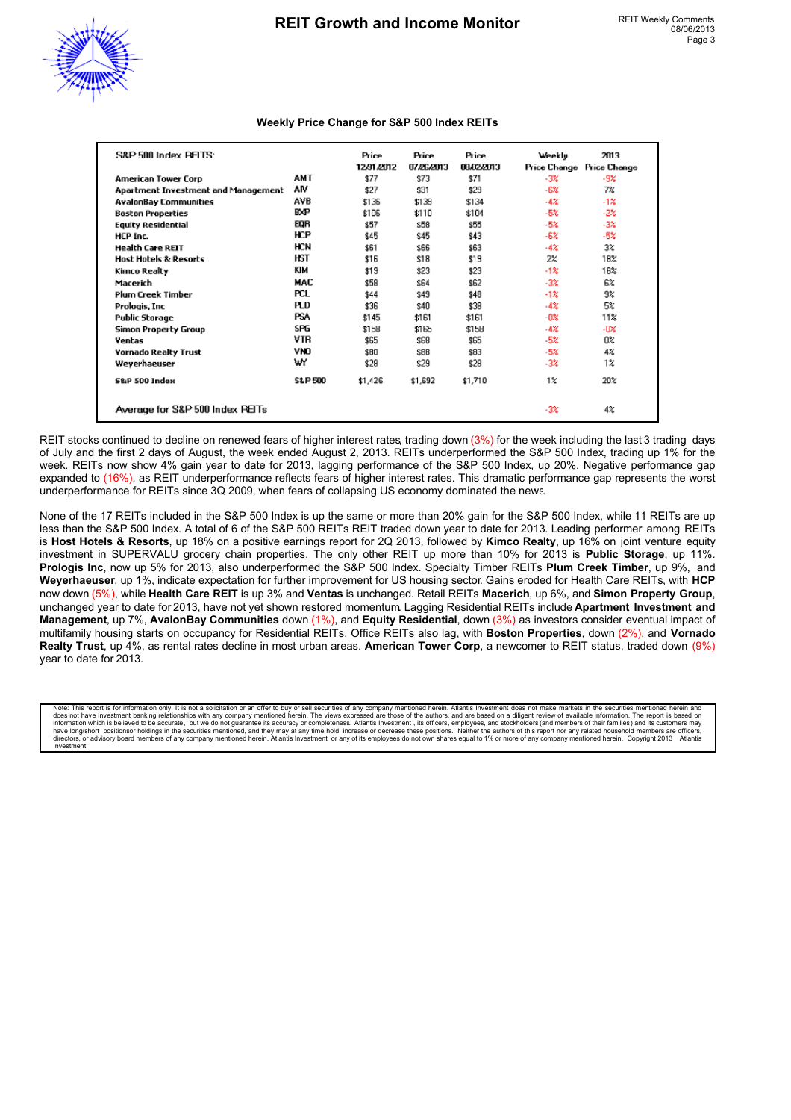

#### **Weekly Price Change for S&P 500 Index REITs**

| S&P 500 Index PELTS:                |                   | <b>Price</b><br>12/31/2012 | <b>Price</b><br>07/26/2013 | <b>Price</b><br>08/02/2013 | Weekly<br>Price Change | 2013<br>Price Change |
|-------------------------------------|-------------------|----------------------------|----------------------------|----------------------------|------------------------|----------------------|
| <b>American Tower Corp</b>          | AMT               | \$77                       | \$73                       | \$71                       | $-3%$                  | -9%                  |
| Apartment Investment and Management | ۸M                | \$27                       | \$31                       | \$29                       | $-6%$                  | 7%                   |
| <b>AvalonBay Communities</b>        | AVB               | \$136                      | \$139                      | \$134                      | $-4\%$                 | -1%                  |
| <b>Boston Properties</b>            | <b>BXP</b>        | \$106                      | \$110                      | \$104                      | $-5%$                  | $-2\%$               |
| <b>Equity Residential</b>           | EQR               | \$57                       | \$58                       | \$55                       | $-5%$                  | $-3\%$               |
| HCP Inc.                            | HCP               | \$45                       | \$45                       | \$43                       | $-6%$                  | $-5%$                |
| <b>Health Care REIT</b>             | <b>HCN</b>        | \$61                       | \$66                       | \$63                       | $-42$                  | 3%                   |
| <b>Host Hotels &amp; Resorts</b>    | HST               | \$16                       | \$18                       | \$19                       | 2%                     | 18%                  |
| Kimco Realty                        | KIM               | \$19                       | \$23                       | \$23                       | $-12$                  | 16%                  |
| Macerich                            | MAC               | \$58                       | \$64                       | \$62                       | $-3\%$                 | 6%                   |
| <b>Plum Creek Timber</b>            | PCL               | \$44                       | \$49                       | \$48                       | $-1%$                  | 9%                   |
| Prologis, Inc.                      | PLD               | \$36                       | \$40                       | \$38                       | $-4%$                  | 5%                   |
| <b>Public Storage</b>               | <b>PSA</b>        | \$145                      | \$161                      | \$161                      | $-0\%$                 | 11%                  |
| Simon Property Group                | SPG               | \$158                      | \$165                      | \$158                      | $-4%$                  | $-0\%$               |
| Ventas                              | VTR               | \$65                       | \$68                       | \$65                       | $-5%$                  | Ū%                   |
| <b>Vornado Realty Trust</b>         | VNO               | \$80                       | \$88                       | \$83                       | $-5%$                  | 4%                   |
| Weyerhaeuser                        | wY                | \$28                       | \$29                       | \$28                       | $-3\%$                 | $1\%$                |
| <b>S&amp;P 500 Index</b>            | <b>S&amp;P500</b> | \$1,426                    | \$1,692                    | \$1,710                    | $1\%$                  | 20%                  |
| Average for S&P 500 Index PEITs     |                   |                            |                            |                            | $-3%$                  | 4%                   |

REIT stocks continued to decline on renewed fears of higher interest rates, trading down (3%) for the week including the last 3 trading days of July and the first 2 days of August, the week ended August 2, 2013. REITs underperformed the S&P 500 Index, trading up 1% for the week. REITs now show 4% gain year to date for 2013, lagging performance of the S&P 500 Index, up 20%. Negative performance gap expanded to (16%), as REIT underperformance reflects fears of higher interest rates. This dramatic performance gap represents the worst underperformance for REITs since 3Q 2009, when fears of collapsing US economy dominated the news.

None of the 17 REITs included in the S&P 500 Index is up the same or more than 20% gain for the S&P 500 Index, while 11 REITs are up less than the S&P 500 Index. A total of 6 of the S&P 500 REITs REIT traded down year to date for 2013. Leading performer among REITs is **Host Hotels & Resorts**, up 18% on a positive earnings report for 2Q 2013, followed by **Kimco Realty**, up 16% on joint venture equity investment in SUPERVALU grocery chain properties. The only other REIT up more than 10% for 2013 is **Public Storage**, up 11%. **Prologis Inc**, now up 5% for 2013, also underperformed the S&P 500 Index. Specialty Timber REITs **Plum Creek Timber**, up 9%, and **Weyerhaeuser**, up 1%, indicate expectation for further improvement for US housing sector. Gains eroded for Health Care REITs, with **HCP** now down (5%), while **Health Care REIT** is up 3% and **Ventas** is unchanged. Retail REITs **Macerich**, up 6%, and **Simon Property Group**, unchanged year to date for 2013, have not yet shown restored momentum. Lagging Residential REITs include **Apartment Investment and Management**, up 7%, **AvalonBay Communities** down (1%), and **Equity Residential**, down (3%) as investors consider eventual impact of multifamily housing starts on occupancy for Residential REITs. Office REITs also lag, with **Boston Properties**, down (2%), and **Vornado Realty Trust**, up 4%, as rental rates decline in most urban areas. **American Tower Corp**, a newcomer to REIT status, traded down (9%) year to date for 2013.

Note: This report is for information only. It is not a solicitation or an offer to buy or sell securities of any company mentioned herein. Atlantis Investment does not make markets in the securities mentioned herein and do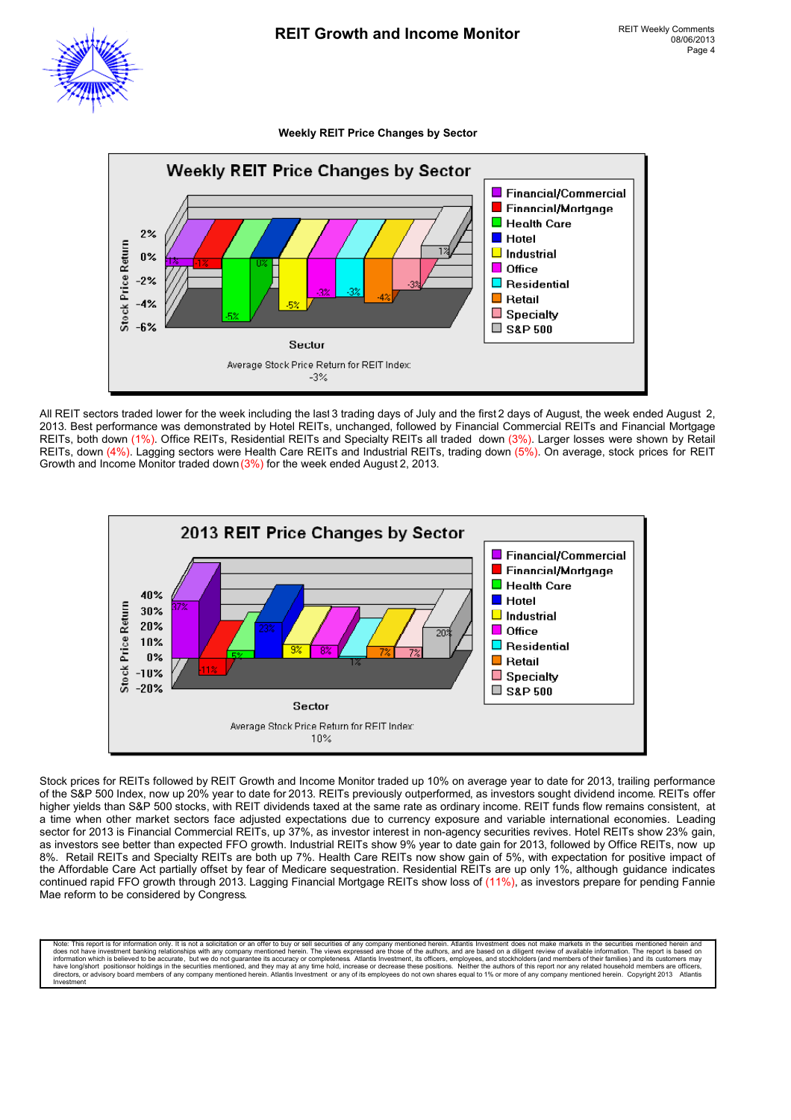#### **Weekly REIT Price Changes by Sector**



All REIT sectors traded lower for the week including the last 3 trading days of July and the first 2 days of August, the week ended August 2, 2013. Best performance was demonstrated by Hotel REITs, unchanged, followed by Financial Commercial REITs and Financial Mortgage REITs, both down (1%). Office REITs, Residential REITs and Specialty REITs all traded down (3%). Larger losses were shown by Retail REITs, down (4%). Lagging sectors were Health Care REITs and Industrial REITs, trading down (5%). On average, stock prices for REIT Growth and Income Monitor traded down (3%) for the week ended August 2, 2013.



Stock prices for REITs followed by REIT Growth and Income Monitor traded up 10% on average year to date for 2013, trailing performance of the S&P 500 Index, now up 20% year to date for 2013. REITs previously outperformed, as investors sought dividend income. REITs offer higher yields than S&P 500 stocks, with REIT dividends taxed at the same rate as ordinary income. REIT funds flow remains consistent, at a time when other market sectors face adjusted expectations due to currency exposure and variable international economies. Leading sector for 2013 is Financial Commercial REITs, up 37%, as investor interest in non-agency securities revives. Hotel REITs show 23% gain, as investors see better than expected FFO growth. Industrial REITs show 9% year to date gain for 2013, followed by Office REITs, now up 8%. Retail REITs and Specialty REITs are both up 7%. Health Care REITs now show gain of 5%, with expectation for positive impact of the Affordable Care Act partially offset by fear of Medicare sequestration. Residential REITs are up only 1%, although guidance indicates continued rapid FFO growth through 2013. Lagging Financial Mortgage REITs show loss of (11%), as investors prepare for pending Fannie Mae reform to be considered by Congress.

Note: This report is for information only. It is not a solicitation or an offer to buy or sell securities of any company mentioned herein. Atlantiis lines and a these more in the securities mentioned herein. The report is Investment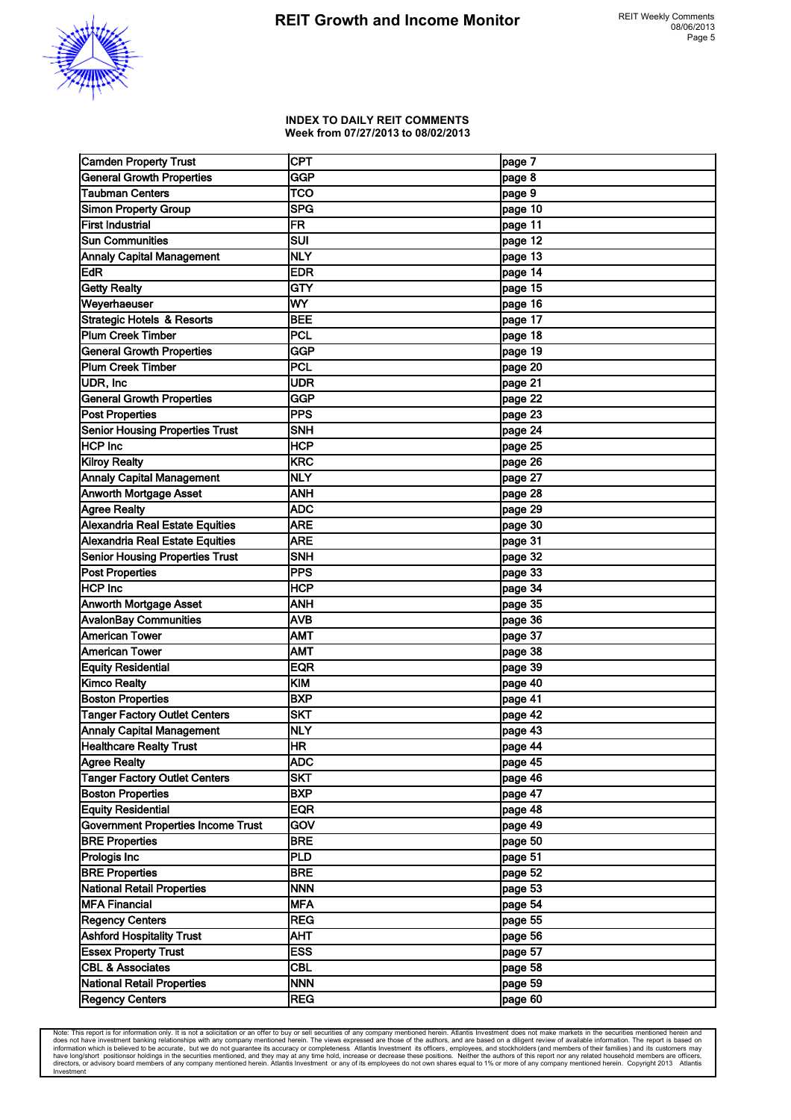

#### **INDEX TO DAILY REIT COMMENTS Week from 07/27/2013 to 08/02/2013**

| <b>Camden Property Trust</b>              | <b>CPT</b>  | page 7    |
|-------------------------------------------|-------------|-----------|
| <b>General Growth Properties</b>          | GGP         | page 8    |
| <b>Taubman Centers</b>                    | <b>TCO</b>  | page 9    |
| Simon Property Group                      | <b>SPG</b>  | page 10   |
| <b>First Industrial</b>                   | FR          | page 11   |
| <b>Sun Communities</b>                    | SUI         | page 12   |
| <b>Annaly Capital Management</b>          | <b>NLY</b>  | page $13$ |
| EdR <sup>T</sup>                          | <b>EDR</b>  | page 14   |
| <b>Getty Realty</b>                       | <b>GTY</b>  | page 15   |
| Weyerhaeuser                              | WY          | page 16   |
| <b>Strategic Hotels &amp; Resorts</b>     | <b>BEE</b>  | page 17   |
| <b>Plum Creek Timber</b>                  | PCL         | page 18   |
| <b>General Growth Properties</b>          | <b>GGP</b>  | page $19$ |
| Plum Creek Timber                         | PCL         | page 20   |
| UDR, Inc                                  | <b>UDR</b>  | page 21   |
| <b>General Growth Properties</b>          | <b>GGP</b>  | page 22   |
| <b>Post Properties</b>                    | <b>PPS</b>  | page 23   |
| <b>Senior Housing Properties Trust</b>    | <b>SNH</b>  | page 24   |
| <b>HCP Inc</b>                            | <b>HCP</b>  | page 25   |
| <b>Kilroy Realty</b>                      | KRC         | page 26   |
| <b>Annaly Capital Management</b>          | <b>NLY</b>  | page 27   |
| <b>Anworth Mortgage Asset</b>             | <b>ANH</b>  | page 28   |
| <b>Agree Realty</b>                       | <b>ADC</b>  | page 29   |
| Alexandria Real Estate Equities           | <b>ARE</b>  | page 30   |
| Alexandria Real Estate Equities           | <b>ARE</b>  | page 31   |
| <b>Senior Housing Properties Trust</b>    | <b>SNH</b>  | page 32   |
| <b>Post Properties</b>                    | <b>IPPS</b> | page 33   |
| <b>HCP</b> Inc                            | <b>HCP</b>  | page 34   |
| <b>Anworth Mortgage Asset</b>             | <b>ANH</b>  | page 35   |
| <b>AvalonBay Communities</b>              | <b>AVB</b>  | page 36   |
| <b>American Tower</b>                     | <b>AMT</b>  | page 37   |
| <b>American Tower</b>                     | <b>AMT</b>  | page 38   |
| <b>Equity Residential</b>                 | <b>EQR</b>  | page 39   |
| <b>Kimco Realty</b>                       | KIM         | page 40   |
| <b>Boston Properties</b>                  | <b>BXP</b>  | page 41   |
| <b>Tanger Factory Outlet Centers</b>      | <b>SKT</b>  | page 42   |
| <b>Annaly Capital Management</b>          | <b>INLY</b> | page 43   |
| <b>Healthcare Realty Trust</b>            | HR          | page 44   |
| Agree Realty                              | <b>ADC</b>  | page 45   |
| <b>Tanger Factory Outlet Centers</b>      | <b>SKT</b>  | page 46   |
| <b>Boston Properties</b>                  | <b>BXP</b>  | page 47   |
| <b>Equity Residential</b>                 | EQR         | page 48   |
| <b>Government Properties Income Trust</b> | GOV         | page 49   |
| <b>BRE Properties</b>                     | <b>BRE</b>  | page 50   |
| <b>Prologis Inc</b>                       | PLD         | page 51   |
| <b>BRE Properties</b>                     | <b>BRE</b>  | page 52   |
| National Retail Properties                | <b>NNN</b>  | page 53   |
| <b>MFA Financial</b>                      | <b>MFA</b>  | page 54   |
| <b>Regency Centers</b>                    | <b>REG</b>  | page 55   |
| <b>Ashford Hospitality Trust</b>          | AHT         | page 56   |
| <b>Essex Property Trust</b>               | <b>ESS</b>  | page 57   |
| <b>CBL &amp; Associates</b>               | <b>CBL</b>  | page 58   |
| National Retail Properties                | <b>NNN</b>  | page 59   |
| <b>Regency Centers</b>                    | <b>REG</b>  | page 60   |

Note: This report is for information only. It is not a solicitation or an offer to buy or sell securities of any company mentioned herein. Atlantis Investment does not make markets in the securities mentioned herein and do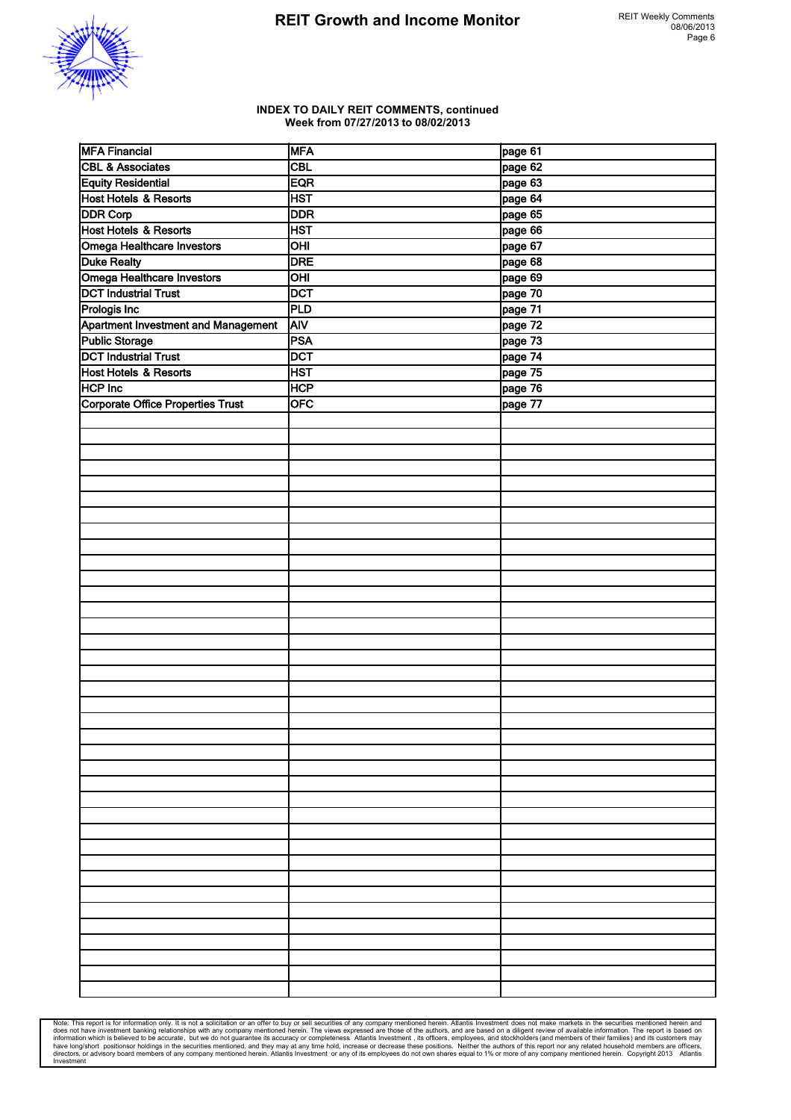

#### **INDEX TO DAILY REIT COMMENTS, continued Week from 07/27/2013 to 08/02/2013**

| <b>MFA Financial</b>                       | <b>MFA</b>                       | page 61 |
|--------------------------------------------|----------------------------------|---------|
| <b>CBL &amp; Associates</b>                | <b>CBL</b>                       | page 62 |
| <b>Equity Residential</b>                  | EQR                              | page 63 |
| Host Hotels & Resorts                      | <b>HST</b>                       | page 64 |
| <b>DDR Corp</b>                            | <b>DDR</b>                       | page 65 |
| Host Hotels & Resorts                      | <b>HST</b>                       | page 66 |
| Omega Healthcare Investors                 | $\overline{\overline{\bigcirc}}$ | page 67 |
| <b>Duke Realty</b>                         | <b>DRE</b>                       | page 68 |
| Omega Healthcare Investors                 | OHI                              | page 69 |
| <b>DCT Industrial Trust</b>                | <b>DCT</b>                       | page 70 |
| <b>Prologis Inc</b>                        | PLD                              | page 71 |
| <b>Apartment Investment and Management</b> | <b>AIV</b>                       | page 72 |
| Public Storage                             | PSA                              | page 73 |
| <b>DCT Industrial Trust</b>                | <b>DCT</b>                       | page 74 |
| Host Hotels & Resorts                      | <b>HST</b>                       | page 75 |
| <b>HCP Inc</b>                             | <b>HCP</b>                       | page 76 |
| Corporate Office Properties Trust          | <b>OFC</b>                       | page 77 |
|                                            |                                  |         |
|                                            |                                  |         |
|                                            |                                  |         |
|                                            |                                  |         |
|                                            |                                  |         |
|                                            |                                  |         |
|                                            |                                  |         |
|                                            |                                  |         |
|                                            |                                  |         |
|                                            |                                  |         |
|                                            |                                  |         |
|                                            |                                  |         |
|                                            |                                  |         |
|                                            |                                  |         |
|                                            |                                  |         |
|                                            |                                  |         |
|                                            |                                  |         |
|                                            |                                  |         |
|                                            |                                  |         |
|                                            |                                  |         |
|                                            |                                  |         |
|                                            |                                  |         |
|                                            |                                  |         |
|                                            |                                  |         |
|                                            |                                  |         |
|                                            |                                  |         |
|                                            |                                  |         |
|                                            |                                  |         |
|                                            |                                  |         |
|                                            |                                  |         |
|                                            |                                  |         |
|                                            |                                  |         |
|                                            |                                  |         |
|                                            |                                  |         |
|                                            |                                  |         |
|                                            |                                  |         |
|                                            |                                  |         |
|                                            |                                  |         |

Note: This report is for information only. It is not a solicitation or an offer to buy or sell securities of any company mentioned herein. Atlantiis lines and all these investment banking relationships with any company men Investment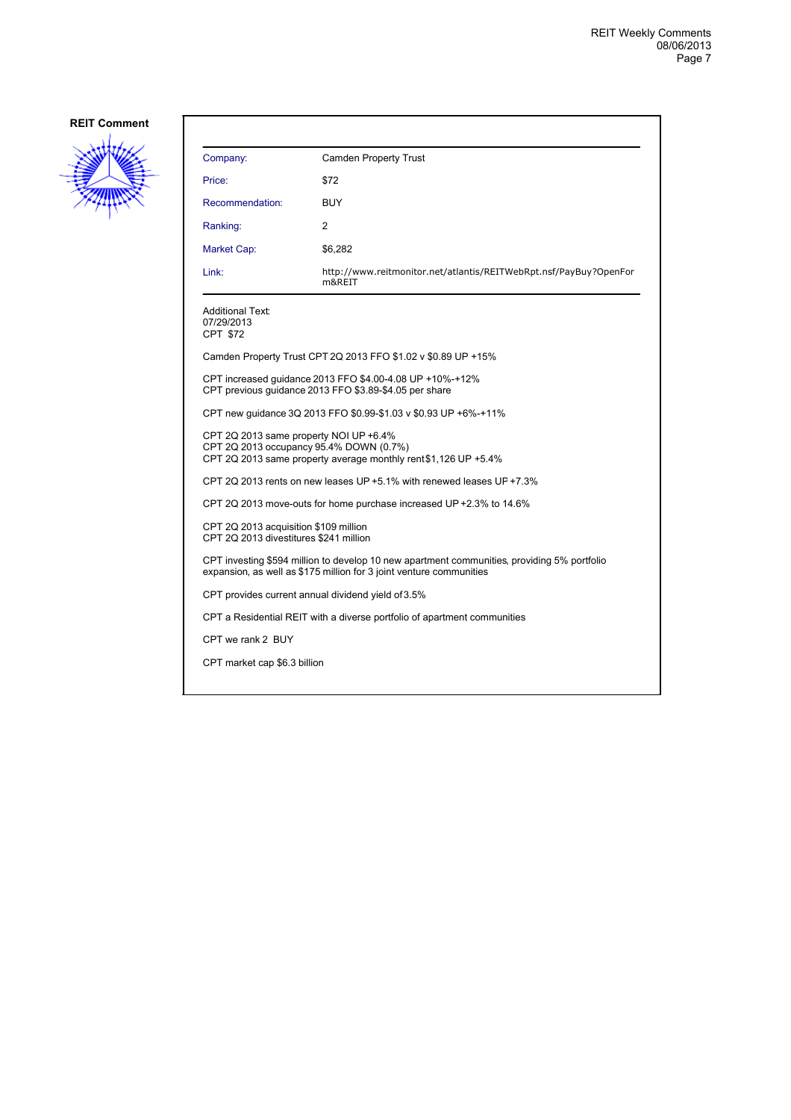

| Company:                                                                                                                                                           | <b>Camden Property Trust</b>                                                                                       |  |  |
|--------------------------------------------------------------------------------------------------------------------------------------------------------------------|--------------------------------------------------------------------------------------------------------------------|--|--|
| Price:                                                                                                                                                             | \$72                                                                                                               |  |  |
| Recommendation:                                                                                                                                                    | <b>BUY</b>                                                                                                         |  |  |
| Ranking:                                                                                                                                                           | 2                                                                                                                  |  |  |
| Market Cap:                                                                                                                                                        | \$6,282                                                                                                            |  |  |
| Link:                                                                                                                                                              | http://www.reitmonitor.net/atlantis/REITWebRpt.nsf/PayBuy?OpenFor<br>m&REIT                                        |  |  |
| <b>Additional Text:</b><br>07/29/2013<br>CPT \$72                                                                                                                  |                                                                                                                    |  |  |
|                                                                                                                                                                    | Camden Property Trust CPT 2Q 2013 FFO \$1.02 v \$0.89 UP +15%                                                      |  |  |
|                                                                                                                                                                    | CPT increased guidance 2013 FFO \$4.00-4.08 UP +10%-+12%<br>CPT previous quidance 2013 FFO \$3.89-\$4.05 per share |  |  |
|                                                                                                                                                                    | CPT new quidance 3Q 2013 FFO \$0.99-\$1.03 v \$0.93 UP +6%-+11%                                                    |  |  |
| CPT 2Q 2013 same property NOI UP +6.4%<br>CPT 2Q 2013 occupancy 95.4% DOWN (0.7%)<br>CPT 2Q 2013 same property average monthly rent \$1,126 UP +5.4%               |                                                                                                                    |  |  |
| CPT 2Q 2013 rents on new leases UP +5.1% with renewed leases UP +7.3%                                                                                              |                                                                                                                    |  |  |
|                                                                                                                                                                    | CPT 2Q 2013 move-outs for home purchase increased UP +2.3% to 14.6%                                                |  |  |
| CPT 2Q 2013 acquisition \$109 million<br>CPT 2Q 2013 divestitures \$241 million                                                                                    |                                                                                                                    |  |  |
| CPT investing \$594 million to develop 10 new apartment communities, providing 5% portfolio<br>expansion, as well as \$175 million for 3 joint venture communities |                                                                                                                    |  |  |
| CPT provides current annual dividend yield of 3.5%                                                                                                                 |                                                                                                                    |  |  |
| CPT a Residential REIT with a diverse portfolio of apartment communities                                                                                           |                                                                                                                    |  |  |
| CPT we rank 2 BUY                                                                                                                                                  |                                                                                                                    |  |  |
| CPT market cap \$6.3 billion                                                                                                                                       |                                                                                                                    |  |  |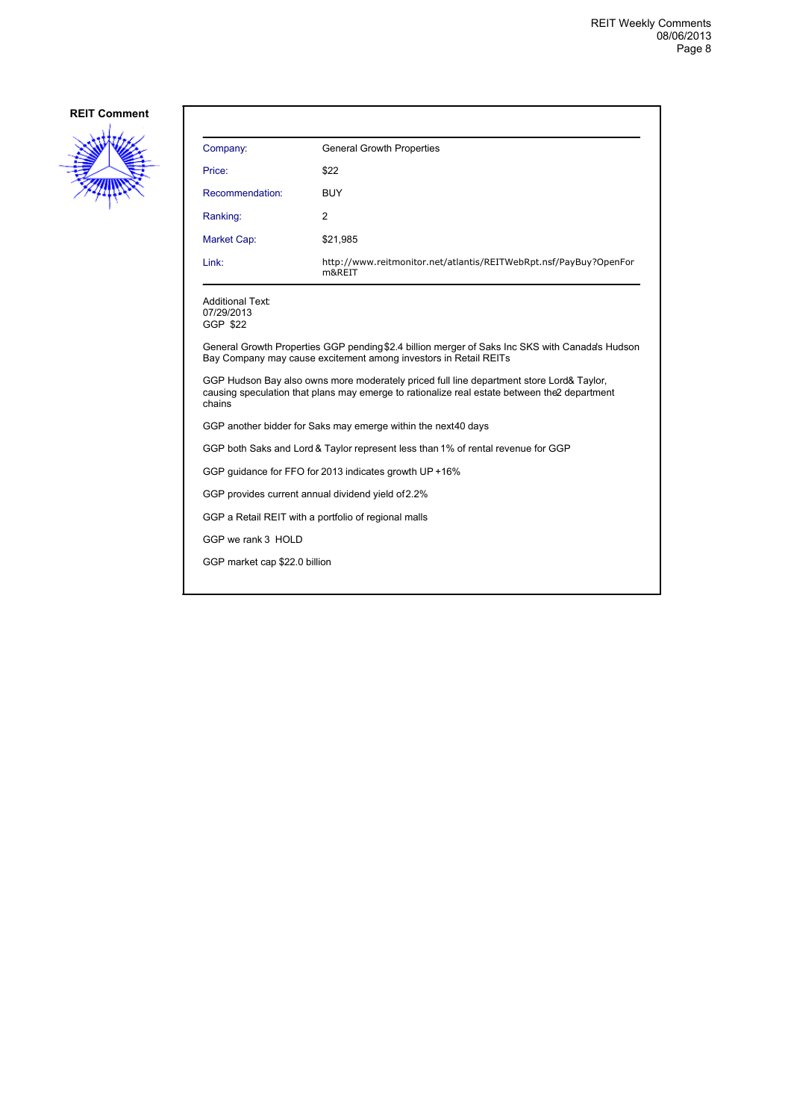

| Company:                                                                                                                                                                                            | <b>General Growth Properties</b>                                            |  |
|-----------------------------------------------------------------------------------------------------------------------------------------------------------------------------------------------------|-----------------------------------------------------------------------------|--|
| Price:                                                                                                                                                                                              | \$22                                                                        |  |
| Recommendation:                                                                                                                                                                                     | <b>BUY</b>                                                                  |  |
| Ranking:                                                                                                                                                                                            | 2                                                                           |  |
| Market Cap:                                                                                                                                                                                         | \$21,985                                                                    |  |
| Link:                                                                                                                                                                                               | http://www.reitmonitor.net/atlantis/REITWebRpt.nsf/PayBuy?OpenFor<br>m&REIT |  |
| <b>Additional Text:</b><br>07/29/2013<br>GGP \$22                                                                                                                                                   |                                                                             |  |
| General Growth Properties GGP pending \$2.4 billion merger of Saks Inc SKS with Canada's Hudson<br>Bay Company may cause excitement among investors in Retail REITs                                 |                                                                             |  |
| GGP Hudson Bay also owns more moderately priced full line department store Lord& Taylor,<br>causing speculation that plans may emerge to rationalize real estate between the 2 department<br>chains |                                                                             |  |
| GGP another bidder for Saks may emerge within the next40 days                                                                                                                                       |                                                                             |  |
| GGP both Saks and Lord & Taylor represent less than 1% of rental revenue for GGP                                                                                                                    |                                                                             |  |
| GGP quidance for FFO for 2013 indicates growth UP +16%                                                                                                                                              |                                                                             |  |
| GGP provides current annual dividend yield of 2.2%                                                                                                                                                  |                                                                             |  |
| GGP a Retail REIT with a portfolio of regional malls                                                                                                                                                |                                                                             |  |
| GGP we rank 3 HOLD                                                                                                                                                                                  |                                                                             |  |
| GGP market cap \$22.0 billion                                                                                                                                                                       |                                                                             |  |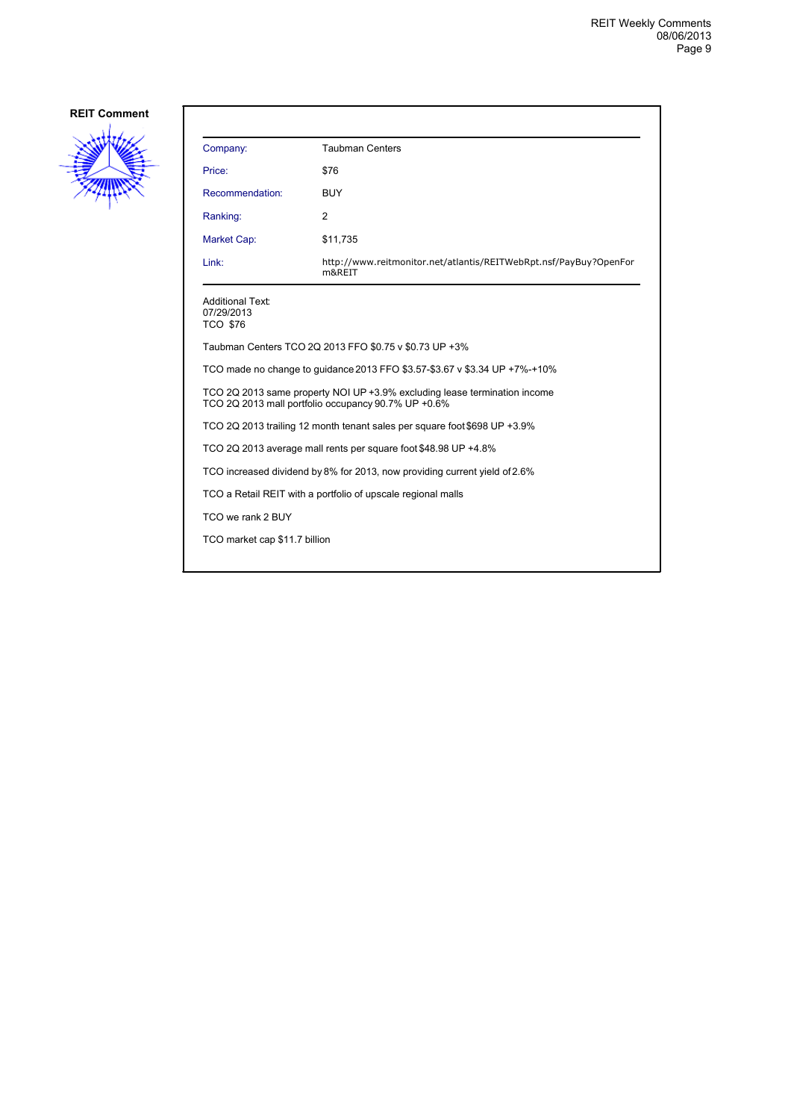

| Company:                                                                                                                         | <b>Taubman Centers</b>                                                      |  |
|----------------------------------------------------------------------------------------------------------------------------------|-----------------------------------------------------------------------------|--|
| Price:                                                                                                                           | \$76                                                                        |  |
| Recommendation:                                                                                                                  | <b>BUY</b>                                                                  |  |
| Ranking:                                                                                                                         | 2                                                                           |  |
| Market Cap:                                                                                                                      | \$11,735                                                                    |  |
| Link:                                                                                                                            | http://www.reitmonitor.net/atlantis/REITWebRpt.nsf/PayBuy?OpenFor<br>m&REIT |  |
| <b>Additional Text:</b><br>07/29/2013<br><b>TCO \$76</b>                                                                         |                                                                             |  |
| Taubman Centers TCO 2Q 2013 FFO \$0.75 v \$0.73 UP +3%                                                                           |                                                                             |  |
| TCO made no change to quidance 2013 FFO \$3.57-\$3.67 v \$3.34 UP +7%-+10%                                                       |                                                                             |  |
| TCO 2Q 2013 same property NOI UP +3.9% excluding lease termination income<br>TCO 2Q 2013 mall portfolio occupancy 90.7% UP +0.6% |                                                                             |  |
| TCO 2Q 2013 trailing 12 month tenant sales per square foot \$698 UP +3.9%                                                        |                                                                             |  |
| TCO 2Q 2013 average mall rents per square foot \$48.98 UP +4.8%                                                                  |                                                                             |  |
| TCO increased dividend by 8% for 2013, now providing current yield of 2.6%                                                       |                                                                             |  |
| TCO a Retail REIT with a portfolio of upscale regional malls                                                                     |                                                                             |  |
| TCO we rank 2 BUY                                                                                                                |                                                                             |  |
| TCO market cap \$11.7 billion                                                                                                    |                                                                             |  |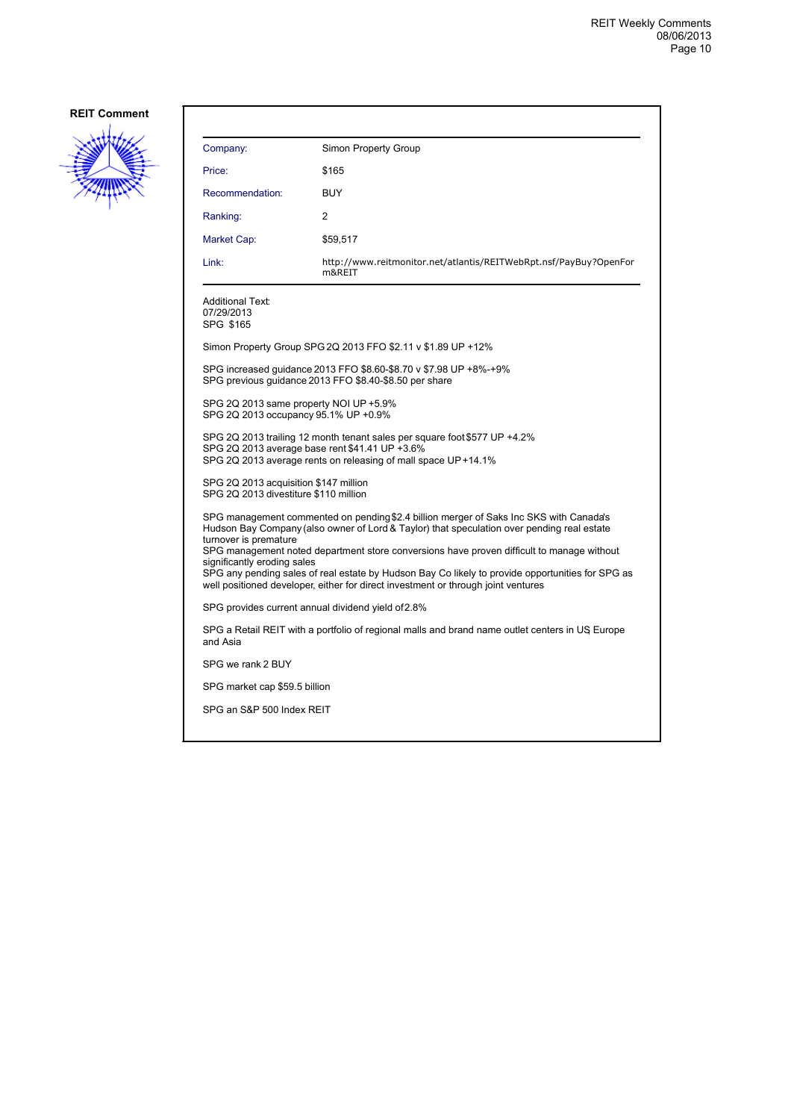

| Company:                                                                                                                                                                                                                                                                                                                                                                                                                                                                                                                           | Simon Property Group                                                                                                        |  |
|------------------------------------------------------------------------------------------------------------------------------------------------------------------------------------------------------------------------------------------------------------------------------------------------------------------------------------------------------------------------------------------------------------------------------------------------------------------------------------------------------------------------------------|-----------------------------------------------------------------------------------------------------------------------------|--|
| Price:                                                                                                                                                                                                                                                                                                                                                                                                                                                                                                                             | \$165                                                                                                                       |  |
| Recommendation:                                                                                                                                                                                                                                                                                                                                                                                                                                                                                                                    | BUY                                                                                                                         |  |
| Ranking:                                                                                                                                                                                                                                                                                                                                                                                                                                                                                                                           | 2                                                                                                                           |  |
| Market Cap:                                                                                                                                                                                                                                                                                                                                                                                                                                                                                                                        | \$59,517                                                                                                                    |  |
| Link:                                                                                                                                                                                                                                                                                                                                                                                                                                                                                                                              | http://www.reitmonitor.net/atlantis/REITWebRpt.nsf/PayBuy?OpenFor<br>m&REIT                                                 |  |
| <b>Additional Text:</b><br>07/29/2013<br>SPG \$165                                                                                                                                                                                                                                                                                                                                                                                                                                                                                 |                                                                                                                             |  |
|                                                                                                                                                                                                                                                                                                                                                                                                                                                                                                                                    | Simon Property Group SPG 2Q 2013 FFO \$2.11 v \$1.89 UP +12%                                                                |  |
|                                                                                                                                                                                                                                                                                                                                                                                                                                                                                                                                    | SPG increased guidance 2013 FFO \$8.60-\$8.70 v \$7.98 UP +8%-+9%<br>SPG previous quidance 2013 FFO \$8.40-\$8.50 per share |  |
| SPG 2Q 2013 same property NOI UP +5.9%<br>SPG 2Q 2013 occupancy 95.1% UP +0.9%                                                                                                                                                                                                                                                                                                                                                                                                                                                     |                                                                                                                             |  |
| SPG 2Q 2013 trailing 12 month tenant sales per square foot \$577 UP +4.2%<br>SPG 2Q 2013 average base rent \$41.41 UP +3.6%<br>SPG 2Q 2013 average rents on releasing of mall space UP +14.1%                                                                                                                                                                                                                                                                                                                                      |                                                                                                                             |  |
| SPG 2Q 2013 acquisition \$147 million<br>SPG 2Q 2013 divestiture \$110 million                                                                                                                                                                                                                                                                                                                                                                                                                                                     |                                                                                                                             |  |
| SPG management commented on pending \$2.4 billion merger of Saks Inc SKS with Canada's<br>Hudson Bay Company (also owner of Lord & Taylor) that speculation over pending real estate<br>turnover is premature<br>SPG management noted department store conversions have proven difficult to manage without<br>significantly eroding sales<br>SPG any pending sales of real estate by Hudson Bay Co likely to provide opportunities for SPG as<br>well positioned developer, either for direct investment or through joint ventures |                                                                                                                             |  |
| SPG provides current annual dividend yield of 2.8%                                                                                                                                                                                                                                                                                                                                                                                                                                                                                 |                                                                                                                             |  |
| SPG a Retail REIT with a portfolio of regional malls and brand name outlet centers in US Europe<br>and Asia                                                                                                                                                                                                                                                                                                                                                                                                                        |                                                                                                                             |  |
| SPG we rank 2 BUY                                                                                                                                                                                                                                                                                                                                                                                                                                                                                                                  |                                                                                                                             |  |
| SPG market cap \$59.5 billion                                                                                                                                                                                                                                                                                                                                                                                                                                                                                                      |                                                                                                                             |  |
| SPG an S&P 500 Index REIT                                                                                                                                                                                                                                                                                                                                                                                                                                                                                                          |                                                                                                                             |  |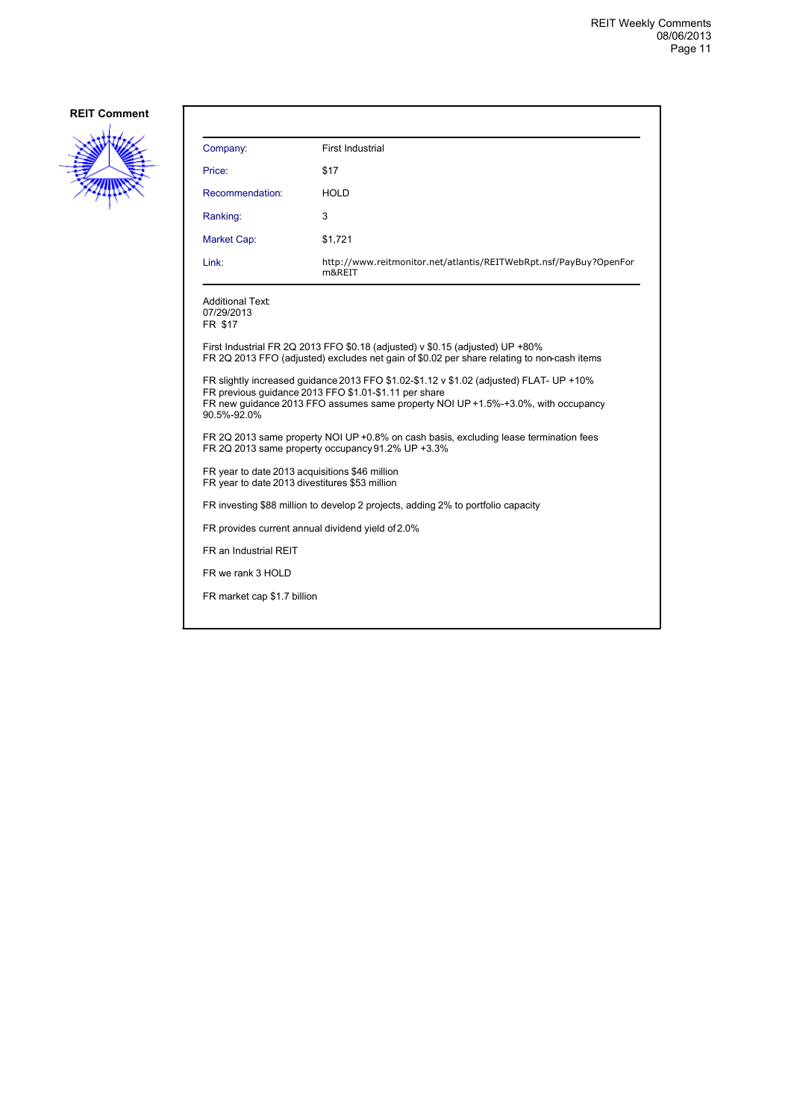

| Company:                                                                                                                                                                                                                                             | First Industrial                                                                                                                                                            |  |
|------------------------------------------------------------------------------------------------------------------------------------------------------------------------------------------------------------------------------------------------------|-----------------------------------------------------------------------------------------------------------------------------------------------------------------------------|--|
| Price:                                                                                                                                                                                                                                               | \$17                                                                                                                                                                        |  |
| Recommendation:                                                                                                                                                                                                                                      | <b>HOLD</b>                                                                                                                                                                 |  |
| Ranking:                                                                                                                                                                                                                                             | 3                                                                                                                                                                           |  |
| <b>Market Cap:</b>                                                                                                                                                                                                                                   | \$1,721                                                                                                                                                                     |  |
| Link:                                                                                                                                                                                                                                                | http://www.reitmonitor.net/atlantis/REITWebRpt.nsf/PayBuy?OpenFor<br>m&REIT                                                                                                 |  |
| <b>Additional Text:</b><br>07/29/2013<br>FR \$17                                                                                                                                                                                                     |                                                                                                                                                                             |  |
|                                                                                                                                                                                                                                                      | First Industrial FR 2Q 2013 FFO \$0.18 (adjusted) v \$0.15 (adjusted) UP +80%<br>FR 2Q 2013 FFO (adjusted) excludes net gain of \$0.02 per share relating to non-cash items |  |
| FR slightly increased quidance 2013 FFO \$1.02-\$1.12 v \$1.02 (adjusted) FLAT- UP +10%<br>FR previous quidance 2013 FFO \$1.01-\$1.11 per share<br>FR new quidance 2013 FFO assumes same property NOI UP +1.5%-+3.0%, with occupancy<br>90.5%-92.0% |                                                                                                                                                                             |  |
| FR 2Q 2013 same property NOI UP +0.8% on cash basis, excluding lease termination fees<br>FR 2Q 2013 same property occupancy 91.2% UP +3.3%                                                                                                           |                                                                                                                                                                             |  |
| FR year to date 2013 acquisitions \$46 million<br>FR year to date 2013 divestitures \$53 million                                                                                                                                                     |                                                                                                                                                                             |  |
| FR investing \$88 million to develop 2 projects, adding 2% to portfolio capacity                                                                                                                                                                     |                                                                                                                                                                             |  |
| FR provides current annual dividend yield of 2.0%                                                                                                                                                                                                    |                                                                                                                                                                             |  |
| FR an Industrial REIT                                                                                                                                                                                                                                |                                                                                                                                                                             |  |
| FR we rank 3 HOLD                                                                                                                                                                                                                                    |                                                                                                                                                                             |  |
| FR market cap \$1.7 billion                                                                                                                                                                                                                          |                                                                                                                                                                             |  |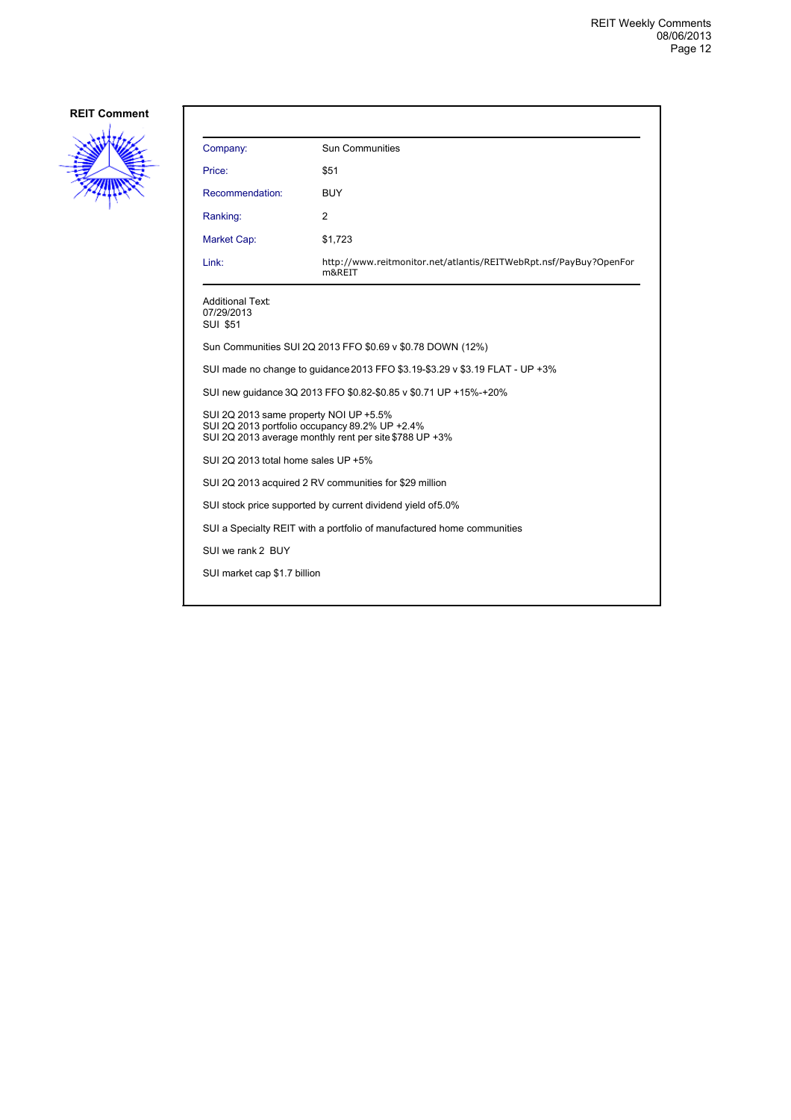

| Company:                                                                                                                                           | <b>Sun Communities</b>                                                      |  |
|----------------------------------------------------------------------------------------------------------------------------------------------------|-----------------------------------------------------------------------------|--|
| Price:                                                                                                                                             | \$51                                                                        |  |
| Recommendation:                                                                                                                                    | <b>BUY</b>                                                                  |  |
| Ranking:                                                                                                                                           | 2                                                                           |  |
| Market Cap:                                                                                                                                        | \$1,723                                                                     |  |
| Link:                                                                                                                                              | http://www.reitmonitor.net/atlantis/REITWebRpt.nsf/PayBuy?OpenFor<br>m&REIT |  |
| <b>Additional Text:</b><br>07/29/2013<br><b>SUI \$51</b>                                                                                           |                                                                             |  |
|                                                                                                                                                    | Sun Communities SUI 2Q 2013 FFO \$0.69 v \$0.78 DOWN (12%)                  |  |
| SUI made no change to guidance 2013 FFO \$3.19-\$3.29 v \$3.19 FLAT - UP +3%                                                                       |                                                                             |  |
| SUI new guidance 3Q 2013 FFO \$0.82-\$0.85 v \$0.71 UP +15%-+20%                                                                                   |                                                                             |  |
| SUI 2Q 2013 same property NOI UP +5.5%<br>SUI 2Q 2013 portfolio occupancy 89.2% UP +2.4%<br>SUI 2Q 2013 average monthly rent per site \$788 UP +3% |                                                                             |  |
| SUI 2Q 2013 total home sales UP +5%                                                                                                                |                                                                             |  |
| SUI 2Q 2013 acquired 2 RV communities for \$29 million                                                                                             |                                                                             |  |
| SUI stock price supported by current dividend yield of 5.0%                                                                                        |                                                                             |  |
| SUI a Specialty REIT with a portfolio of manufactured home communities                                                                             |                                                                             |  |
| SUI we rank 2 BUY                                                                                                                                  |                                                                             |  |
| SUI market cap \$1.7 billion                                                                                                                       |                                                                             |  |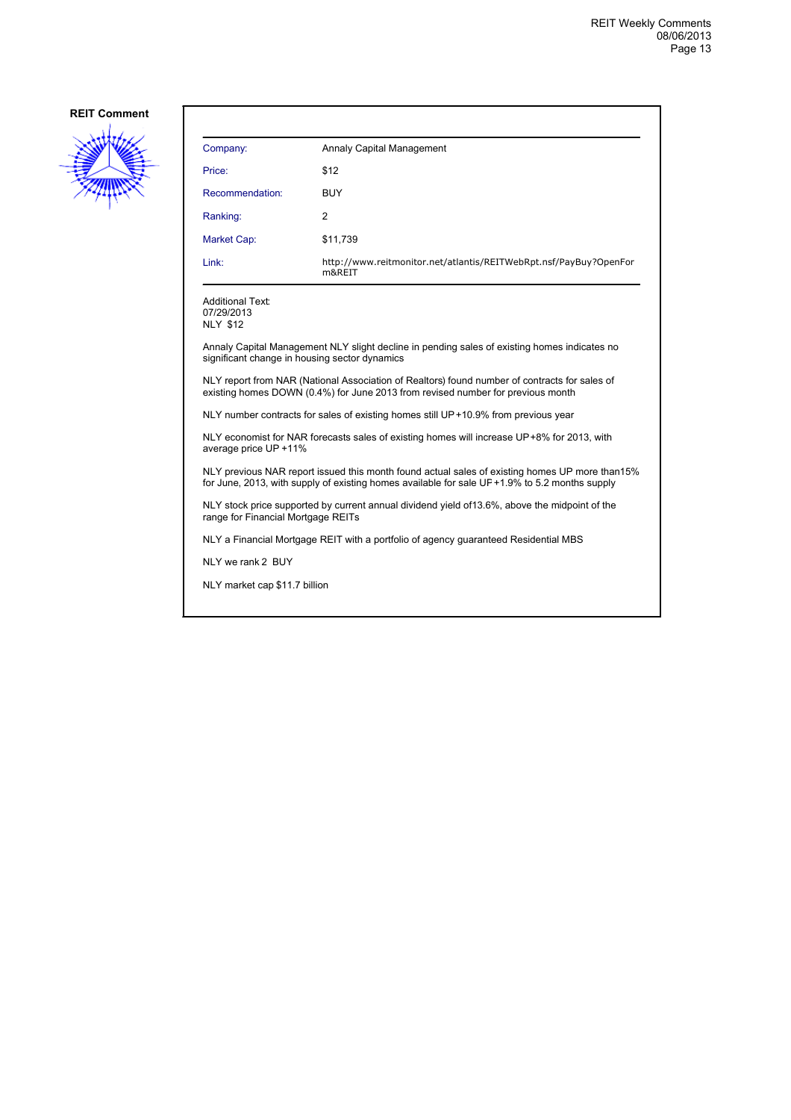

| Company:        | Annaly Capital Management                                                   |
|-----------------|-----------------------------------------------------------------------------|
| Price:          | \$12                                                                        |
| Recommendation: | <b>BUY</b>                                                                  |
| Ranking:        | 2                                                                           |
| Market Cap:     | \$11,739                                                                    |
| Link:           | http://www.reitmonitor.net/atlantis/REITWebRpt.nsf/PayBuy?OpenFor<br>m&REIT |

Additional Text: 07/29/2013

NLY \$12

Annaly Capital Management NLY slight decline in pending sales of existing homes indicates no significant change in housing sector dynamics

NLY report from NAR (National Association of Realtors) found number of contracts for sales of existing homes DOWN (0.4%) for June 2013 from revised number for previous month

NLY number contracts for sales of existing homes still UP +10.9% from previous year

NLY economist for NAR forecasts sales of existing homes will increase UP +8% for 2013, with average price UP +11%

NLY previous NAR report issued this month found actual sales of existing homes UP more than 15% for June, 2013, with supply of existing homes available for sale UF +1.9% to 5.2 months supply

NLY stock price supported by current annual dividend yield of 13.6%, above the midpoint of the range for Financial Mortgage REITs

NLY a Financial Mortgage REIT with a portfolio of agency guaranteed Residential MBS

NLY we rank 2 BUY

NLY market cap \$11.7 billion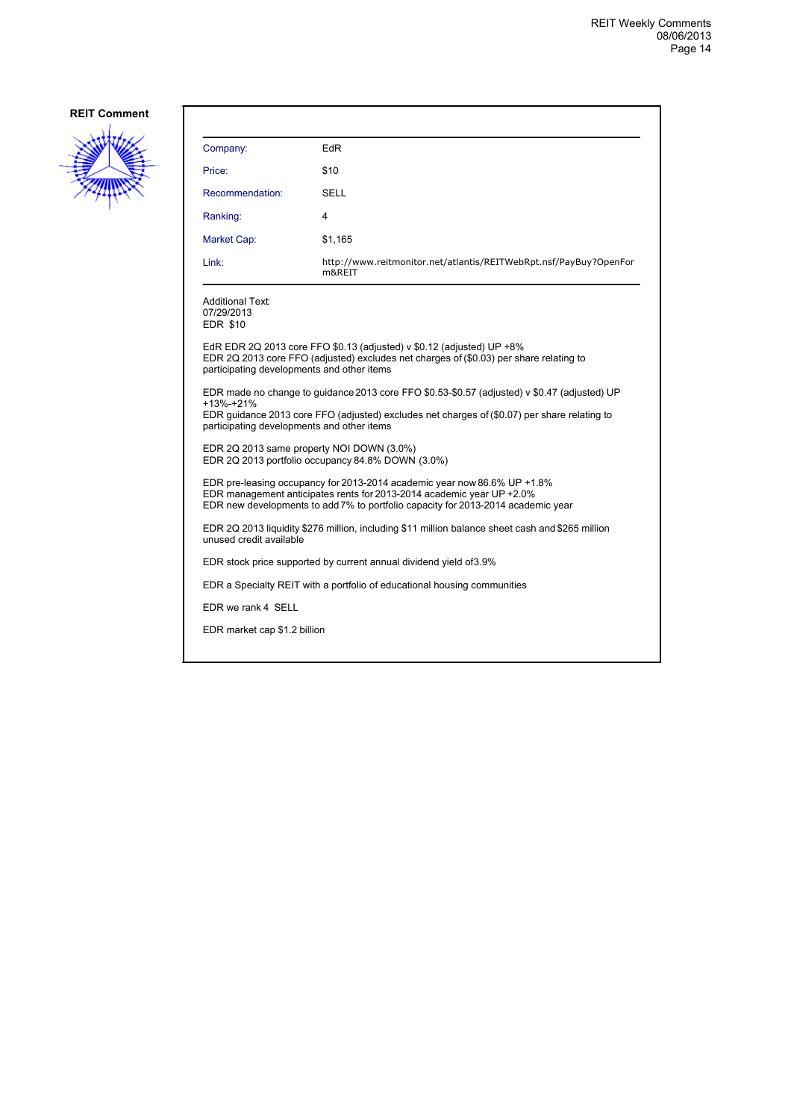

| Company:                                                                                                                                                                                                                                                | EdR                                                                                                                                                             |  |
|---------------------------------------------------------------------------------------------------------------------------------------------------------------------------------------------------------------------------------------------------------|-----------------------------------------------------------------------------------------------------------------------------------------------------------------|--|
| Price:                                                                                                                                                                                                                                                  | \$10                                                                                                                                                            |  |
| Recommendation:                                                                                                                                                                                                                                         | SELL                                                                                                                                                            |  |
| Ranking:                                                                                                                                                                                                                                                | 4                                                                                                                                                               |  |
| Market Cap:                                                                                                                                                                                                                                             | \$1,165                                                                                                                                                         |  |
| Link:                                                                                                                                                                                                                                                   | http://www.reitmonitor.net/atlantis/REITWebRpt.nsf/PayBuy?OpenFor<br>m&REIT                                                                                     |  |
| Additional Text:<br>07/29/2013<br><b>EDR \$10</b>                                                                                                                                                                                                       |                                                                                                                                                                 |  |
| participating developments and other items                                                                                                                                                                                                              | EdR EDR 2Q 2013 core FFO \$0.13 (adjusted) v \$0.12 (adjusted) UP +8%<br>EDR 2Q 2013 core FFO (adjusted) excludes net charges of (\$0.03) per share relating to |  |
| EDR made no change to guidance 2013 core FFO \$0.53-\$0.57 (adjusted) v \$0.47 (adjusted) UP<br>+13%-+21%<br>EDR guidance 2013 core FFO (adjusted) excludes net charges of (\$0.07) per share relating to<br>participating developments and other items |                                                                                                                                                                 |  |
| EDR 2Q 2013 same property NOI DOWN (3.0%)<br>EDR 2Q 2013 portfolio occupancy 84.8% DOWN (3.0%)                                                                                                                                                          |                                                                                                                                                                 |  |
| EDR pre-leasing occupancy for 2013-2014 academic year now 86.6% UP +1.8%<br>EDR management anticipates rents for 2013-2014 academic year UP +2.0%<br>EDR new developments to add 7% to portfolio capacity for 2013-2014 academic year                   |                                                                                                                                                                 |  |
| EDR 2Q 2013 liquidity \$276 million, including \$11 million balance sheet cash and \$265 million<br>unused credit available                                                                                                                             |                                                                                                                                                                 |  |
| EDR stock price supported by current annual dividend yield of 3.9%                                                                                                                                                                                      |                                                                                                                                                                 |  |
| EDR a Specialty REIT with a portfolio of educational housing communities                                                                                                                                                                                |                                                                                                                                                                 |  |
| EDR we rank 4 SELL                                                                                                                                                                                                                                      |                                                                                                                                                                 |  |
| EDR market cap \$1.2 billion                                                                                                                                                                                                                            |                                                                                                                                                                 |  |
|                                                                                                                                                                                                                                                         |                                                                                                                                                                 |  |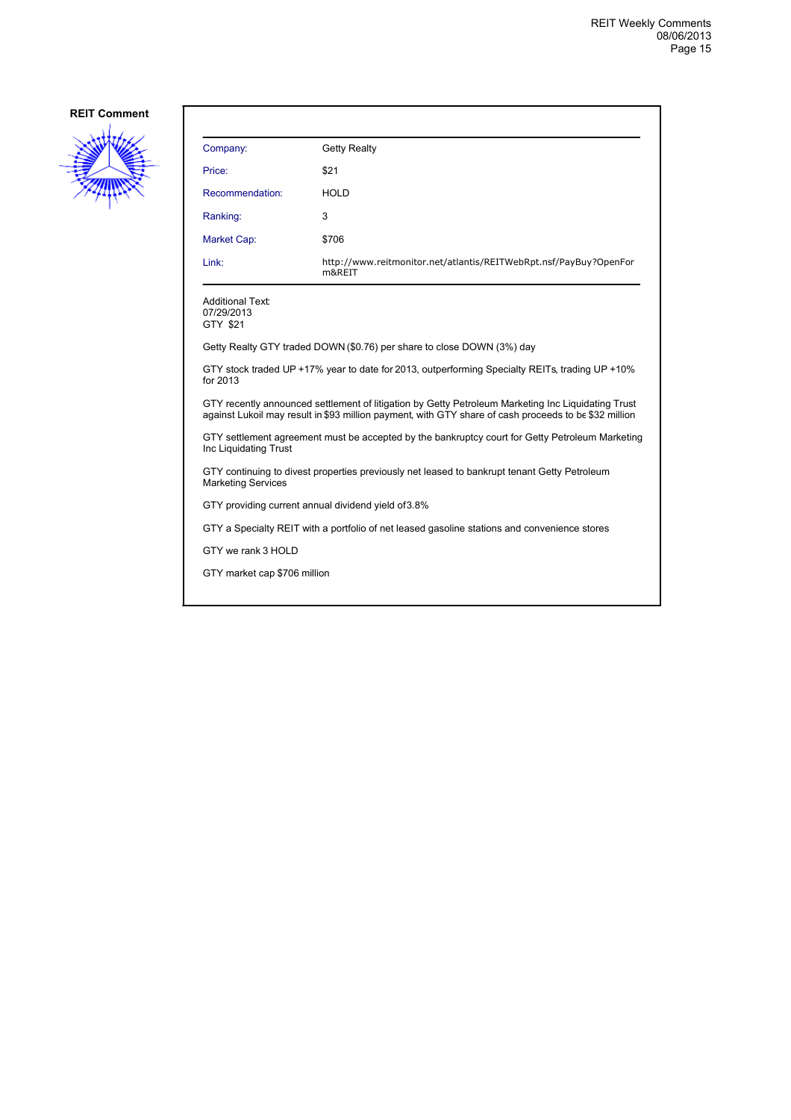

| Company:                                                                                                                                                                                                    | <b>Getty Realty</b>                                                         |  |
|-------------------------------------------------------------------------------------------------------------------------------------------------------------------------------------------------------------|-----------------------------------------------------------------------------|--|
| Price:                                                                                                                                                                                                      | \$21                                                                        |  |
| Recommendation:                                                                                                                                                                                             | HOLD                                                                        |  |
| Ranking:                                                                                                                                                                                                    | 3                                                                           |  |
| <b>Market Cap:</b>                                                                                                                                                                                          | \$706                                                                       |  |
| Link:                                                                                                                                                                                                       | http://www.reitmonitor.net/atlantis/REITWebRpt.nsf/PayBuy?OpenFor<br>m&REIT |  |
| <b>Additional Text:</b><br>07/29/2013<br>GTY \$21                                                                                                                                                           |                                                                             |  |
|                                                                                                                                                                                                             | Getty Realty GTY traded DOWN (\$0.76) per share to close DOWN (3%) day      |  |
| GTY stock traded UP +17% year to date for 2013, outperforming Specialty REITs, trading UP +10%<br>for 2013                                                                                                  |                                                                             |  |
| GTY recently announced settlement of litigation by Getty Petroleum Marketing Inc Liquidating Trust<br>against Lukoil may result in \$93 million payment, with GTY share of cash proceeds to be \$32 million |                                                                             |  |
| GTY settlement agreement must be accepted by the bankruptcy court for Getty Petroleum Marketing<br>Inc Liquidating Trust                                                                                    |                                                                             |  |
| GTY continuing to divest properties previously net leased to bankrupt tenant Getty Petroleum<br><b>Marketing Services</b>                                                                                   |                                                                             |  |
| GTY providing current annual dividend yield of 3.8%                                                                                                                                                         |                                                                             |  |
| GTY a Specialty REIT with a portfolio of net leased gasoline stations and convenience stores                                                                                                                |                                                                             |  |
| GTY we rank 3 HOLD                                                                                                                                                                                          |                                                                             |  |
| GTY market cap \$706 million                                                                                                                                                                                |                                                                             |  |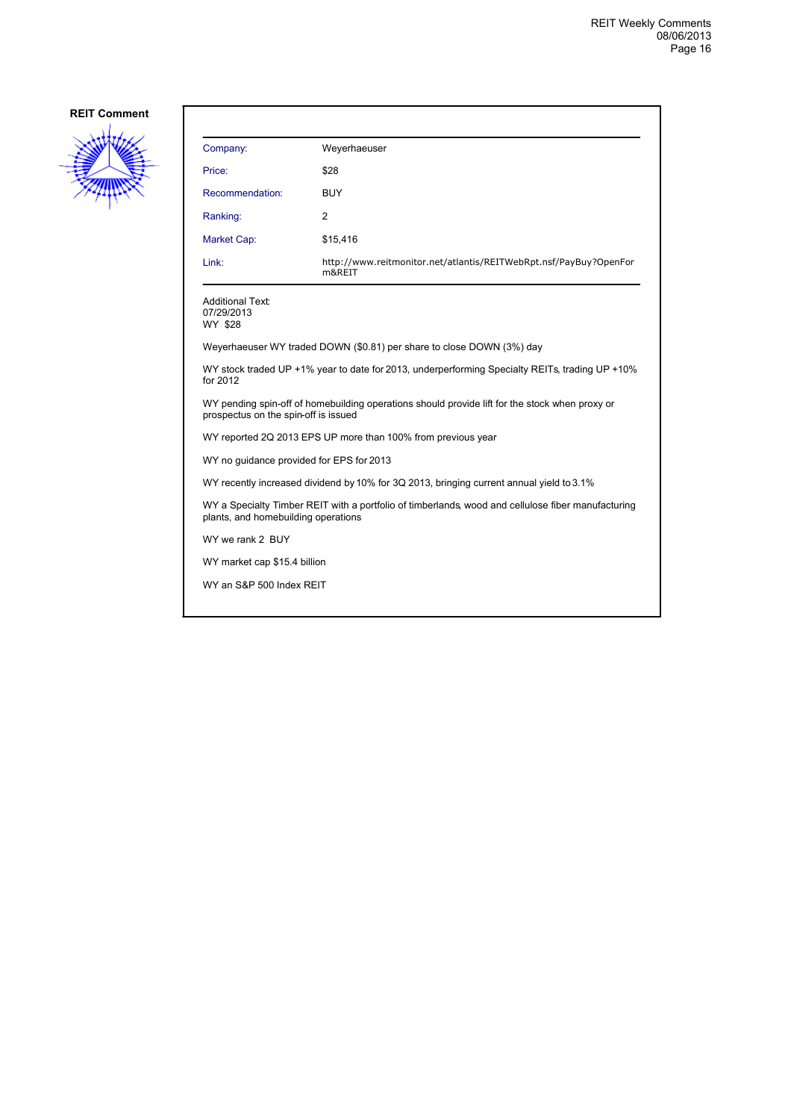

| Company:                                         | Weyerhaeuser                                                                                   |
|--------------------------------------------------|------------------------------------------------------------------------------------------------|
| Price:                                           | \$28                                                                                           |
| Recommendation:                                  | <b>BUY</b>                                                                                     |
| Ranking:                                         | 2                                                                                              |
| Market Cap:                                      | \$15,416                                                                                       |
| Link:                                            | http://www.reitmonitor.net/atlantis/REITWebRpt.nsf/PayBuy?OpenFor<br>m&REIT                    |
| <b>Additional Text:</b><br>07/29/2013<br>WY \$28 |                                                                                                |
|                                                  | Weyerhaeuser WY traded DOWN (\$0.81) per share to close DOWN (3%) day                          |
| for 2012                                         | WY stock traded UP +1% year to date for 2013, underperforming Specialty REITs, trading UP +10% |

WY pending spin-off of homebuilding operations should provide lift for the stock when proxy or prospectus on the spin-off is issued

WY reported 2Q 2013 EPS UP more than 100% from previous year

WY no guidance provided for EPS for 2013

WY recently increased dividend by 10% for 3Q 2013, bringing current annual yield to 3.1%

WY a Specialty Timber REIT with a portfolio of timberlands, wood and cellulose fiber manufacturing plants, and homebuilding operations

WY we rank 2 BUY

WY market cap \$15.4 billion

WY an S&P 500 Index REIT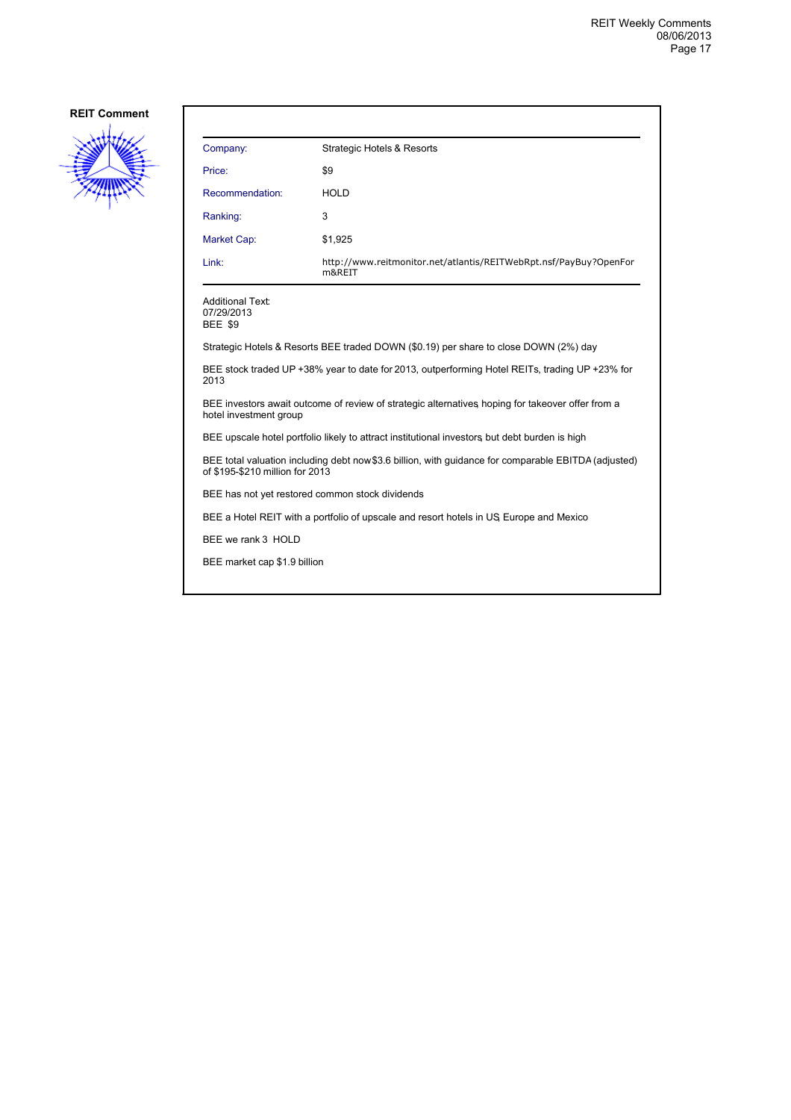

| Company:                                                                                                                                | <b>Strategic Hotels &amp; Resorts</b>                                                |  |
|-----------------------------------------------------------------------------------------------------------------------------------------|--------------------------------------------------------------------------------------|--|
| Price:                                                                                                                                  | \$9                                                                                  |  |
| Recommendation:                                                                                                                         | <b>HOLD</b>                                                                          |  |
| Ranking:                                                                                                                                | 3                                                                                    |  |
| Market Cap:                                                                                                                             | \$1,925                                                                              |  |
| Link:                                                                                                                                   | http://www.reitmonitor.net/atlantis/REITWebRpt.nsf/PayBuy?OpenFor<br>m&REIT          |  |
| <b>Additional Text:</b><br>07/29/2013<br><b>BEE \$9</b>                                                                                 |                                                                                      |  |
|                                                                                                                                         | Strategic Hotels & Resorts BEE traded DOWN (\$0.19) per share to close DOWN (2%) day |  |
| BEE stock traded UP +38% year to date for 2013, outperforming Hotel REITs, trading UP +23% for<br>2013                                  |                                                                                      |  |
| BEE investors await outcome of review of strategic alternatives hoping for takeover offer from a<br>hotel investment group              |                                                                                      |  |
| BEE upscale hotel portfolio likely to attract institutional investors but debt burden is high                                           |                                                                                      |  |
| BEE total valuation including debt now \$3.6 billion, with guidance for comparable EBITDA (adjusted)<br>of \$195-\$210 million for 2013 |                                                                                      |  |
| BEE has not yet restored common stock dividends                                                                                         |                                                                                      |  |
| BEE a Hotel REIT with a portfolio of upscale and resort hotels in US Europe and Mexico                                                  |                                                                                      |  |
| BEE we rank 3 HOLD                                                                                                                      |                                                                                      |  |
| BEE market cap \$1.9 billion                                                                                                            |                                                                                      |  |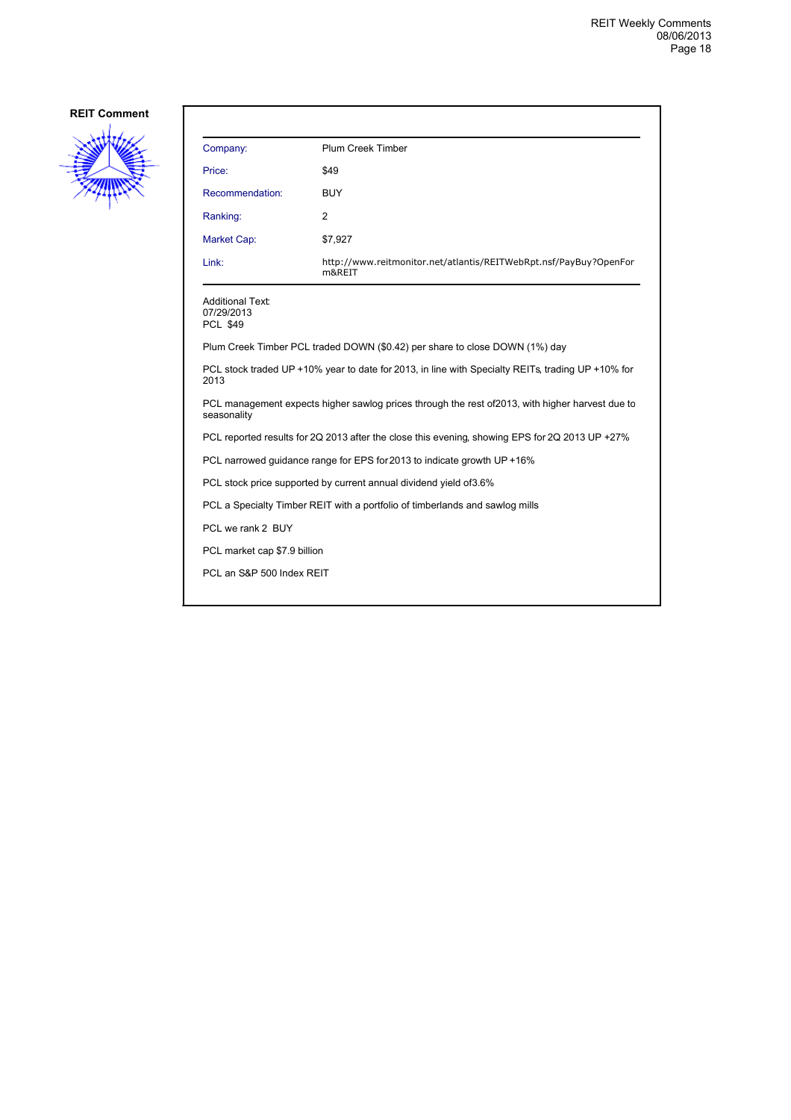

| Company:                                                                                       | <b>Plum Creek Timber</b>                                                                          |  |
|------------------------------------------------------------------------------------------------|---------------------------------------------------------------------------------------------------|--|
| Price:                                                                                         | \$49                                                                                              |  |
| Recommendation:                                                                                | <b>BUY</b>                                                                                        |  |
| Ranking:                                                                                       | $\overline{2}$                                                                                    |  |
| <b>Market Cap:</b>                                                                             | \$7,927                                                                                           |  |
| Link:                                                                                          | http://www.reitmonitor.net/atlantis/REITWebRpt.nsf/PayBuy?OpenFor<br>m&REIT                       |  |
| <b>Additional Text:</b><br>07/29/2013<br><b>PCL \$49</b>                                       |                                                                                                   |  |
|                                                                                                | Plum Creek Timber PCL traded DOWN (\$0.42) per share to close DOWN (1%) day                       |  |
| 2013                                                                                           | PCL stock traded UP +10% year to date for 2013, in line with Specialty REITs, trading UP +10% for |  |
| seasonality                                                                                    | PCL management expects higher sawlog prices through the rest of 2013, with higher harvest due to  |  |
| PCL reported results for 2Q 2013 after the close this evening, showing EPS for 2Q 2013 UP +27% |                                                                                                   |  |
|                                                                                                | PCL narrowed guidance range for EPS for 2013 to indicate growth UP +16%                           |  |
| PCL stock price supported by current annual dividend yield of 3.6%                             |                                                                                                   |  |
| PCL a Specialty Timber REIT with a portfolio of timberlands and sawlog mills                   |                                                                                                   |  |
| PCL we rank 2 BUY                                                                              |                                                                                                   |  |
| PCL market cap \$7.9 billion                                                                   |                                                                                                   |  |
| PCL an S&P 500 Index REIT                                                                      |                                                                                                   |  |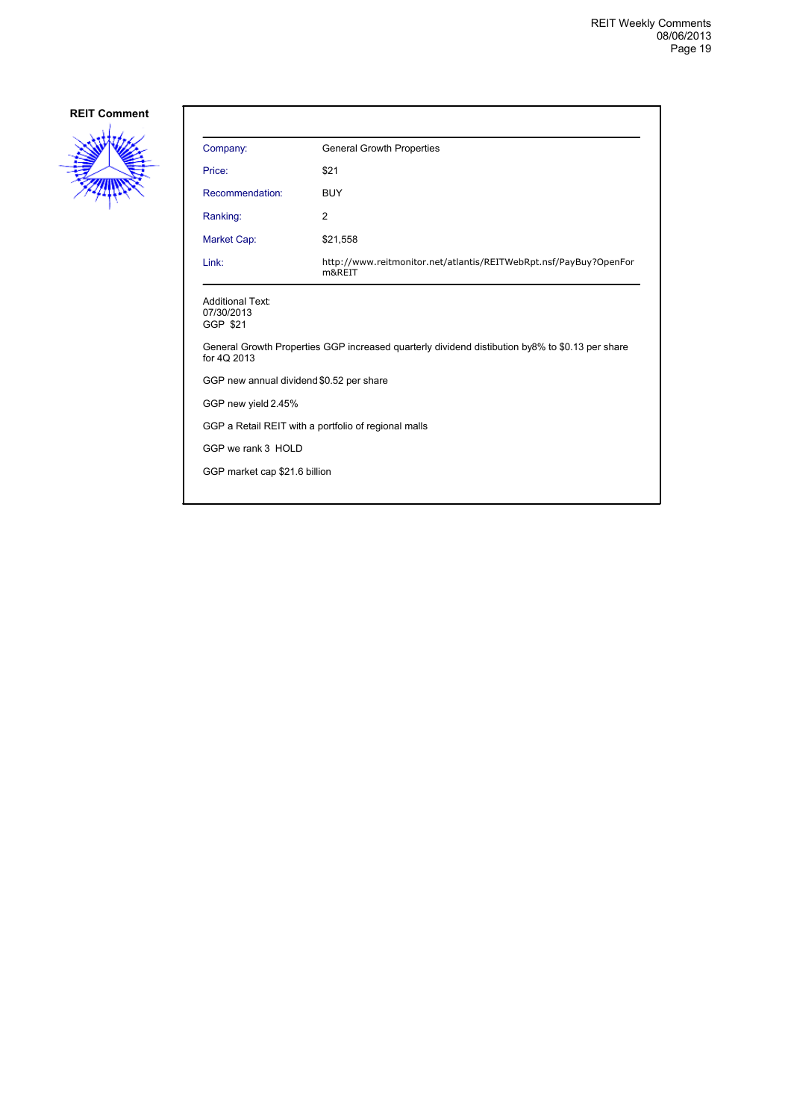

| Company:                                             | <b>General Growth Properties</b>                                                                |
|------------------------------------------------------|-------------------------------------------------------------------------------------------------|
| Price:                                               | \$21                                                                                            |
| Recommendation:                                      | <b>BUY</b>                                                                                      |
| Ranking:                                             | 2                                                                                               |
| Market Cap:                                          | \$21,558                                                                                        |
| Link:                                                | http://www.reitmonitor.net/atlantis/REITWebRpt.nsf/PayBuy?OpenFor<br>m&REIT                     |
| <b>Additional Text:</b><br>07/30/2013<br>GGP \$21    |                                                                                                 |
| for 40 2013                                          | General Growth Properties GGP increased quarterly dividend distibution by8% to \$0.13 per share |
| GGP new annual dividend \$0.52 per share             |                                                                                                 |
| GGP new yield 2.45%                                  |                                                                                                 |
| GGP a Retail REIT with a portfolio of regional malls |                                                                                                 |
| GGP we rank 3 HOLD                                   |                                                                                                 |
| GGP market cap \$21.6 billion                        |                                                                                                 |
|                                                      |                                                                                                 |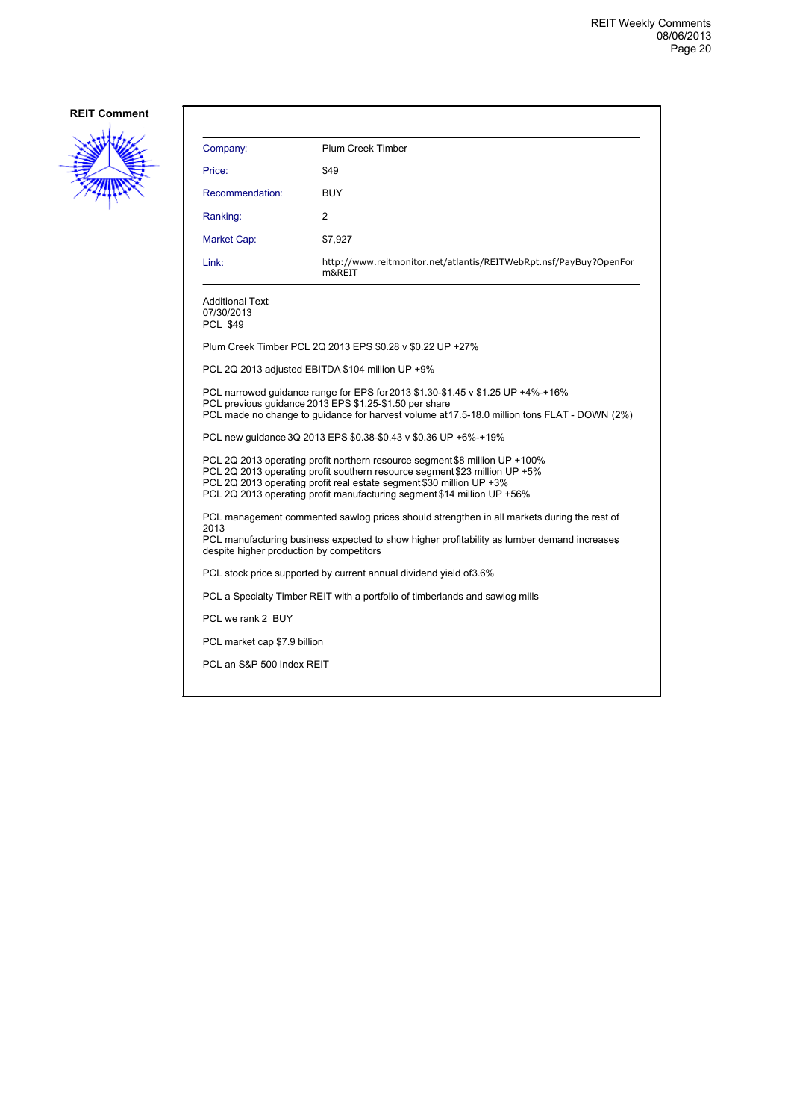

| Company:                                                                                                                                                                                                                                                                                                     | <b>Plum Creek Timber</b>                                                                                                                                                                                                                  |  |
|--------------------------------------------------------------------------------------------------------------------------------------------------------------------------------------------------------------------------------------------------------------------------------------------------------------|-------------------------------------------------------------------------------------------------------------------------------------------------------------------------------------------------------------------------------------------|--|
| Price:                                                                                                                                                                                                                                                                                                       | \$49                                                                                                                                                                                                                                      |  |
| Recommendation:                                                                                                                                                                                                                                                                                              | <b>BUY</b>                                                                                                                                                                                                                                |  |
| Ranking:                                                                                                                                                                                                                                                                                                     | 2                                                                                                                                                                                                                                         |  |
| Market Cap:                                                                                                                                                                                                                                                                                                  | \$7,927                                                                                                                                                                                                                                   |  |
| Link:                                                                                                                                                                                                                                                                                                        | http://www.reitmonitor.net/atlantis/REITWebRpt.nsf/PayBuy?OpenFor<br>m&REIT                                                                                                                                                               |  |
| <b>Additional Text:</b><br>07/30/2013<br><b>PCL \$49</b>                                                                                                                                                                                                                                                     |                                                                                                                                                                                                                                           |  |
|                                                                                                                                                                                                                                                                                                              | Plum Creek Timber PCL 2Q 2013 EPS \$0.28 v \$0.22 UP +27%                                                                                                                                                                                 |  |
|                                                                                                                                                                                                                                                                                                              | PCL 2Q 2013 adjusted EBITDA \$104 million UP +9%                                                                                                                                                                                          |  |
|                                                                                                                                                                                                                                                                                                              | PCL narrowed quidance range for EPS for 2013 \$1.30-\$1.45 v \$1.25 UP +4%-+16%<br>PCL previous quidance 2013 EPS \$1.25-\$1.50 per share<br>PCL made no change to quidance for harvest volume at 17.5-18.0 million tons FLAT - DOWN (2%) |  |
| PCL new quidance 3Q 2013 EPS \$0.38-\$0.43 v \$0.36 UP +6%-+19%                                                                                                                                                                                                                                              |                                                                                                                                                                                                                                           |  |
| PCL 2Q 2013 operating profit northern resource segment \$8 million UP +100%<br>PCL 2Q 2013 operating profit southern resource segment \$23 million UP +5%<br>PCL 2Q 2013 operating profit real estate segment \$30 million UP +3%<br>PCL 2Q 2013 operating profit manufacturing segment \$14 million UP +56% |                                                                                                                                                                                                                                           |  |
| PCL management commented sawlog prices should strengthen in all markets during the rest of<br>2013<br>PCL manufacturing business expected to show higher profitability as lumber demand increases<br>despite higher production by competitors                                                                |                                                                                                                                                                                                                                           |  |
|                                                                                                                                                                                                                                                                                                              | PCL stock price supported by current annual dividend yield of 3.6%                                                                                                                                                                        |  |
|                                                                                                                                                                                                                                                                                                              | PCL a Specialty Timber REIT with a portfolio of timberlands and sawlog mills                                                                                                                                                              |  |
| PCL we rank 2 BUY                                                                                                                                                                                                                                                                                            |                                                                                                                                                                                                                                           |  |
| PCL market cap \$7.9 billion                                                                                                                                                                                                                                                                                 |                                                                                                                                                                                                                                           |  |
| PCL an S&P 500 Index REIT                                                                                                                                                                                                                                                                                    |                                                                                                                                                                                                                                           |  |
|                                                                                                                                                                                                                                                                                                              |                                                                                                                                                                                                                                           |  |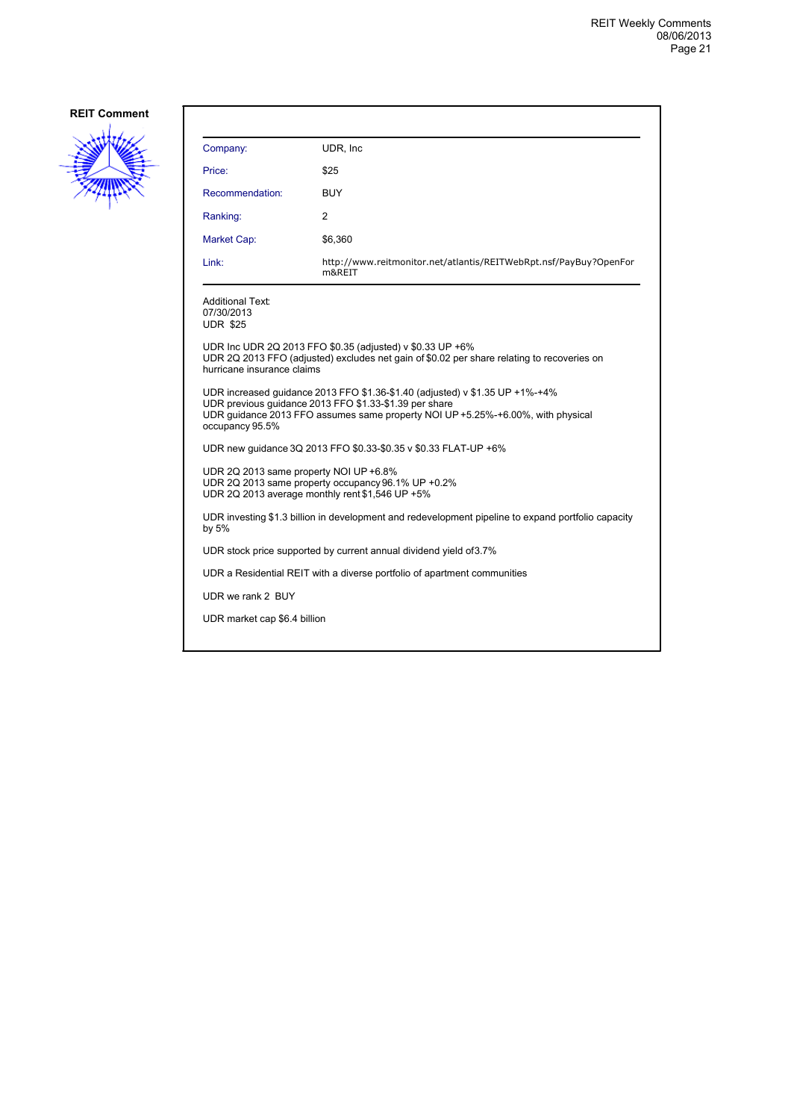

| Company:                                                                                                                                                                                                                                     | UDR, Inc.                                                                                                                                               |  |
|----------------------------------------------------------------------------------------------------------------------------------------------------------------------------------------------------------------------------------------------|---------------------------------------------------------------------------------------------------------------------------------------------------------|--|
| Price:                                                                                                                                                                                                                                       | \$25                                                                                                                                                    |  |
| Recommendation:                                                                                                                                                                                                                              | BUY                                                                                                                                                     |  |
| Ranking:                                                                                                                                                                                                                                     | 2                                                                                                                                                       |  |
| Market Cap:                                                                                                                                                                                                                                  | \$6,360                                                                                                                                                 |  |
| Link:                                                                                                                                                                                                                                        | http://www.reitmonitor.net/atlantis/REITWebRpt.nsf/PayBuy?OpenFor<br>m&REIT                                                                             |  |
| Additional Text:<br>07/30/2013<br><b>UDR \$25</b>                                                                                                                                                                                            |                                                                                                                                                         |  |
| hurricane insurance claims                                                                                                                                                                                                                   | UDR Inc UDR 2Q 2013 FFO \$0.35 (adjusted) v \$0.33 UP +6%<br>UDR 2Q 2013 FFO (adjusted) excludes net gain of \$0.02 per share relating to recoveries on |  |
| UDR increased guidance 2013 FFO \$1.36-\$1.40 (adjusted) v \$1.35 UP +1%-+4%<br>UDR previous guidance 2013 FFO \$1.33-\$1.39 per share<br>UDR guidance 2013 FFO assumes same property NOI UP +5.25%-+6.00%, with physical<br>occupancy 95.5% |                                                                                                                                                         |  |
| UDR new guidance 3Q 2013 FFO \$0.33-\$0.35 v \$0.33 FLAT-UP +6%                                                                                                                                                                              |                                                                                                                                                         |  |
| UDR 2Q 2013 same property NOI UP +6.8%<br>UDR 2Q 2013 same property occupancy 96.1% UP +0.2%<br>UDR 2Q 2013 average monthly rent \$1,546 UP +5%                                                                                              |                                                                                                                                                         |  |
| UDR investing \$1.3 billion in development and redevelopment pipeline to expand portfolio capacity<br>by $5%$                                                                                                                                |                                                                                                                                                         |  |
| UDR stock price supported by current annual dividend yield of 3.7%                                                                                                                                                                           |                                                                                                                                                         |  |
|                                                                                                                                                                                                                                              | UDR a Residential REIT with a diverse portfolio of apartment communities                                                                                |  |
| UDR we rank 2 BUY                                                                                                                                                                                                                            |                                                                                                                                                         |  |
| UDR market cap \$6.4 billion                                                                                                                                                                                                                 |                                                                                                                                                         |  |
|                                                                                                                                                                                                                                              |                                                                                                                                                         |  |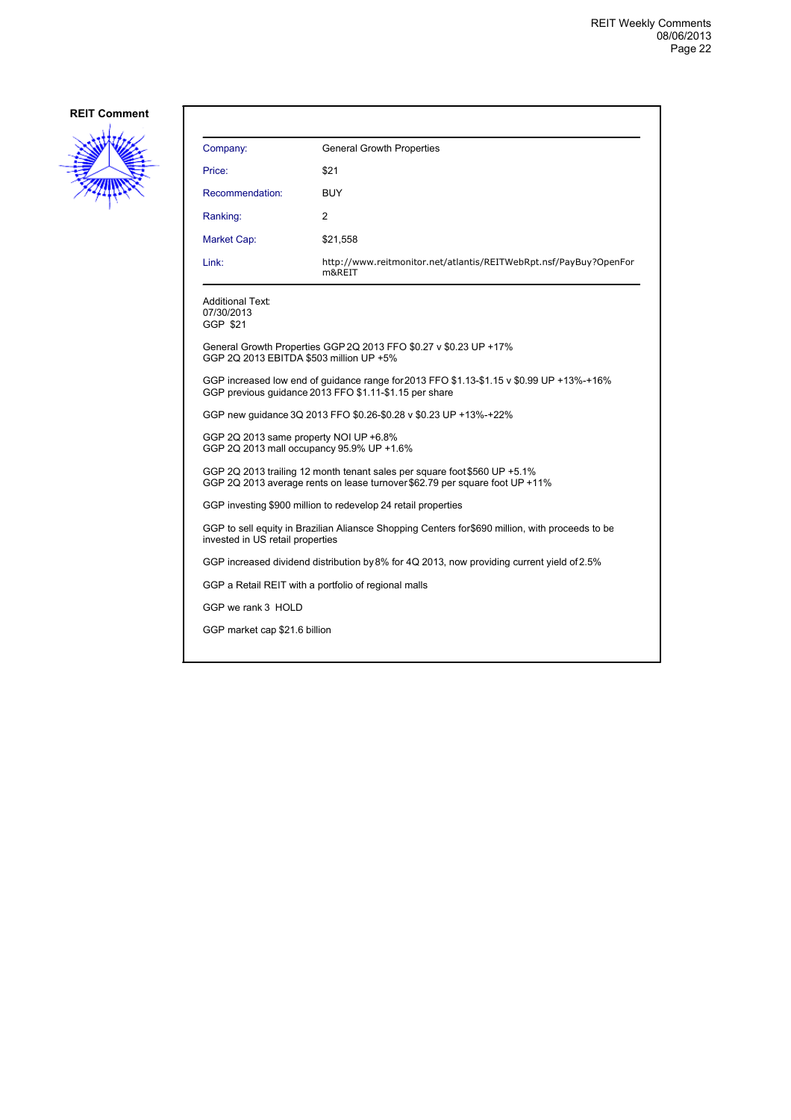

| Company:                                                                                                                                                 | <b>General Growth Properties</b>                                                                                                                   |  |
|----------------------------------------------------------------------------------------------------------------------------------------------------------|----------------------------------------------------------------------------------------------------------------------------------------------------|--|
| Price:                                                                                                                                                   | \$21                                                                                                                                               |  |
| Recommendation:                                                                                                                                          | <b>BUY</b>                                                                                                                                         |  |
| Ranking:                                                                                                                                                 | 2                                                                                                                                                  |  |
| Market Cap:                                                                                                                                              | \$21,558                                                                                                                                           |  |
| Link:                                                                                                                                                    | http://www.reitmonitor.net/atlantis/REITWebRpt.nsf/PayBuy?OpenFor<br>m&REIT                                                                        |  |
| Additional Text:<br>07/30/2013<br>GGP \$21                                                                                                               |                                                                                                                                                    |  |
| GGP 2Q 2013 EBITDA \$503 million UP +5%                                                                                                                  | General Growth Properties GGP 2Q 2013 FFO \$0.27 v \$0.23 UP +17%                                                                                  |  |
|                                                                                                                                                          | GGP increased low end of guidance range for 2013 FFO \$1.13-\$1.15 v \$0.99 UP +13%-+16%<br>GGP previous quidance 2013 FFO \$1.11-\$1.15 per share |  |
| GGP new guidance 3Q 2013 FFO \$0.26-\$0.28 v \$0.23 UP +13%-+22%                                                                                         |                                                                                                                                                    |  |
| GGP 2Q 2013 same property NOI UP +6.8%<br>GGP 2Q 2013 mall occupancy 95.9% UP +1.6%                                                                      |                                                                                                                                                    |  |
| GGP 2Q 2013 trailing 12 month tenant sales per square foot \$560 UP +5.1%<br>GGP 2Q 2013 average rents on lease turnover \$62.79 per square foot UP +11% |                                                                                                                                                    |  |
| GGP investing \$900 million to redevelop 24 retail properties                                                                                            |                                                                                                                                                    |  |
| GGP to sell equity in Brazilian Aliansce Shopping Centers for \$690 million, with proceeds to be<br>invested in US retail properties                     |                                                                                                                                                    |  |
|                                                                                                                                                          | GGP increased dividend distribution by 8% for 4Q 2013, now providing current yield of 2.5%                                                         |  |
| GGP a Retail REIT with a portfolio of regional malls                                                                                                     |                                                                                                                                                    |  |
| GGP we rank 3 HOLD                                                                                                                                       |                                                                                                                                                    |  |
| GGP market cap \$21.6 billion                                                                                                                            |                                                                                                                                                    |  |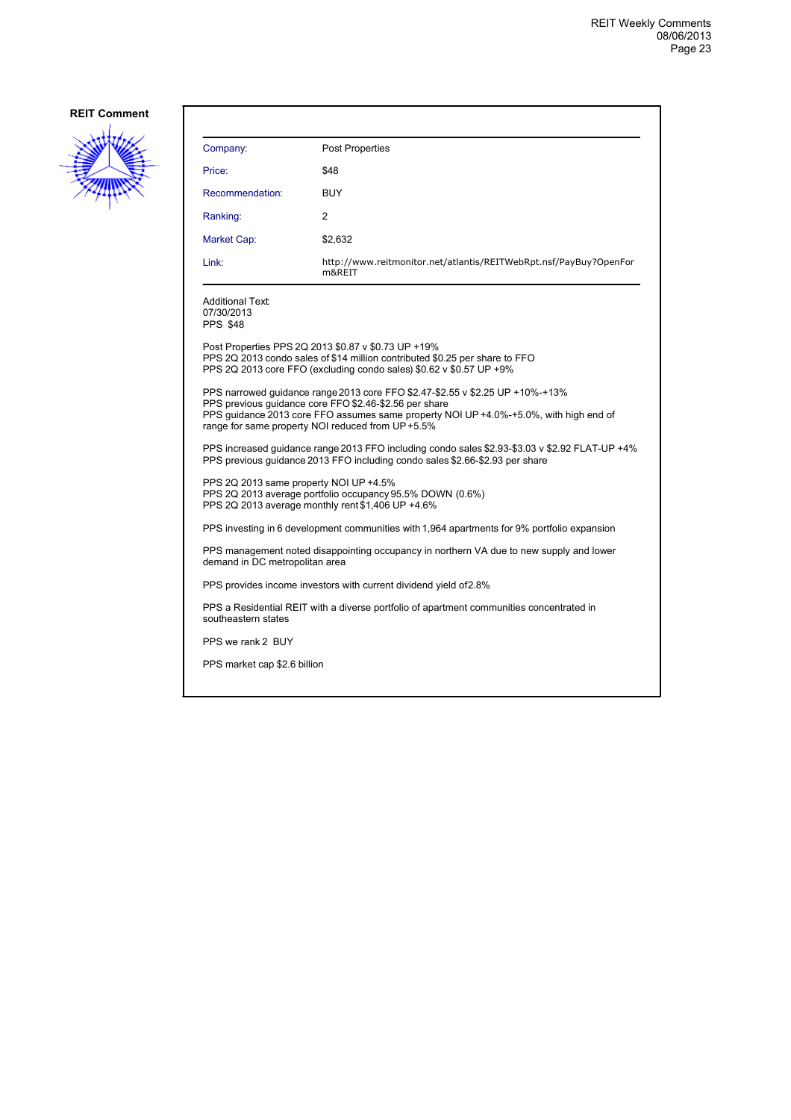

| Company:                                                                                                                                                                       | Post Properties                                                                                                                                                                                                                                                                      |  |
|--------------------------------------------------------------------------------------------------------------------------------------------------------------------------------|--------------------------------------------------------------------------------------------------------------------------------------------------------------------------------------------------------------------------------------------------------------------------------------|--|
| Price:                                                                                                                                                                         | \$48                                                                                                                                                                                                                                                                                 |  |
| Recommendation:                                                                                                                                                                | <b>BUY</b>                                                                                                                                                                                                                                                                           |  |
| Ranking:                                                                                                                                                                       | 2                                                                                                                                                                                                                                                                                    |  |
| Market Cap:                                                                                                                                                                    | \$2,632                                                                                                                                                                                                                                                                              |  |
| Link:                                                                                                                                                                          | http://www.reitmonitor.net/atlantis/REITWebRpt.nsf/PayBuy?OpenFor<br>m&REIT                                                                                                                                                                                                          |  |
| Additional Text:<br>07/30/2013<br>PPS \$48                                                                                                                                     |                                                                                                                                                                                                                                                                                      |  |
|                                                                                                                                                                                | Post Properties PPS 2Q 2013 \$0.87 v \$0.73 UP +19%<br>PPS 2Q 2013 condo sales of \$14 million contributed \$0.25 per share to FFO<br>PPS 2Q 2013 core FFO (excluding condo sales) \$0.62 v \$0.57 UP +9%                                                                            |  |
|                                                                                                                                                                                | PPS narrowed quidance range 2013 core FFO \$2.47-\$2.55 v \$2.25 UP +10%-+13%<br>PPS previous guidance core FFO \$2.46-\$2.56 per share<br>PPS guidance 2013 core FFO assumes same property NOI UP +4.0%-+5.0%, with high end of<br>range for same property NOI reduced from UP+5.5% |  |
| PPS increased guidance range 2013 FFO including condo sales \$2.93-\$3.03 v \$2.92 FLAT-UP +4%<br>PPS previous quidance 2013 FFO including condo sales \$2.66-\$2.93 per share |                                                                                                                                                                                                                                                                                      |  |
| PPS 2Q 2013 same property NOI UP +4.5%<br>PPS 2Q 2013 average portfolio occupancy 95.5% DOWN (0.6%)<br>PPS 2Q 2013 average monthly rent \$1,406 UP +4.6%                       |                                                                                                                                                                                                                                                                                      |  |
|                                                                                                                                                                                | PPS investing in 6 development communities with 1,964 apartments for 9% portfolio expansion                                                                                                                                                                                          |  |
| demand in DC metropolitan area                                                                                                                                                 | PPS management noted disappointing occupancy in northern VA due to new supply and lower                                                                                                                                                                                              |  |
| PPS provides income investors with current dividend yield of 2.8%                                                                                                              |                                                                                                                                                                                                                                                                                      |  |
| southeastern states                                                                                                                                                            | PPS a Residential REIT with a diverse portfolio of apartment communities concentrated in                                                                                                                                                                                             |  |
| PPS we rank 2 BUY                                                                                                                                                              |                                                                                                                                                                                                                                                                                      |  |
| PPS market cap \$2.6 billion                                                                                                                                                   |                                                                                                                                                                                                                                                                                      |  |
|                                                                                                                                                                                |                                                                                                                                                                                                                                                                                      |  |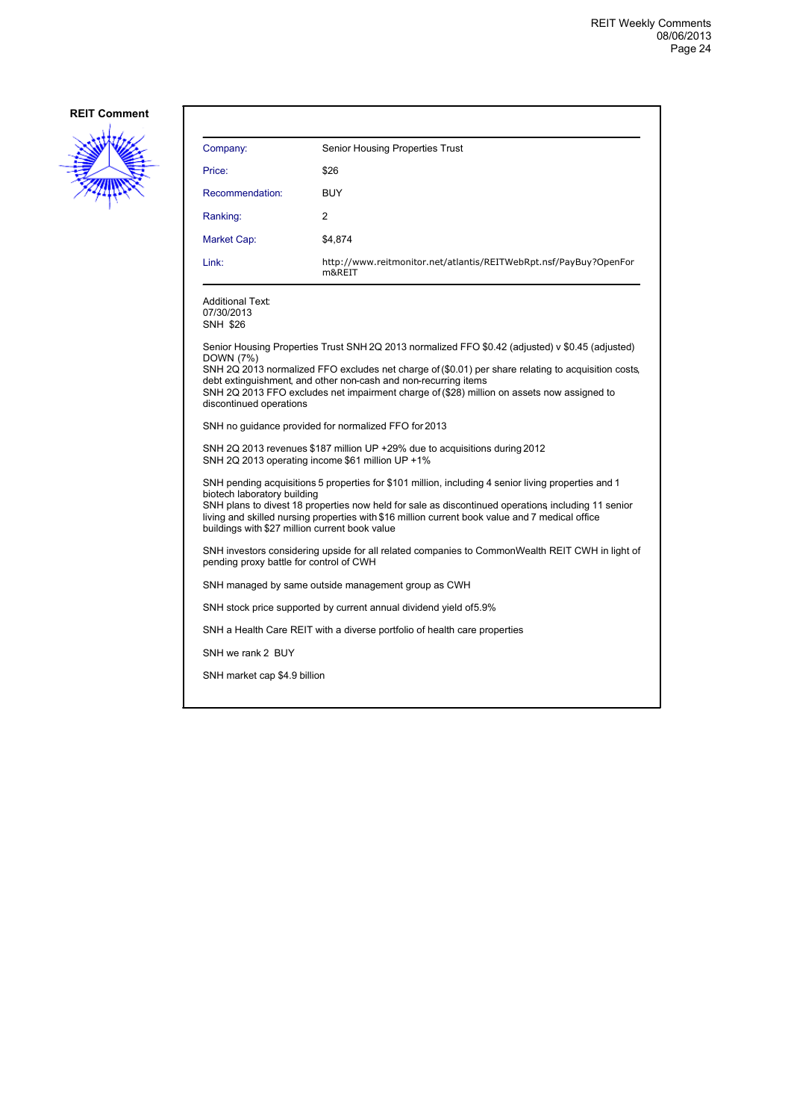

| Company:                                                                                                                                                                                                                                                                                                                                                                                      | Senior Housing Properties Trust                                                                                                                                                                                                                                                                                                                                          |  |
|-----------------------------------------------------------------------------------------------------------------------------------------------------------------------------------------------------------------------------------------------------------------------------------------------------------------------------------------------------------------------------------------------|--------------------------------------------------------------------------------------------------------------------------------------------------------------------------------------------------------------------------------------------------------------------------------------------------------------------------------------------------------------------------|--|
| Price:                                                                                                                                                                                                                                                                                                                                                                                        | \$26                                                                                                                                                                                                                                                                                                                                                                     |  |
| Recommendation:                                                                                                                                                                                                                                                                                                                                                                               | <b>BUY</b>                                                                                                                                                                                                                                                                                                                                                               |  |
| Ranking:                                                                                                                                                                                                                                                                                                                                                                                      | $\overline{2}$                                                                                                                                                                                                                                                                                                                                                           |  |
| Market Cap:                                                                                                                                                                                                                                                                                                                                                                                   | \$4,874                                                                                                                                                                                                                                                                                                                                                                  |  |
| Link:                                                                                                                                                                                                                                                                                                                                                                                         | http://www.reitmonitor.net/atlantis/REITWebRpt.nsf/PayBuy?OpenFor<br>m&REIT                                                                                                                                                                                                                                                                                              |  |
| <b>Additional Text:</b><br>07/30/2013<br><b>SNH \$26</b>                                                                                                                                                                                                                                                                                                                                      |                                                                                                                                                                                                                                                                                                                                                                          |  |
| DOWN (7%)<br>discontinued operations                                                                                                                                                                                                                                                                                                                                                          | Senior Housing Properties Trust SNH 2Q 2013 normalized FFO \$0.42 (adjusted) v \$0.45 (adjusted)<br>SNH 2Q 2013 normalized FFO excludes net charge of (\$0.01) per share relating to acquisition costs,<br>debt extinguishment, and other non-cash and non-recurring items<br>SNH 2Q 2013 FFO excludes net impairment charge of (\$28) million on assets now assigned to |  |
| SNH no guidance provided for normalized FFO for 2013                                                                                                                                                                                                                                                                                                                                          |                                                                                                                                                                                                                                                                                                                                                                          |  |
| SNH 2Q 2013 revenues \$187 million UP +29% due to acquisitions during 2012<br>SNH 2Q 2013 operating income \$61 million UP +1%                                                                                                                                                                                                                                                                |                                                                                                                                                                                                                                                                                                                                                                          |  |
| SNH pending acquisitions 5 properties for \$101 million, including 4 senior living properties and 1<br>biotech laboratory building<br>SNH plans to divest 18 properties now held for sale as discontinued operations including 11 senior<br>living and skilled nursing properties with \$16 million current book value and 7 medical office<br>buildings with \$27 million current book value |                                                                                                                                                                                                                                                                                                                                                                          |  |
| SNH investors considering upside for all related companies to CommonWealth REIT CWH in light of<br>pending proxy battle for control of CWH                                                                                                                                                                                                                                                    |                                                                                                                                                                                                                                                                                                                                                                          |  |
| SNH managed by same outside management group as CWH                                                                                                                                                                                                                                                                                                                                           |                                                                                                                                                                                                                                                                                                                                                                          |  |
|                                                                                                                                                                                                                                                                                                                                                                                               | SNH stock price supported by current annual dividend yield of 5.9%                                                                                                                                                                                                                                                                                                       |  |
| SNH a Health Care REIT with a diverse portfolio of health care properties                                                                                                                                                                                                                                                                                                                     |                                                                                                                                                                                                                                                                                                                                                                          |  |
| SNH we rank 2 BUY                                                                                                                                                                                                                                                                                                                                                                             |                                                                                                                                                                                                                                                                                                                                                                          |  |
| SNH market cap \$4.9 billion                                                                                                                                                                                                                                                                                                                                                                  |                                                                                                                                                                                                                                                                                                                                                                          |  |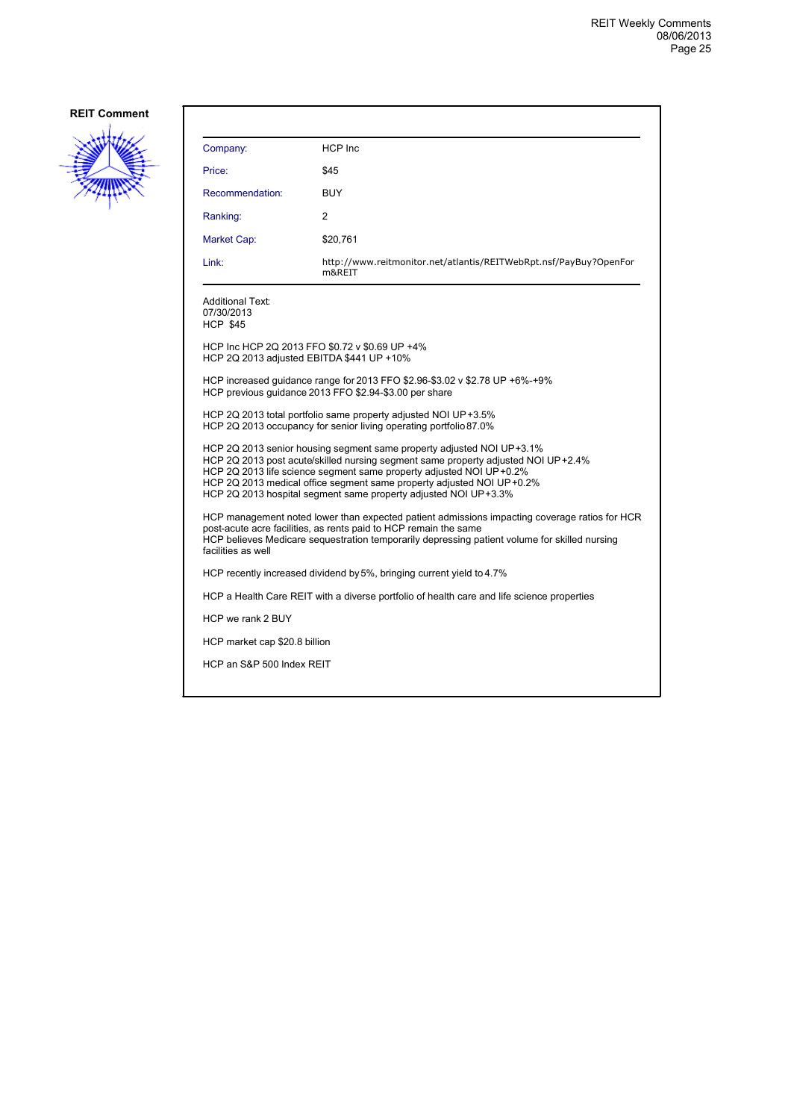

| Company:                                                                                                                                                                                                                                                                                 | <b>HCP</b> Inc                                                                                                                                                                                                                                                                                                                                                                |  |
|------------------------------------------------------------------------------------------------------------------------------------------------------------------------------------------------------------------------------------------------------------------------------------------|-------------------------------------------------------------------------------------------------------------------------------------------------------------------------------------------------------------------------------------------------------------------------------------------------------------------------------------------------------------------------------|--|
| Price:                                                                                                                                                                                                                                                                                   | \$45                                                                                                                                                                                                                                                                                                                                                                          |  |
| Recommendation:                                                                                                                                                                                                                                                                          | BUY                                                                                                                                                                                                                                                                                                                                                                           |  |
| Ranking:                                                                                                                                                                                                                                                                                 | 2                                                                                                                                                                                                                                                                                                                                                                             |  |
| Market Cap:                                                                                                                                                                                                                                                                              | \$20,761                                                                                                                                                                                                                                                                                                                                                                      |  |
| Link:                                                                                                                                                                                                                                                                                    | http://www.reitmonitor.net/atlantis/REITWebRpt.nsf/PayBuy?OpenFor<br>m&REIT                                                                                                                                                                                                                                                                                                   |  |
| <b>Additional Text:</b><br>07/30/2013<br><b>HCP \$45</b>                                                                                                                                                                                                                                 |                                                                                                                                                                                                                                                                                                                                                                               |  |
| HCP 2Q 2013 adjusted EBITDA \$441 UP +10%                                                                                                                                                                                                                                                | HCP Inc HCP 2Q 2013 FFO \$0.72 v \$0.69 UP +4%                                                                                                                                                                                                                                                                                                                                |  |
|                                                                                                                                                                                                                                                                                          | HCP increased guidance range for 2013 FFO \$2.96-\$3.02 v \$2.78 UP +6%-+9%<br>HCP previous quidance 2013 FFO \$2.94-\$3.00 per share                                                                                                                                                                                                                                         |  |
| HCP 2Q 2013 total portfolio same property adjusted NOI UP+3.5%<br>HCP 2Q 2013 occupancy for senior living operating portfolio 87.0%                                                                                                                                                      |                                                                                                                                                                                                                                                                                                                                                                               |  |
|                                                                                                                                                                                                                                                                                          | HCP 2Q 2013 senior housing segment same property adjusted NOI UP+3.1%<br>HCP 2Q 2013 post acute/skilled nursing segment same property adjusted NOI UP+2.4%<br>HCP 2Q 2013 life science segment same property adjusted NOI UP+0.2%<br>HCP 2Q 2013 medical office segment same property adjusted NOI UP+0.2%<br>HCP 2Q 2013 hospital segment same property adjusted NOI UP+3.3% |  |
| HCP management noted lower than expected patient admissions impacting coverage ratios for HCR<br>post-acute acre facilities, as rents paid to HCP remain the same<br>HCP believes Medicare sequestration temporarily depressing patient volume for skilled nursing<br>facilities as well |                                                                                                                                                                                                                                                                                                                                                                               |  |
|                                                                                                                                                                                                                                                                                          | HCP recently increased dividend by 5%, bringing current yield to 4.7%                                                                                                                                                                                                                                                                                                         |  |
|                                                                                                                                                                                                                                                                                          | HCP a Health Care REIT with a diverse portfolio of health care and life science properties                                                                                                                                                                                                                                                                                    |  |
| HCP we rank 2 BUY                                                                                                                                                                                                                                                                        |                                                                                                                                                                                                                                                                                                                                                                               |  |
| HCP market cap \$20.8 billion                                                                                                                                                                                                                                                            |                                                                                                                                                                                                                                                                                                                                                                               |  |
| HCP an S&P 500 Index REIT                                                                                                                                                                                                                                                                |                                                                                                                                                                                                                                                                                                                                                                               |  |
|                                                                                                                                                                                                                                                                                          |                                                                                                                                                                                                                                                                                                                                                                               |  |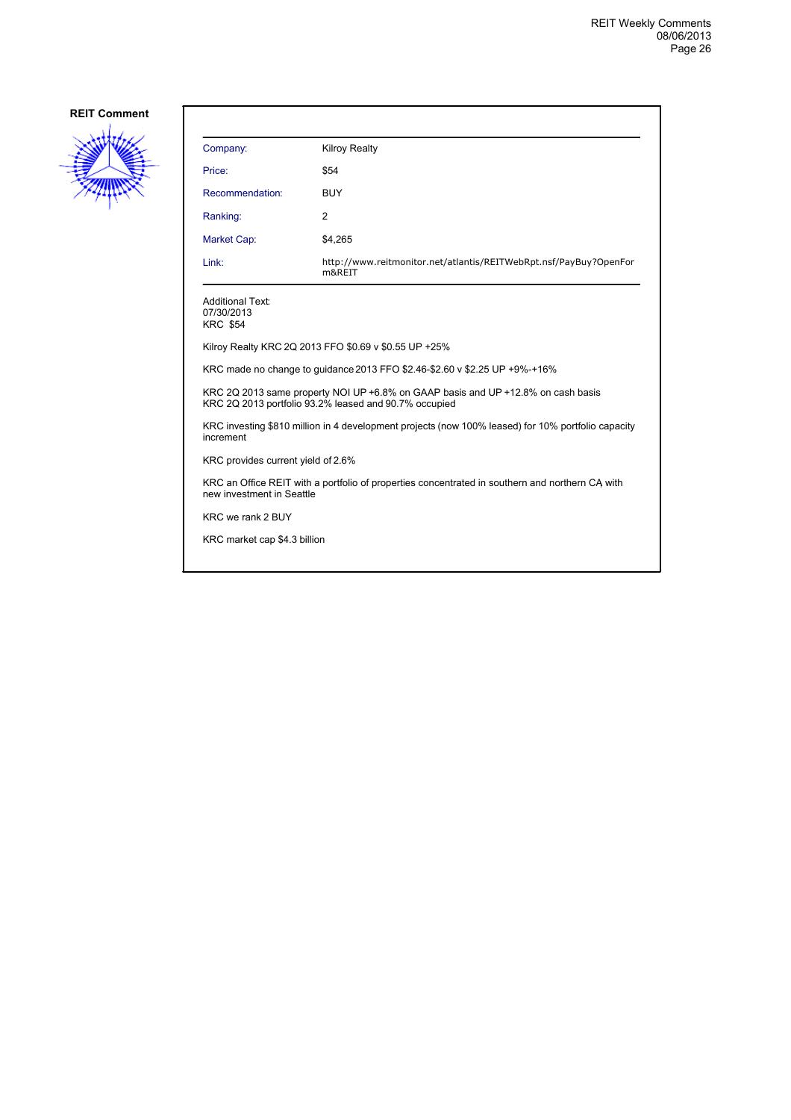

| Company:                                                                                                                     | <b>Kilroy Realty</b>                                                                                                                      |  |
|------------------------------------------------------------------------------------------------------------------------------|-------------------------------------------------------------------------------------------------------------------------------------------|--|
| Price:                                                                                                                       | \$54                                                                                                                                      |  |
| Recommendation:                                                                                                              | <b>BUY</b>                                                                                                                                |  |
| Ranking:                                                                                                                     | 2                                                                                                                                         |  |
| <b>Market Cap:</b>                                                                                                           | \$4,265                                                                                                                                   |  |
| Link:                                                                                                                        | http://www.reitmonitor.net/atlantis/REITWebRpt.nsf/PayBuy?OpenFor<br>m&REIT                                                               |  |
| <b>Additional Text:</b><br>07/30/2013<br><b>KRC \$54</b>                                                                     |                                                                                                                                           |  |
|                                                                                                                              | Kilroy Realty KRC 2Q 2013 FFO \$0.69 v \$0.55 UP +25%                                                                                     |  |
| KRC made no change to quidance 2013 FFO \$2.46-\$2.60 v \$2.25 UP +9%-+16%                                                   |                                                                                                                                           |  |
|                                                                                                                              | KRC 2Q 2013 same property NOI UP +6.8% on GAAP basis and UP +12.8% on cash basis<br>KRC 2Q 2013 portfolio 93.2% leased and 90.7% occupied |  |
| KRC investing \$810 million in 4 development projects (now 100% leased) for 10% portfolio capacity<br>increment              |                                                                                                                                           |  |
| KRC provides current yield of 2.6%                                                                                           |                                                                                                                                           |  |
| KRC an Office REIT with a portfolio of properties concentrated in southern and northern CA with<br>new investment in Seattle |                                                                                                                                           |  |
| KRC we rank 2 BUY                                                                                                            |                                                                                                                                           |  |
| KRC market cap \$4.3 billion                                                                                                 |                                                                                                                                           |  |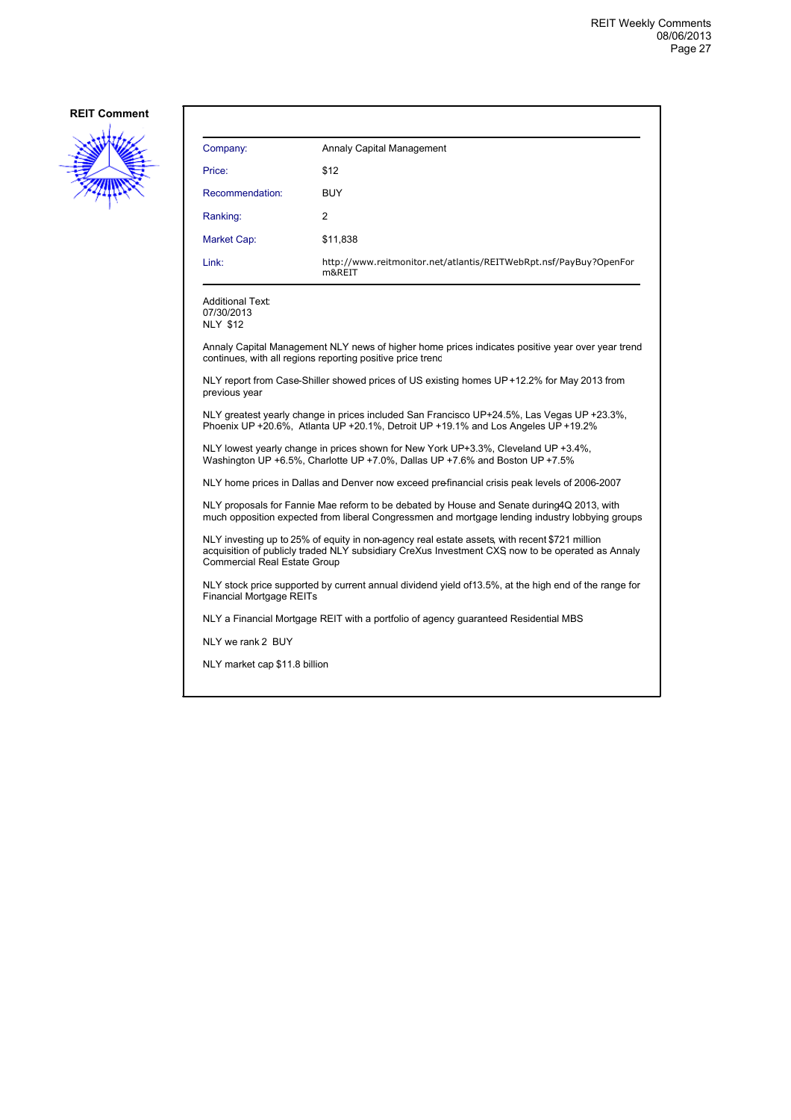

| Company:        | Annaly Capital Management                                                   |
|-----------------|-----------------------------------------------------------------------------|
| Price:          | \$12                                                                        |
| Recommendation: | <b>BUY</b>                                                                  |
| Ranking:        | 2                                                                           |
| Market Cap:     | \$11,838                                                                    |
| Link:           | http://www.reitmonitor.net/atlantis/REITWebRpt.nsf/PayBuy?OpenFor<br>m&REIT |

Additional Text: 07/30/2013

NLY \$12

Annaly Capital Management NLY news of higher home prices indicates positive year over year trend continues, with all regions reporting positive price trend

NLY report from Case-Shiller showed prices of US existing homes UP +12.2% for May 2013 from previous year

NLY greatest yearly change in prices included San Francisco UP +24.5%, Las Vegas UP +23.3%, Phoenix UP +20.6%, Atlanta UP +20.1%, Detroit UP +19.1% and Los Angeles UP +19.2%

NLY lowest yearly change in prices shown for New York UP+3.3%, Cleveland UP +3.4%, Washington UP +6.5%, Charlotte UP +7.0%, Dallas UP +7.6% and Boston UP +7.5%

NLY home prices in Dallas and Denver now exceed prefinancial crisis peak levels of 2006-2007

NLY proposals for Fannie Mae reform to be debated by House and Senate during 4Q 2013, with much opposition expected from liberal Congressmen and mortgage lending industry lobbying groups

NLY investing up to 25% of equity in non-agency real estate assets, with recent \$721 million acquisition of publicly traded NLY subsidiary CreXus Investment CXS, now to be operated as Annaly Commercial Real Estate Group

NLY stock price supported by current annual dividend yield of 13.5%, at the high end of the range for Financial Mortgage REITs

NLY a Financial Mortgage REIT with a portfolio of agency guaranteed Residential MBS

NLY we rank 2 BUY

NLY market cap \$11.8 billion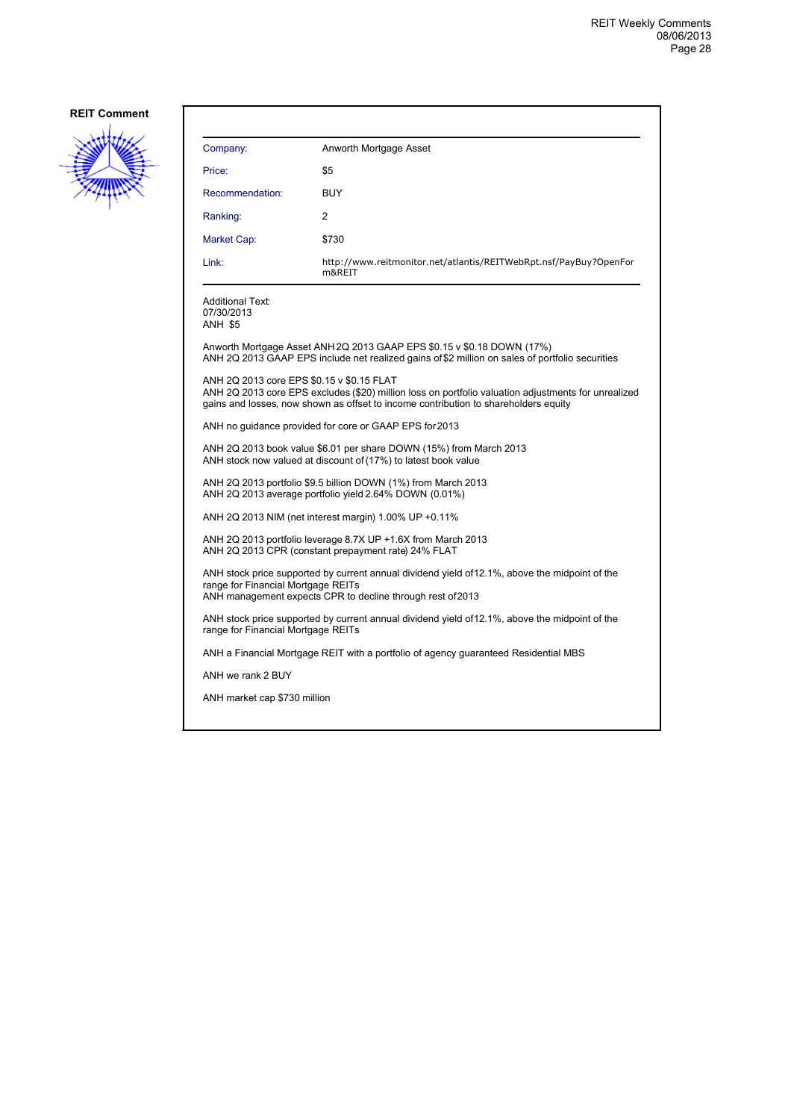

| Company:                                                                                                                                                                                                                                | Anworth Mortgage Asset                                                                                                                                                    |  |
|-----------------------------------------------------------------------------------------------------------------------------------------------------------------------------------------------------------------------------------------|---------------------------------------------------------------------------------------------------------------------------------------------------------------------------|--|
| Price:                                                                                                                                                                                                                                  | \$5                                                                                                                                                                       |  |
| Recommendation:                                                                                                                                                                                                                         | <b>BUY</b>                                                                                                                                                                |  |
| Ranking:                                                                                                                                                                                                                                | 2                                                                                                                                                                         |  |
| Market Cap:                                                                                                                                                                                                                             | \$730                                                                                                                                                                     |  |
| Link:                                                                                                                                                                                                                                   | http://www.reitmonitor.net/atlantis/REITWebRpt.nsf/PayBuy?OpenFor<br>m&REIT                                                                                               |  |
| <b>Additional Text:</b><br>07/30/2013<br><b>ANH \$5</b>                                                                                                                                                                                 |                                                                                                                                                                           |  |
|                                                                                                                                                                                                                                         | Anworth Mortgage Asset ANH 2Q 2013 GAAP EPS \$0.15 v \$0.18 DOWN (17%)<br>ANH 2Q 2013 GAAP EPS include net realized gains of \$2 million on sales of portfolio securities |  |
| ANH 2Q 2013 core EPS \$0.15 v \$0.15 FLAT<br>ANH 2Q 2013 core EPS excludes (\$20) million loss on portfolio valuation adjustments for unrealized<br>gains and losses, now shown as offset to income contribution to shareholders equity |                                                                                                                                                                           |  |
| ANH no quidance provided for core or GAAP EPS for 2013                                                                                                                                                                                  |                                                                                                                                                                           |  |
| ANH 2Q 2013 book value \$6.01 per share DOWN (15%) from March 2013<br>ANH stock now valued at discount of (17%) to latest book value                                                                                                    |                                                                                                                                                                           |  |
| ANH 2Q 2013 portfolio \$9.5 billion DOWN (1%) from March 2013<br>ANH 2Q 2013 average portfolio yield 2.64% DOWN (0.01%)                                                                                                                 |                                                                                                                                                                           |  |
| ANH 2Q 2013 NIM (net interest margin) 1.00% UP +0.11%                                                                                                                                                                                   |                                                                                                                                                                           |  |
| ANH 2Q 2013 portfolio leverage 8.7X UP +1.6X from March 2013<br>ANH 2Q 2013 CPR (constant prepayment rate) 24% FLAT                                                                                                                     |                                                                                                                                                                           |  |
| ANH stock price supported by current annual dividend yield of 12.1%, above the midpoint of the<br>range for Financial Mortgage REITs<br>ANH management expects CPR to decline through rest of 2013                                      |                                                                                                                                                                           |  |
|                                                                                                                                                                                                                                         | ANH stock price supported by current annual dividend yield of 12.1%, above the midpoint of the<br>range for Financial Mortgage REITs                                      |  |
|                                                                                                                                                                                                                                         | ANH a Financial Mortgage REIT with a portfolio of agency guaranteed Residential MBS                                                                                       |  |
| ANH we rank 2 BUY                                                                                                                                                                                                                       |                                                                                                                                                                           |  |
| ANH market cap \$730 million                                                                                                                                                                                                            |                                                                                                                                                                           |  |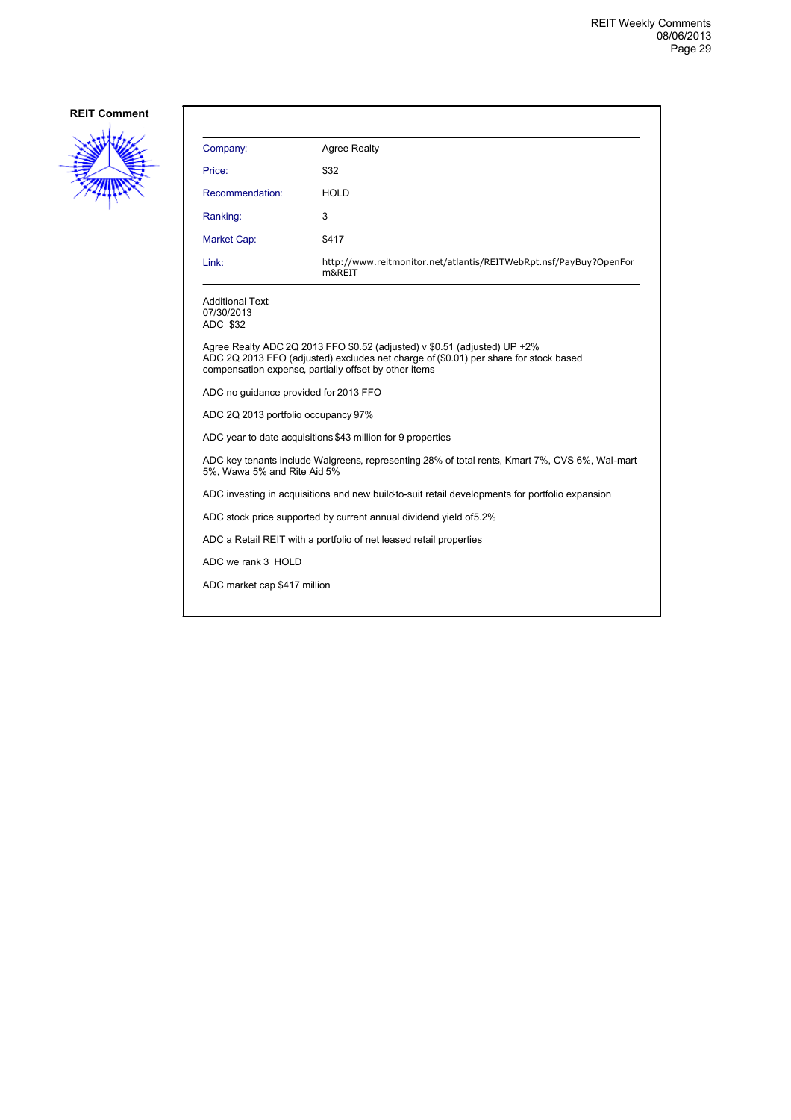

| Company:                                                                                                                                                                                                                     | <b>Agree Realty</b>                                                                             |  |
|------------------------------------------------------------------------------------------------------------------------------------------------------------------------------------------------------------------------------|-------------------------------------------------------------------------------------------------|--|
| Price:                                                                                                                                                                                                                       | \$32                                                                                            |  |
| Recommendation:                                                                                                                                                                                                              | HOLD                                                                                            |  |
| Ranking:                                                                                                                                                                                                                     | 3                                                                                               |  |
| Market Cap:                                                                                                                                                                                                                  | \$417                                                                                           |  |
| Link:                                                                                                                                                                                                                        | http://www.reitmonitor.net/atlantis/REITWebRpt.nsf/PayBuy?OpenFor<br>m&REIT                     |  |
| <b>Additional Text:</b><br>07/30/2013<br>ADC \$32                                                                                                                                                                            |                                                                                                 |  |
| Agree Realty ADC 2Q 2013 FFO $$0.52$ (adjusted) v $$0.51$ (adjusted) UP +2%<br>ADC 2Q 2013 FFO (adjusted) excludes net charge of (\$0.01) per share for stock based<br>compensation expense, partially offset by other items |                                                                                                 |  |
| ADC no quidance provided for 2013 FFO                                                                                                                                                                                        |                                                                                                 |  |
| ADC 2Q 2013 portfolio occupancy 97%                                                                                                                                                                                          |                                                                                                 |  |
|                                                                                                                                                                                                                              | ADC year to date acquisitions \$43 million for 9 properties                                     |  |
| ADC key tenants include Walgreens, representing 28% of total rents, Kmart 7%, CVS 6%, Wal-mart<br>5%, Wawa 5% and Rite Aid 5%                                                                                                |                                                                                                 |  |
|                                                                                                                                                                                                                              | ADC investing in acquisitions and new build-to-suit retail developments for portfolio expansion |  |
| ADC stock price supported by current annual dividend yield of 5.2%                                                                                                                                                           |                                                                                                 |  |
| ADC a Retail REIT with a portfolio of net leased retail properties                                                                                                                                                           |                                                                                                 |  |
| ADC we rank 3 HOLD                                                                                                                                                                                                           |                                                                                                 |  |
| ADC market cap \$417 million                                                                                                                                                                                                 |                                                                                                 |  |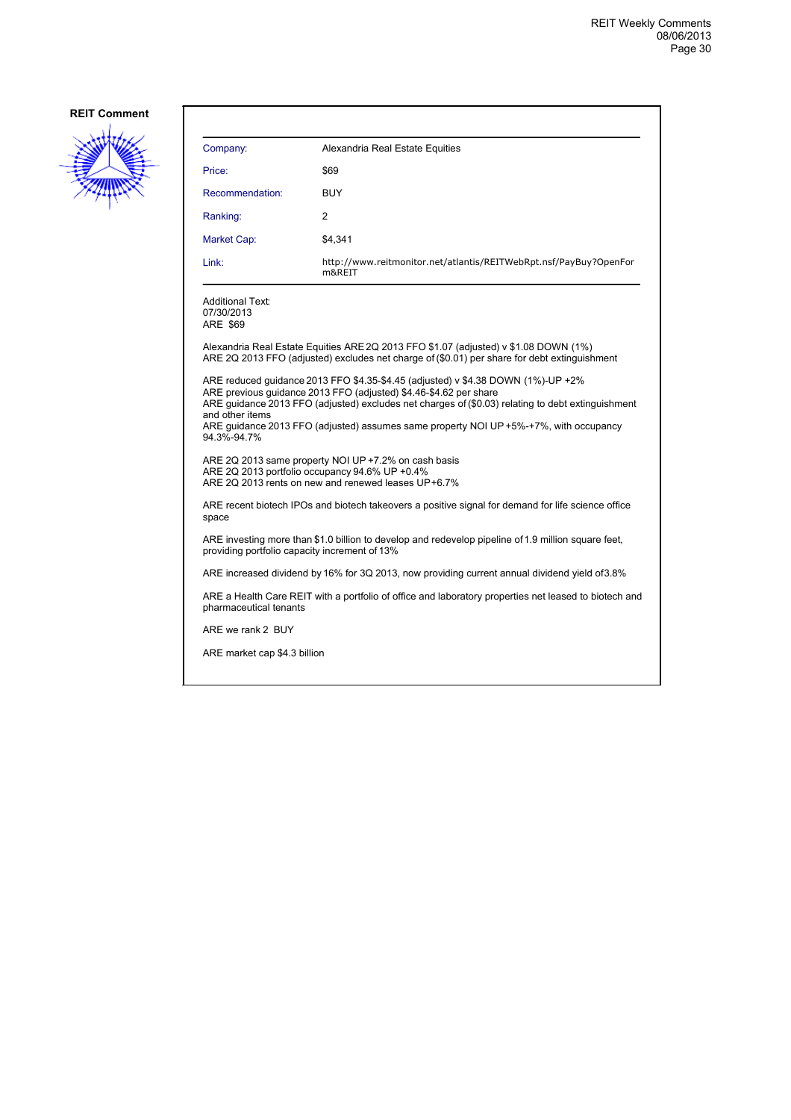

| Company:                                          | Alexandria Real Estate Equities                                                                                                                                                                                                                                                                                                                     |
|---------------------------------------------------|-----------------------------------------------------------------------------------------------------------------------------------------------------------------------------------------------------------------------------------------------------------------------------------------------------------------------------------------------------|
| Price:                                            | \$69                                                                                                                                                                                                                                                                                                                                                |
| Recommendation:                                   | <b>BUY</b>                                                                                                                                                                                                                                                                                                                                          |
| Ranking:                                          | 2                                                                                                                                                                                                                                                                                                                                                   |
| Market Cap:                                       | \$4,341                                                                                                                                                                                                                                                                                                                                             |
| Link:                                             | http://www.reitmonitor.net/atlantis/REITWebRpt.nsf/PayBuy?OpenFor<br>m&REIT                                                                                                                                                                                                                                                                         |
| <b>Additional Text:</b><br>07/30/2013<br>ARE \$69 |                                                                                                                                                                                                                                                                                                                                                     |
|                                                   | Alexandria Real Estate Equities ARE 2Q 2013 FFO \$1.07 (adjusted) v \$1.08 DOWN (1%)<br>ARE 2Q 2013 FFO (adjusted) excludes net charge of (\$0.01) per share for debt extinguishment                                                                                                                                                                |
| and other items<br>94.3%-94.7%                    | ARE reduced guidance 2013 FFO \$4.35-\$4.45 (adjusted) v \$4.38 DOWN (1%)-UP +2%<br>ARE previous quidance 2013 FFO (adjusted) \$4.46-\$4.62 per share<br>ARE guidance 2013 FFO (adjusted) excludes net charges of (\$0.03) relating to debt extinguishment<br>ARE quidance 2013 FFO (adjusted) assumes same property NOI UP +5%-+7%, with occupancy |
| ARE 2Q 2013 portfolio occupancy 94.6% UP +0.4%    | ARE 2Q 2013 same property NOI UP +7.2% on cash basis<br>ARE 2Q 2013 rents on new and renewed leases UP+6.7%                                                                                                                                                                                                                                         |
| space                                             | ARE recent biotech IPOs and biotech takeovers a positive signal for demand for life science office                                                                                                                                                                                                                                                  |
| providing portfolio capacity increment of 13%     | ARE investing more than \$1.0 billion to develop and redevelop pipeline of 1.9 million square feet,                                                                                                                                                                                                                                                 |
|                                                   | ARE increased dividend by 16% for 3Q 2013, now providing current annual dividend yield of 3.8%                                                                                                                                                                                                                                                      |
| pharmaceutical tenants                            | ARE a Health Care REIT with a portfolio of office and laboratory properties net leased to biotech and                                                                                                                                                                                                                                               |
| ARE we rank 2 BUY                                 |                                                                                                                                                                                                                                                                                                                                                     |
| ARE market cap \$4.3 billion                      |                                                                                                                                                                                                                                                                                                                                                     |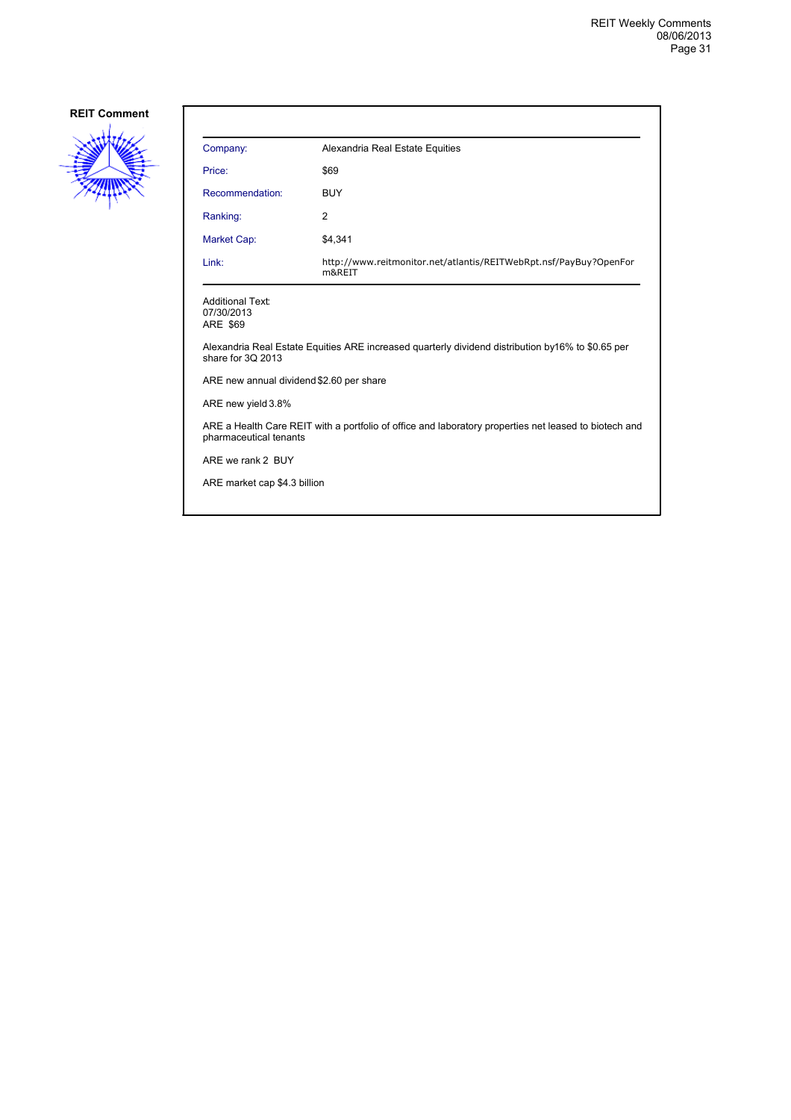

| Company:                                          | Alexandria Real Estate Equities                                                                       |
|---------------------------------------------------|-------------------------------------------------------------------------------------------------------|
| Price:                                            | \$69                                                                                                  |
| Recommendation:                                   | <b>BUY</b>                                                                                            |
| Ranking:                                          | 2                                                                                                     |
| Market Cap:                                       | \$4,341                                                                                               |
| Link:                                             | http://www.reitmonitor.net/atlantis/REITWebRpt.nsf/PayBuy?OpenFor<br>m&REIT                           |
| <b>Additional Text:</b><br>07/30/2013<br>ARE \$69 |                                                                                                       |
| share for 3Q 2013                                 | Alexandria Real Estate Equities ARE increased quarterly dividend distribution by 16% to \$0.65 per    |
| ARE new annual dividend \$2.60 per share          |                                                                                                       |
| ARE new yield 3.8%                                |                                                                                                       |
| pharmaceutical tenants                            | ARE a Health Care REIT with a portfolio of office and laboratory properties net leased to biotech and |
| ARE we rank 2 BUY                                 |                                                                                                       |
| ARE market cap \$4.3 billion                      |                                                                                                       |
|                                                   |                                                                                                       |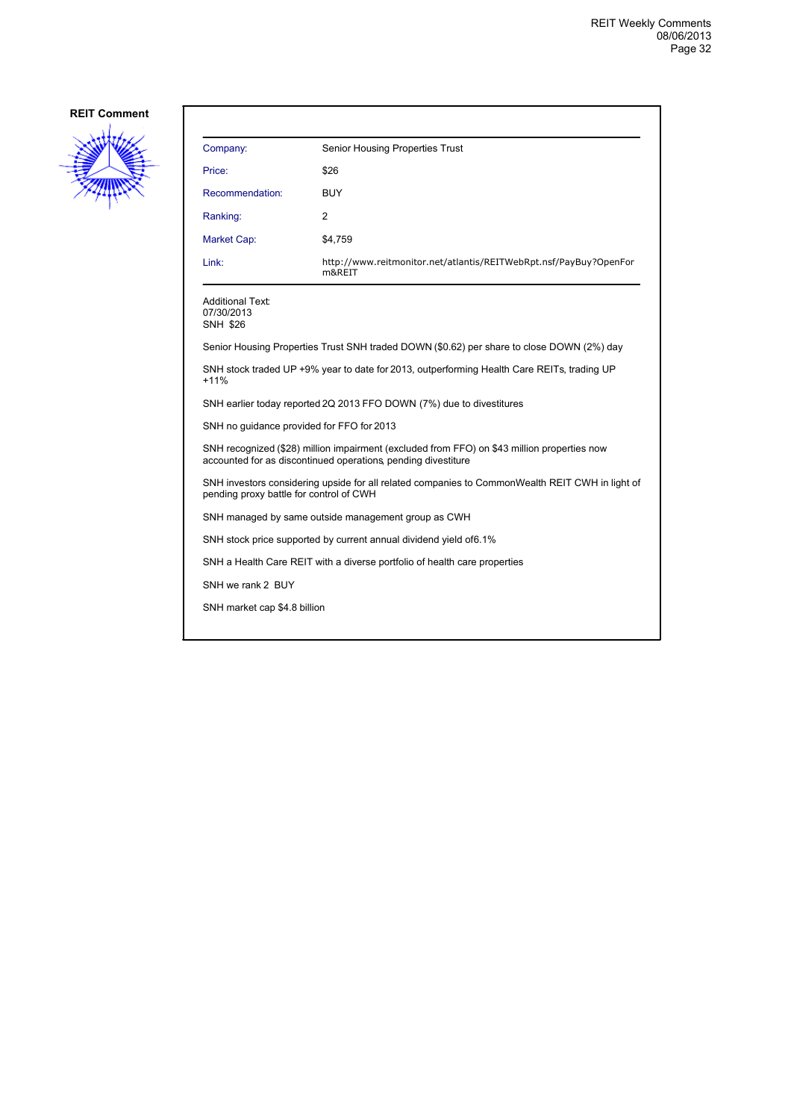

| Company:                                                                                                                                                     | Senior Housing Properties Trust                                                           |  |
|--------------------------------------------------------------------------------------------------------------------------------------------------------------|-------------------------------------------------------------------------------------------|--|
| Price:                                                                                                                                                       | \$26                                                                                      |  |
| Recommendation:                                                                                                                                              | BUY                                                                                       |  |
| Ranking:                                                                                                                                                     | 2                                                                                         |  |
| <b>Market Cap:</b>                                                                                                                                           | \$4,759                                                                                   |  |
| Link:                                                                                                                                                        | http://www.reitmonitor.net/atlantis/REITWebRpt.nsf/PayBuy?OpenFor<br>m&REIT               |  |
| Additional Text:<br>07/30/2013<br><b>SNH \$26</b>                                                                                                            |                                                                                           |  |
|                                                                                                                                                              | Senior Housing Properties Trust SNH traded DOWN (\$0.62) per share to close DOWN (2%) day |  |
| SNH stock traded UP +9% year to date for 2013, outperforming Health Care REITs, trading UP<br>$+11%$                                                         |                                                                                           |  |
| SNH earlier today reported 2Q 2013 FFO DOWN (7%) due to divestitures                                                                                         |                                                                                           |  |
| SNH no guidance provided for FFO for 2013                                                                                                                    |                                                                                           |  |
| SNH recognized (\$28) million impairment (excluded from FFO) on \$43 million properties now<br>accounted for as discontinued operations, pending divestiture |                                                                                           |  |
| SNH investors considering upside for all related companies to CommonWealth REIT CWH in light of<br>pending proxy battle for control of CWH                   |                                                                                           |  |
| SNH managed by same outside management group as CWH                                                                                                          |                                                                                           |  |
|                                                                                                                                                              | SNH stock price supported by current annual dividend yield of 6.1%                        |  |
|                                                                                                                                                              | SNH a Health Care REIT with a diverse portfolio of health care properties                 |  |
| SNH we rank 2 BUY                                                                                                                                            |                                                                                           |  |
| SNH market cap \$4.8 billion                                                                                                                                 |                                                                                           |  |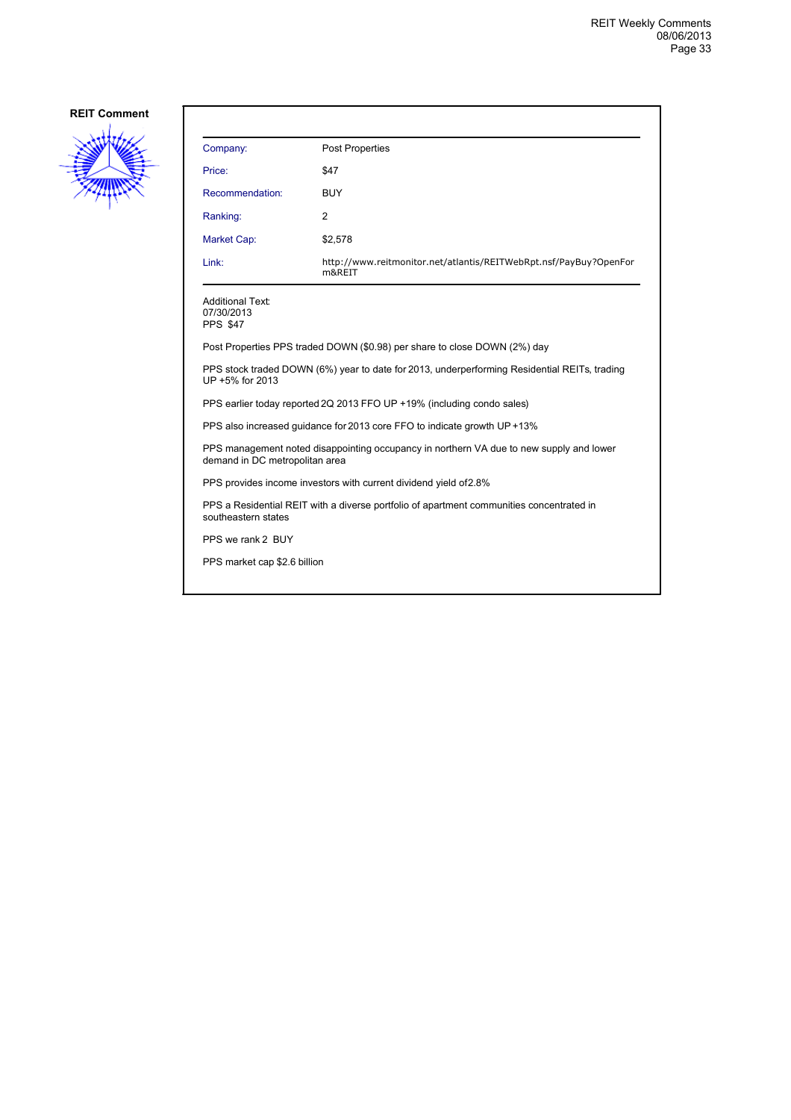

| Company:                                                                                                        | <b>Post Properties</b>                                                      |
|-----------------------------------------------------------------------------------------------------------------|-----------------------------------------------------------------------------|
| Price:                                                                                                          | \$47                                                                        |
| Recommendation:                                                                                                 | <b>BUY</b>                                                                  |
| Ranking:                                                                                                        | 2                                                                           |
| Market Cap:                                                                                                     | \$2,578                                                                     |
| Link:                                                                                                           | http://www.reitmonitor.net/atlantis/REITWebRpt.nsf/PayBuy?OpenFor<br>m&REIT |
| <b>Additional Text:</b><br>07/30/2013<br><b>PPS \$47</b>                                                        |                                                                             |
| Post Properties PPS traded DOWN (\$0.98) per share to close DOWN (2%) day                                       |                                                                             |
| PPS stock traded DOWN (6%) year to date for 2013, underperforming Residential REITs, trading<br>UP +5% for 2013 |                                                                             |
| PPS earlier today reported 2Q 2013 FFO UP +19% (including condo sales)                                          |                                                                             |
| PPS also increased guidance for 2013 core FFO to indicate growth UP +13%                                        |                                                                             |

PPS management noted disappointing occupancy in northern VA due to new supply and lower demand in DC metropolitan area

PPS provides income investors with current dividend yield of 2.8%

PPS a Residential REIT with a diverse portfolio of apartment communities concentrated in southeastern states

PPS we rank 2 BUY

PPS market cap \$2.6 billion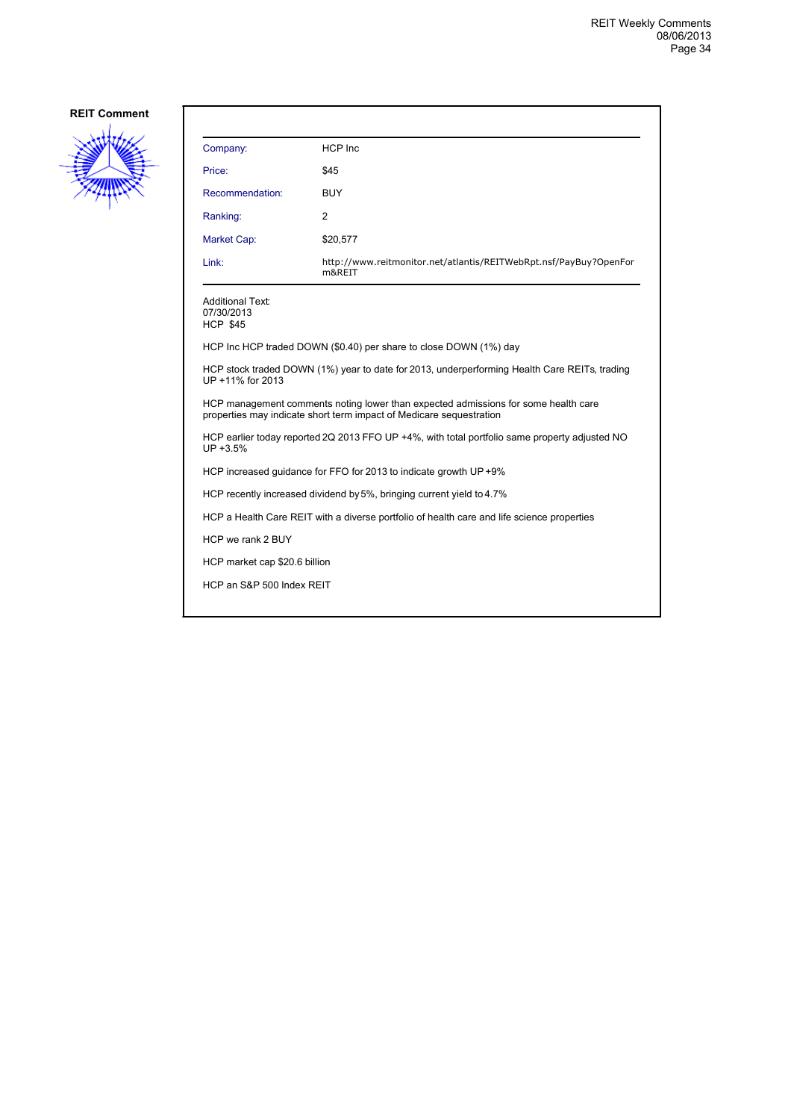

| Company:                                                                                                                                                  | HCP Inc                                                                     |
|-----------------------------------------------------------------------------------------------------------------------------------------------------------|-----------------------------------------------------------------------------|
| Price:                                                                                                                                                    | \$45                                                                        |
| Recommendation:                                                                                                                                           | <b>BUY</b>                                                                  |
| Ranking:                                                                                                                                                  | 2                                                                           |
| Market Cap:                                                                                                                                               | \$20,577                                                                    |
| Link:                                                                                                                                                     | http://www.reitmonitor.net/atlantis/REITWebRpt.nsf/PayBuy?OpenFor<br>m&REIT |
| <b>Additional Text:</b><br>07/30/2013<br><b>HCP \$45</b>                                                                                                  |                                                                             |
|                                                                                                                                                           | HCP Inc HCP traded DOWN (\$0.40) per share to close DOWN (1%) day           |
| HCP stock traded DOWN (1%) year to date for 2013, underperforming Health Care REITs, trading<br>UP +11% for 2013                                          |                                                                             |
| HCP management comments noting lower than expected admissions for some health care<br>properties may indicate short term impact of Medicare sequestration |                                                                             |
| HCP earlier today reported 2Q 2013 FFO UP +4%, with total portfolio same property adjusted NO<br>UP +3.5%                                                 |                                                                             |
| HCP increased quidance for FFO for 2013 to indicate growth UP +9%                                                                                         |                                                                             |
|                                                                                                                                                           | HCP recently increased dividend by 5%, bringing current yield to 4.7%       |
| HCP a Health Care REIT with a diverse portfolio of health care and life science properties                                                                |                                                                             |
| HCP we rank 2 BUY                                                                                                                                         |                                                                             |
| HCP market cap \$20.6 billion                                                                                                                             |                                                                             |
| HCP an S&P 500 Index REIT                                                                                                                                 |                                                                             |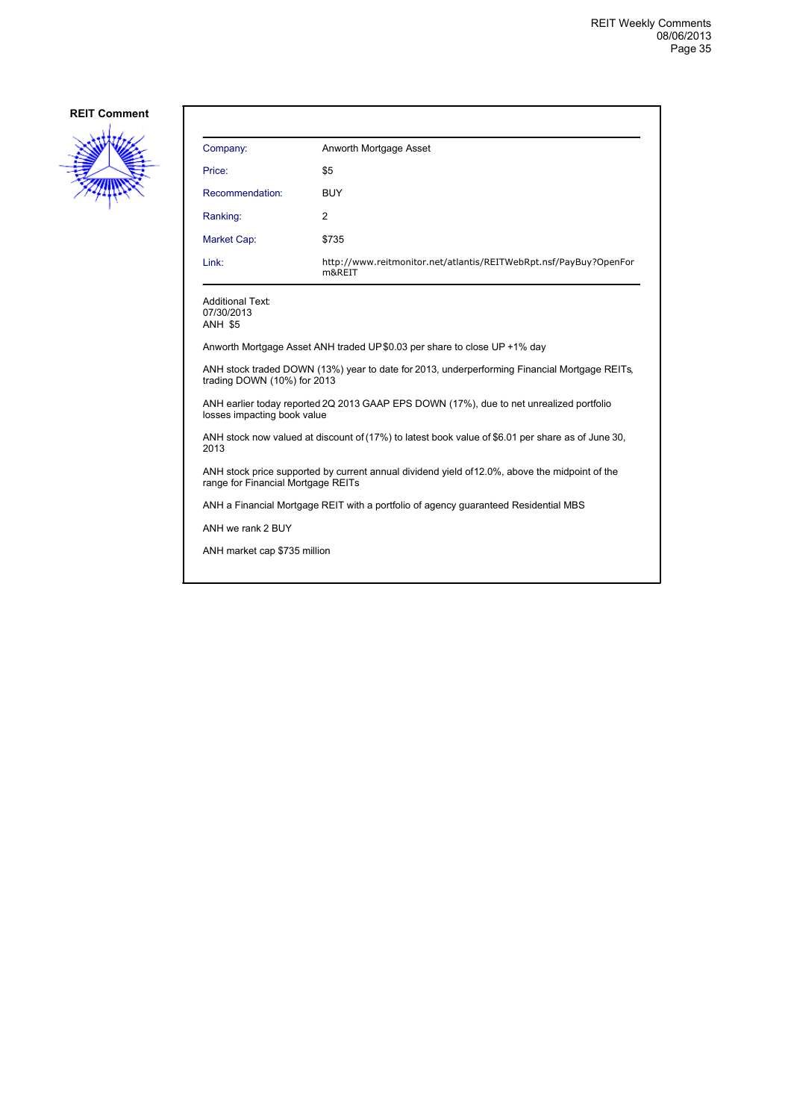

| Company:                                                                                                                             | Anworth Mortgage Asset                                                      |
|--------------------------------------------------------------------------------------------------------------------------------------|-----------------------------------------------------------------------------|
| Price:                                                                                                                               | \$5                                                                         |
| Recommendation:                                                                                                                      | <b>BUY</b>                                                                  |
| Ranking:                                                                                                                             | 2                                                                           |
| Market Cap:                                                                                                                          | \$735                                                                       |
| Link:                                                                                                                                | http://www.reitmonitor.net/atlantis/REITWebRpt.nsf/PayBuy?OpenFor<br>m&REIT |
| <b>Additional Text:</b><br>07/30/2013<br><b>ANH \$5</b>                                                                              |                                                                             |
| Anworth Mortgage Asset ANH traded UP\$0.03 per share to close UP +1% day                                                             |                                                                             |
| ANH stock traded DOWN (13%) year to date for 2013, underperforming Financial Mortgage REITs,<br>trading DOWN (10%) for 2013          |                                                                             |
| ANH earlier today reported 2Q 2013 GAAP EPS DOWN (17%), due to net unrealized portfolio<br>losses impacting book value               |                                                                             |
| ANH stock now valued at discount of (17%) to latest book value of \$6.01 per share as of June 30,<br>2013                            |                                                                             |
| ANH stock price supported by current annual dividend yield of 12.0%, above the midpoint of the<br>range for Financial Mortgage REITs |                                                                             |
| ANH a Financial Mortgage REIT with a portfolio of agency guaranteed Residential MBS                                                  |                                                                             |
| ANH we rank 2 BUY                                                                                                                    |                                                                             |
| ANH market cap \$735 million                                                                                                         |                                                                             |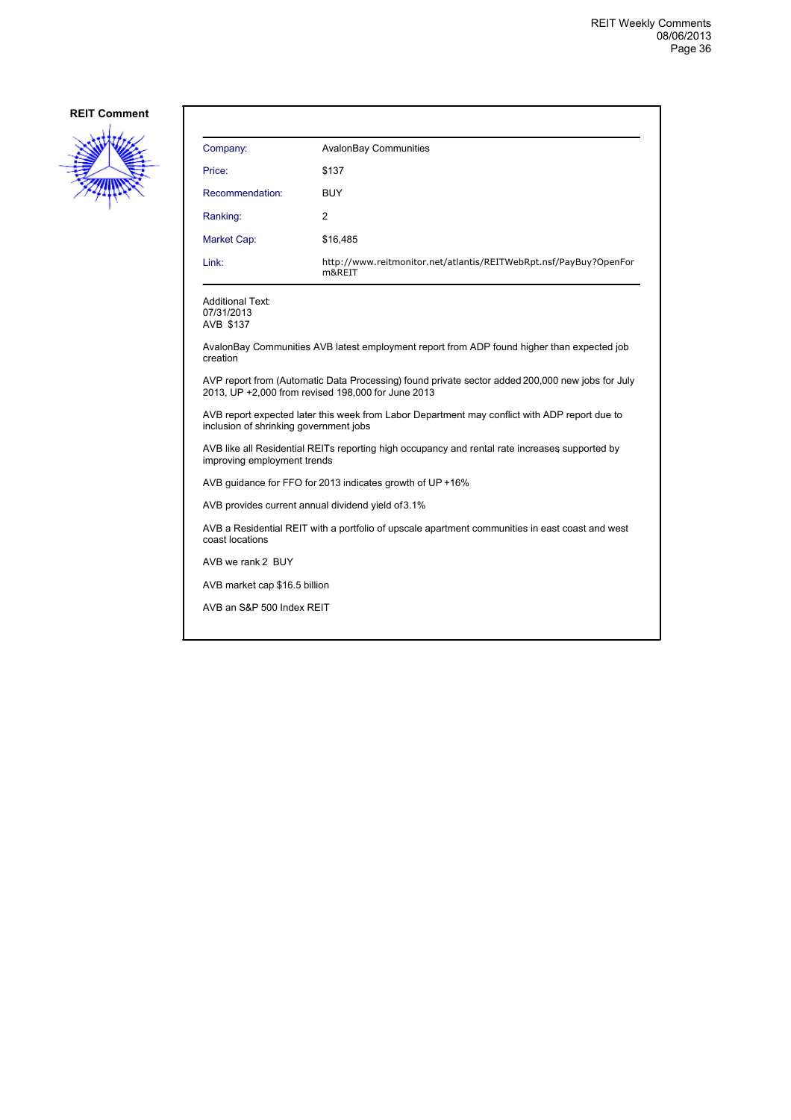

| Company:                                           | AvalonBay Communities                                                       |
|----------------------------------------------------|-----------------------------------------------------------------------------|
| Price:                                             | \$137                                                                       |
| Recommendation:                                    | <b>BUY</b>                                                                  |
| Ranking:                                           | 2                                                                           |
| <b>Market Cap:</b>                                 | \$16,485                                                                    |
| Link:                                              | http://www.reitmonitor.net/atlantis/REITWebRpt.nsf/PayBuy?OpenFor<br>m&REIT |
| <b>Additional Text:</b><br>07/31/2013<br>AVB \$137 |                                                                             |
| .                                                  | .                                                                           |

AvalonBay Communities AVB latest employment report from ADP found higher than expected job creation

AVP report from (Automatic Data Processing) found private sector added 200,000 new jobs for July 2013, UP +2,000 from revised 198,000 for June 2013

AVB report expected later this week from Labor Department may conflict with ADP report due to inclusion of shrinking government jobs

AVB like all Residential REITs reporting high occupancy and rental rate increases, supported by improving employment trends

AVB guidance for FFO for 2013 indicates growth of UP +16%

AVB provides current annual dividend yield of 3.1%

AVB a Residential REIT with a portfolio of upscale apartment communities in east coast and west coast locations

AVB we rank 2 BUY

AVB market cap \$16.5 billion

AVB an S&P 500 Index REIT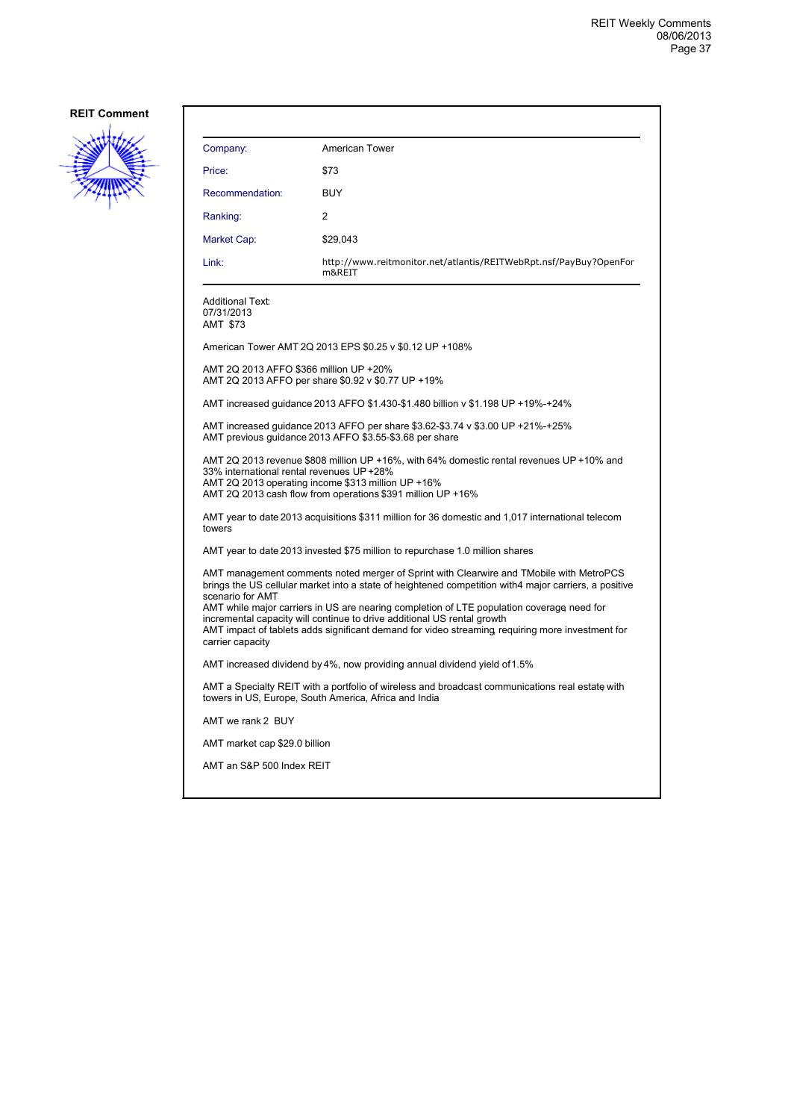

| Company:                                                                                                                                                 | American Tower                                                                                                                                                                                                                                                          |
|----------------------------------------------------------------------------------------------------------------------------------------------------------|-------------------------------------------------------------------------------------------------------------------------------------------------------------------------------------------------------------------------------------------------------------------------|
| Price:                                                                                                                                                   | \$73                                                                                                                                                                                                                                                                    |
| Recommendation:                                                                                                                                          | <b>BUY</b>                                                                                                                                                                                                                                                              |
| Ranking:                                                                                                                                                 | 2                                                                                                                                                                                                                                                                       |
| Market Cap:                                                                                                                                              | \$29,043                                                                                                                                                                                                                                                                |
| Link:                                                                                                                                                    | http://www.reitmonitor.net/atlantis/REITWebRpt.nsf/PayBuy?OpenFor<br>m&REIT                                                                                                                                                                                             |
| Additional Text:<br>07/31/2013<br>AMT \$73                                                                                                               |                                                                                                                                                                                                                                                                         |
|                                                                                                                                                          | American Tower AMT 2Q 2013 EPS \$0.25 v \$0.12 UP +108%                                                                                                                                                                                                                 |
| AMT 2Q 2013 AFFO \$366 million UP +20%                                                                                                                   | AMT 2Q 2013 AFFO per share \$0.92 v \$0.77 UP +19%                                                                                                                                                                                                                      |
|                                                                                                                                                          | AMT increased guidance 2013 AFFO \$1.430-\$1.480 billion v \$1.198 UP +19%-+24%                                                                                                                                                                                         |
|                                                                                                                                                          | AMT increased quidance 2013 AFFO per share \$3.62-\$3.74 v \$3.00 UP +21%-+25%<br>AMT previous quidance 2013 AFFO \$3.55-\$3.68 per share                                                                                                                               |
| 33% international rental revenues UP +28%                                                                                                                | AMT 2Q 2013 revenue \$808 million UP +16%, with 64% domestic rental revenues UP +10% and<br>AMT 2Q 2013 operating income \$313 million UP +16%<br>AMT 2Q 2013 cash flow from operations \$391 million UP +16%                                                           |
| towers                                                                                                                                                   | AMT year to date 2013 acquisitions \$311 million for 36 domestic and 1,017 international telecom                                                                                                                                                                        |
|                                                                                                                                                          | AMT year to date 2013 invested \$75 million to repurchase 1.0 million shares                                                                                                                                                                                            |
| scenario for AMT                                                                                                                                         | AMT management comments noted merger of Sprint with Clearwire and TMobile with MetroPCS<br>brings the US cellular market into a state of heightened competition with4 major carriers, a positive                                                                        |
| carrier capacity                                                                                                                                         | AMT while major carriers in US are nearing completion of LTE population coverage need for<br>incremental capacity will continue to drive additional US rental growth<br>AMT impact of tablets adds significant demand for video streaming requiring more investment for |
|                                                                                                                                                          | AMT increased dividend by 4%, now providing annual dividend yield of 1.5%                                                                                                                                                                                               |
| AMT a Specialty REIT with a portfolio of wireless and broadcast communications real estate with<br>towers in US, Europe, South America, Africa and India |                                                                                                                                                                                                                                                                         |
| AMT we rank 2 BUY                                                                                                                                        |                                                                                                                                                                                                                                                                         |
| AMT market cap \$29.0 billion                                                                                                                            |                                                                                                                                                                                                                                                                         |
| AMT an S&P 500 Index REIT                                                                                                                                |                                                                                                                                                                                                                                                                         |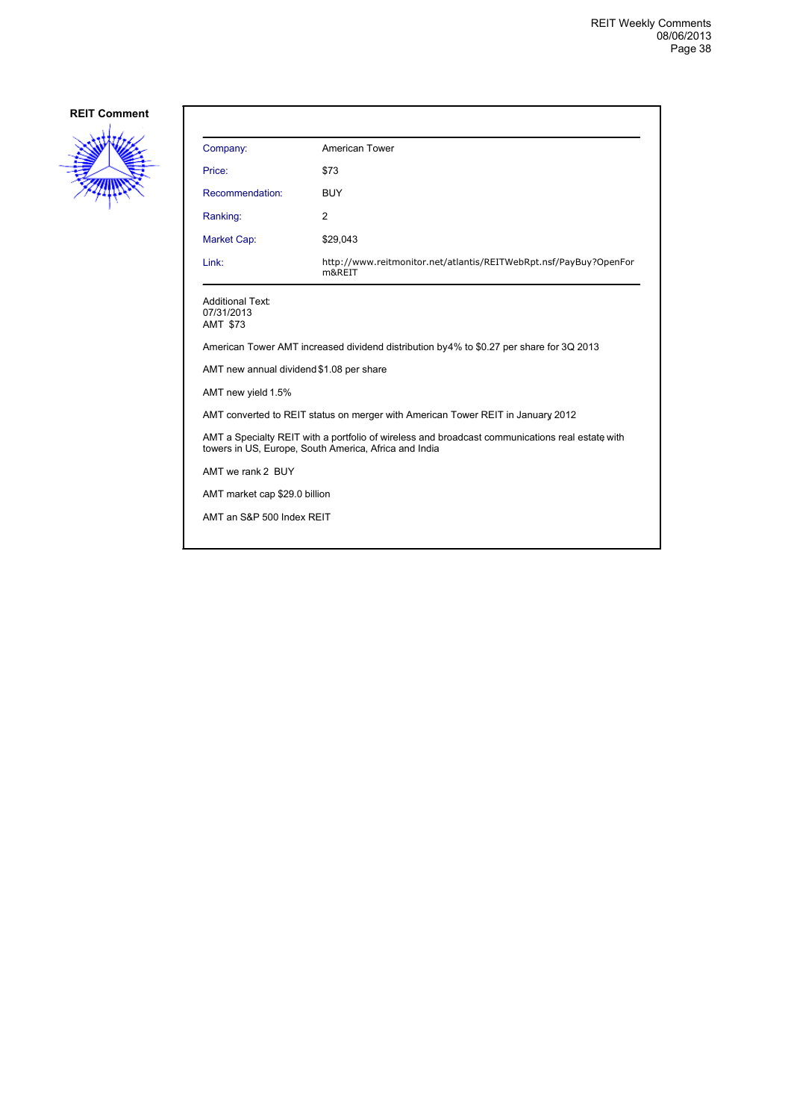

| Company:                                                                                                                                                 | American Tower                                                                           |  |
|----------------------------------------------------------------------------------------------------------------------------------------------------------|------------------------------------------------------------------------------------------|--|
| Price:                                                                                                                                                   | \$73                                                                                     |  |
| Recommendation:                                                                                                                                          | <b>BUY</b>                                                                               |  |
| Ranking:                                                                                                                                                 | $\overline{2}$                                                                           |  |
| Market Cap:                                                                                                                                              | \$29,043                                                                                 |  |
| Link:                                                                                                                                                    | http://www.reitmonitor.net/atlantis/REITWebRpt.nsf/PayBuy?OpenFor<br>m&REIT              |  |
| <b>Additional Text:</b><br>07/31/2013<br><b>AMT \$73</b>                                                                                                 |                                                                                          |  |
|                                                                                                                                                          | American Tower AMT increased dividend distribution by 4% to \$0.27 per share for 3Q 2013 |  |
| AMT new annual dividend \$1.08 per share                                                                                                                 |                                                                                          |  |
| AMT new yield 1.5%                                                                                                                                       |                                                                                          |  |
| AMT converted to REIT status on merger with American Tower REIT in January 2012                                                                          |                                                                                          |  |
| AMT a Specialty REIT with a portfolio of wireless and broadcast communications real estate with<br>towers in US, Europe, South America, Africa and India |                                                                                          |  |
| AMT we rank 2 BUY                                                                                                                                        |                                                                                          |  |
| AMT market cap \$29.0 billion                                                                                                                            |                                                                                          |  |
| AMT an S&P 500 Index REIT                                                                                                                                |                                                                                          |  |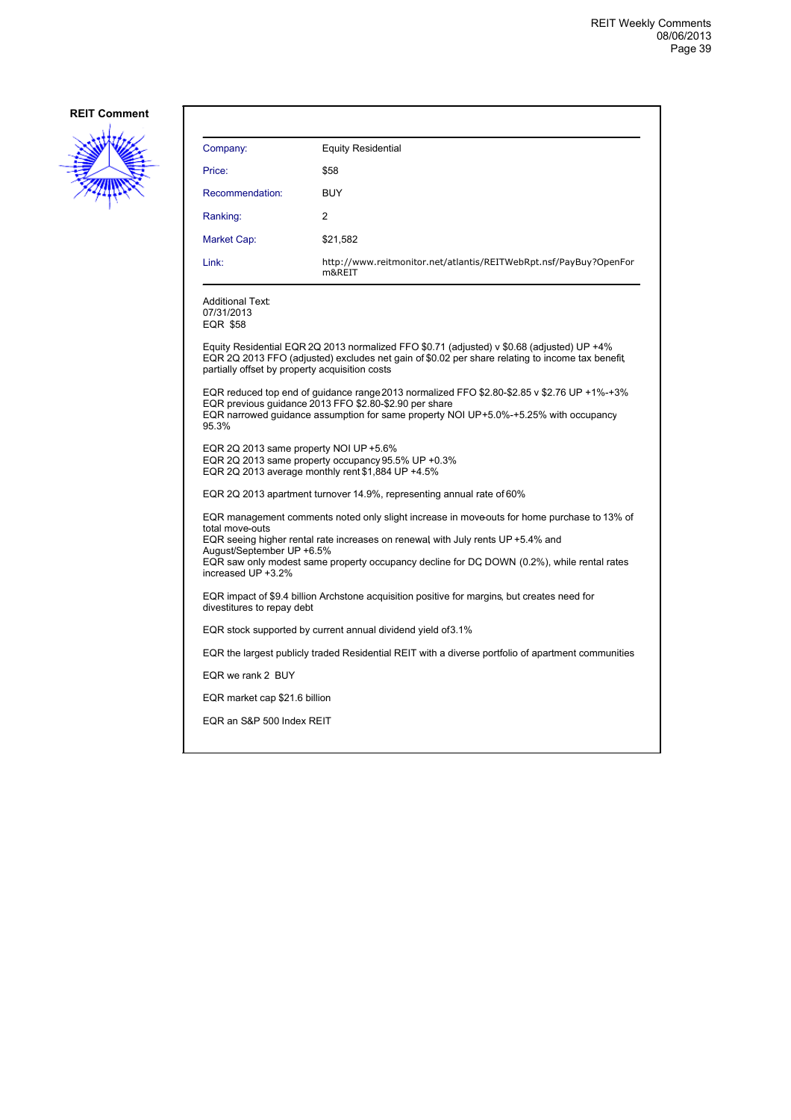

| Company:                                                                                                                                                                                                                                                                                                                                          | <b>Equity Residential</b>                                                                                                                                                                                                                     |  |
|---------------------------------------------------------------------------------------------------------------------------------------------------------------------------------------------------------------------------------------------------------------------------------------------------------------------------------------------------|-----------------------------------------------------------------------------------------------------------------------------------------------------------------------------------------------------------------------------------------------|--|
| Price:                                                                                                                                                                                                                                                                                                                                            | \$58                                                                                                                                                                                                                                          |  |
| Recommendation:                                                                                                                                                                                                                                                                                                                                   | <b>BUY</b>                                                                                                                                                                                                                                    |  |
| Ranking:                                                                                                                                                                                                                                                                                                                                          | 2                                                                                                                                                                                                                                             |  |
| Market Cap:                                                                                                                                                                                                                                                                                                                                       | \$21,582                                                                                                                                                                                                                                      |  |
| Link:                                                                                                                                                                                                                                                                                                                                             | http://www.reitmonitor.net/atlantis/REITWebRpt.nsf/PayBuy?OpenFor<br>m&REIT                                                                                                                                                                   |  |
| <b>Additional Text:</b><br>07/31/2013<br><b>EQR \$58</b>                                                                                                                                                                                                                                                                                          |                                                                                                                                                                                                                                               |  |
| partially offset by property acquisition costs                                                                                                                                                                                                                                                                                                    | Equity Residential EQR 2Q 2013 normalized FFO \$0.71 (adjusted) v \$0.68 (adjusted) UP +4%<br>EQR 2Q 2013 FFO (adjusted) excludes net gain of \$0.02 per share relating to income tax benefit                                                 |  |
| 95.3%                                                                                                                                                                                                                                                                                                                                             | EQR reduced top end of guidance range 2013 normalized FFO \$2.80-\$2.85 v \$2.76 UP +1%-+3%<br>EQR previous guidance 2013 FFO \$2.80-\$2.90 per share<br>EQR narrowed guidance assumption for same property NOI UP+5.0%-+5.25% with occupancy |  |
| EQR 2Q 2013 same property NOI UP +5.6%                                                                                                                                                                                                                                                                                                            | EQR 2Q 2013 same property occupancy 95.5% UP +0.3%<br>EQR 2Q 2013 average monthly rent \$1,884 UP +4.5%                                                                                                                                       |  |
| EQR 2Q 2013 apartment turnover 14.9%, representing annual rate of 60%                                                                                                                                                                                                                                                                             |                                                                                                                                                                                                                                               |  |
| EQR management comments noted only slight increase in moveouts for home purchase to 13% of<br>total move-outs<br>EQR seeing higher rental rate increases on renewal with July rents UP +5.4% and<br>August/September UP +6.5%<br>EQR saw only modest same property occupancy decline for DC DOWN (0.2%), while rental rates<br>increased UP +3.2% |                                                                                                                                                                                                                                               |  |
| EQR impact of \$9.4 billion Archstone acquisition positive for margins, but creates need for<br>divestitures to repay debt                                                                                                                                                                                                                        |                                                                                                                                                                                                                                               |  |
|                                                                                                                                                                                                                                                                                                                                                   | EQR stock supported by current annual dividend yield of 3.1%                                                                                                                                                                                  |  |
|                                                                                                                                                                                                                                                                                                                                                   | EQR the largest publicly traded Residential REIT with a diverse portfolio of apartment communities                                                                                                                                            |  |
| EQR we rank 2 BUY                                                                                                                                                                                                                                                                                                                                 |                                                                                                                                                                                                                                               |  |
| EQR market cap \$21.6 billion                                                                                                                                                                                                                                                                                                                     |                                                                                                                                                                                                                                               |  |
| EQR an S&P 500 Index REIT                                                                                                                                                                                                                                                                                                                         |                                                                                                                                                                                                                                               |  |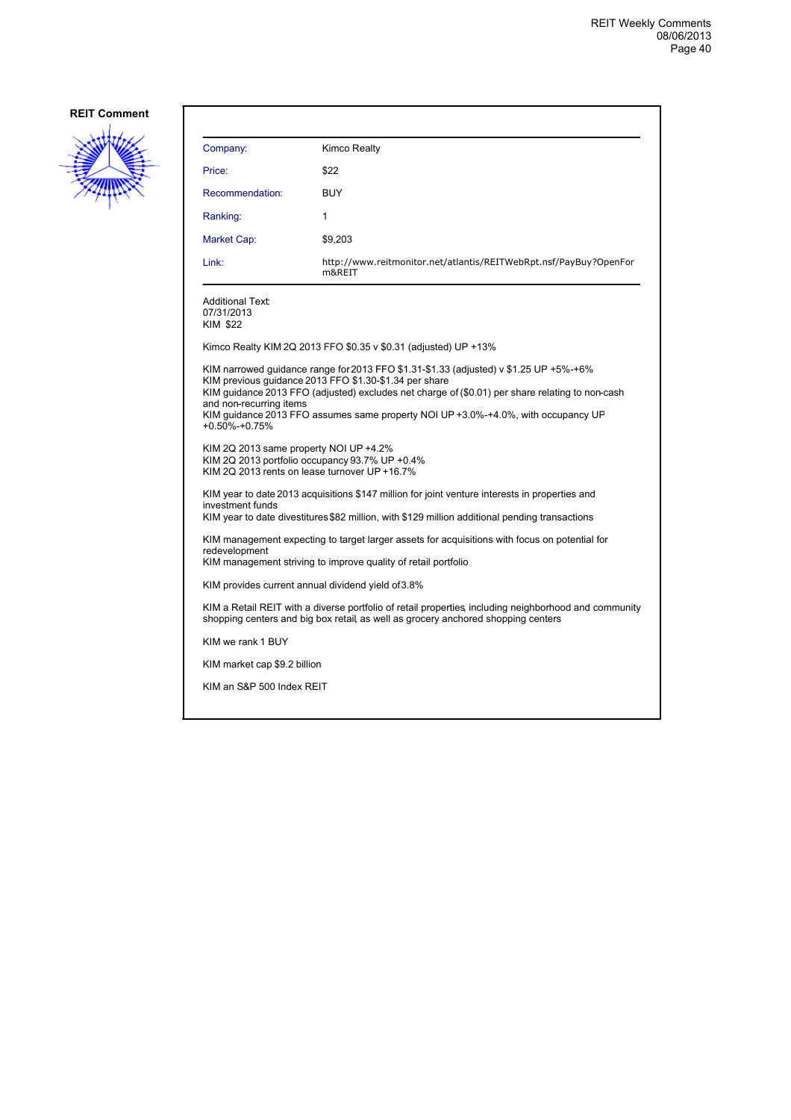

| Kimco Realty                                                                                                                                                                                                                                                                                                                                                                                                                                                                         |  |  |
|--------------------------------------------------------------------------------------------------------------------------------------------------------------------------------------------------------------------------------------------------------------------------------------------------------------------------------------------------------------------------------------------------------------------------------------------------------------------------------------|--|--|
| \$22                                                                                                                                                                                                                                                                                                                                                                                                                                                                                 |  |  |
| <b>BUY</b>                                                                                                                                                                                                                                                                                                                                                                                                                                                                           |  |  |
| 1                                                                                                                                                                                                                                                                                                                                                                                                                                                                                    |  |  |
| \$9,203                                                                                                                                                                                                                                                                                                                                                                                                                                                                              |  |  |
| http://www.reitmonitor.net/atlantis/REITWebRpt.nsf/PayBuy?OpenFor<br>m&REIT                                                                                                                                                                                                                                                                                                                                                                                                          |  |  |
|                                                                                                                                                                                                                                                                                                                                                                                                                                                                                      |  |  |
| Kimco Realty KIM 2Q 2013 FFO \$0.35 v \$0.31 (adjusted) UP +13%                                                                                                                                                                                                                                                                                                                                                                                                                      |  |  |
| KIM narrowed guidance range for 2013 FFO \$1.31-\$1.33 (adjusted) v \$1.25 UP +5%-+6%<br>KIM previous quidance 2013 FFO \$1.30-\$1.34 per share<br>KIM guidance 2013 FFO (adjusted) excludes net charge of (\$0.01) per share relating to non-cash<br>KIM guidance 2013 FFO assumes same property NOI UP +3.0%-+4.0%, with occupancy UP<br>KIM 2Q 2013 same property NOI UP +4.2%<br>KIM 2Q 2013 portfolio occupancy 93.7% UP +0.4%<br>KIM 2Q 2013 rents on lease turnover UP +16.7% |  |  |
| KIM year to date 2013 acquisitions \$147 million for joint venture interests in properties and<br>KIM year to date divestitures \$82 million, with \$129 million additional pending transactions                                                                                                                                                                                                                                                                                     |  |  |
| KIM management expecting to target larger assets for acquisitions with focus on potential for<br>redevelopment<br>KIM management striving to improve quality of retail portfolio                                                                                                                                                                                                                                                                                                     |  |  |
| KIM provides current annual dividend yield of 3.8%                                                                                                                                                                                                                                                                                                                                                                                                                                   |  |  |
| KIM a Retail REIT with a diverse portfolio of retail properties, including neighborhood and community<br>shopping centers and big box retail, as well as grocery anchored shopping centers                                                                                                                                                                                                                                                                                           |  |  |
|                                                                                                                                                                                                                                                                                                                                                                                                                                                                                      |  |  |
| KIM market cap \$9.2 billion                                                                                                                                                                                                                                                                                                                                                                                                                                                         |  |  |
| KIM an S&P 500 Index REIT                                                                                                                                                                                                                                                                                                                                                                                                                                                            |  |  |
|                                                                                                                                                                                                                                                                                                                                                                                                                                                                                      |  |  |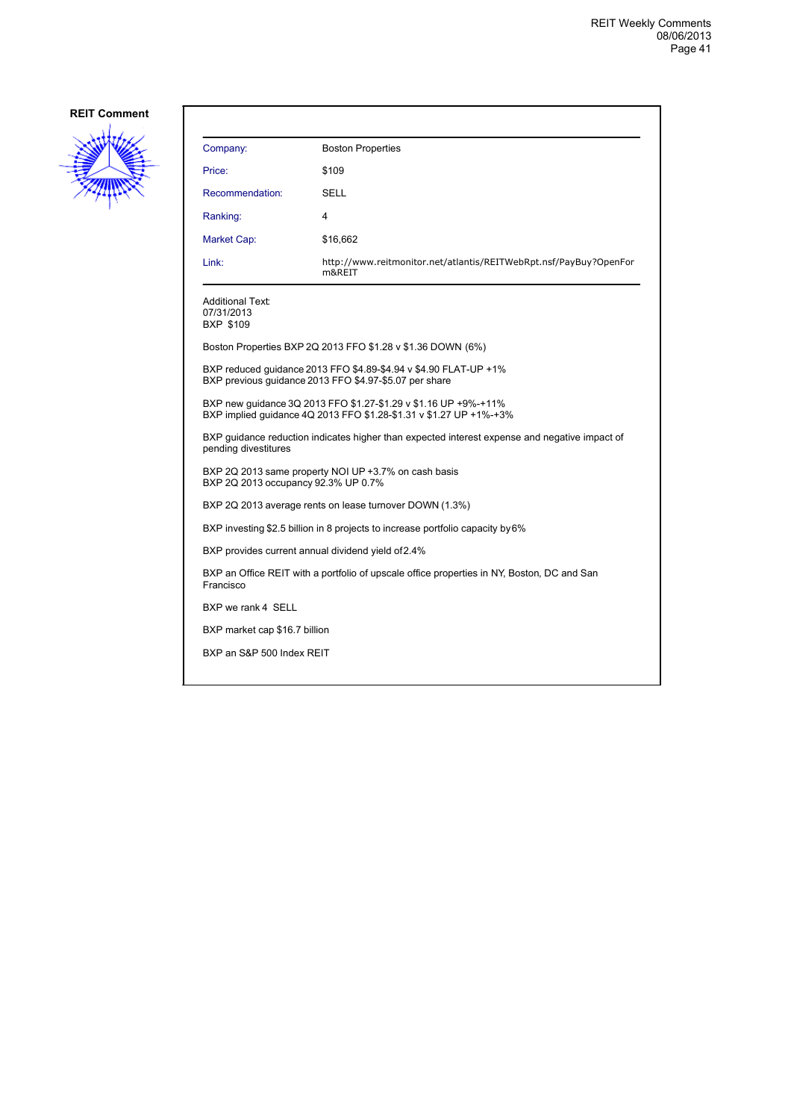

| Company:                                                                                                | <b>Boston Properties</b>                                                                                                              |
|---------------------------------------------------------------------------------------------------------|---------------------------------------------------------------------------------------------------------------------------------------|
| Price:                                                                                                  | \$109                                                                                                                                 |
| Recommendation:                                                                                         | SELL                                                                                                                                  |
| Ranking:                                                                                                | 4                                                                                                                                     |
| Market Cap:                                                                                             | \$16,662                                                                                                                              |
| Link:                                                                                                   | http://www.reitmonitor.net/atlantis/REITWebRpt.nsf/PayBuy?OpenFor<br>m&REIT                                                           |
| <b>Additional Text:</b><br>07/31/2013<br>BXP \$109                                                      |                                                                                                                                       |
|                                                                                                         | Boston Properties BXP 2Q 2013 FFO \$1.28 v \$1.36 DOWN (6%)                                                                           |
|                                                                                                         | BXP reduced quidance 2013 FFO \$4.89-\$4.94 v \$4.90 FLAT-UP +1%<br>BXP previous guidance 2013 FFO \$4.97-\$5.07 per share            |
|                                                                                                         | BXP new guidance 3Q 2013 FFO \$1.27-\$1.29 v \$1.16 UP +9%-+11%<br>BXP implied guidance 4Q 2013 FFO \$1.28-\$1.31 v \$1.27 UP +1%-+3% |
| pending divestitures                                                                                    | BXP guidance reduction indicates higher than expected interest expense and negative impact of                                         |
| BXP 2Q 2013 occupancy 92.3% UP 0.7%                                                                     | BXP 2Q 2013 same property NOI UP +3.7% on cash basis                                                                                  |
|                                                                                                         | BXP 2Q 2013 average rents on lease turnover DOWN (1.3%)                                                                               |
|                                                                                                         | BXP investing \$2.5 billion in 8 projects to increase portfolio capacity by 6%                                                        |
|                                                                                                         | BXP provides current annual dividend yield of 2.4%                                                                                    |
| BXP an Office REIT with a portfolio of upscale office properties in NY, Boston, DC and San<br>Francisco |                                                                                                                                       |
| BXP we rank 4 SELL                                                                                      |                                                                                                                                       |
| BXP market cap \$16.7 billion                                                                           |                                                                                                                                       |
| BXP an S&P 500 Index REIT                                                                               |                                                                                                                                       |
|                                                                                                         |                                                                                                                                       |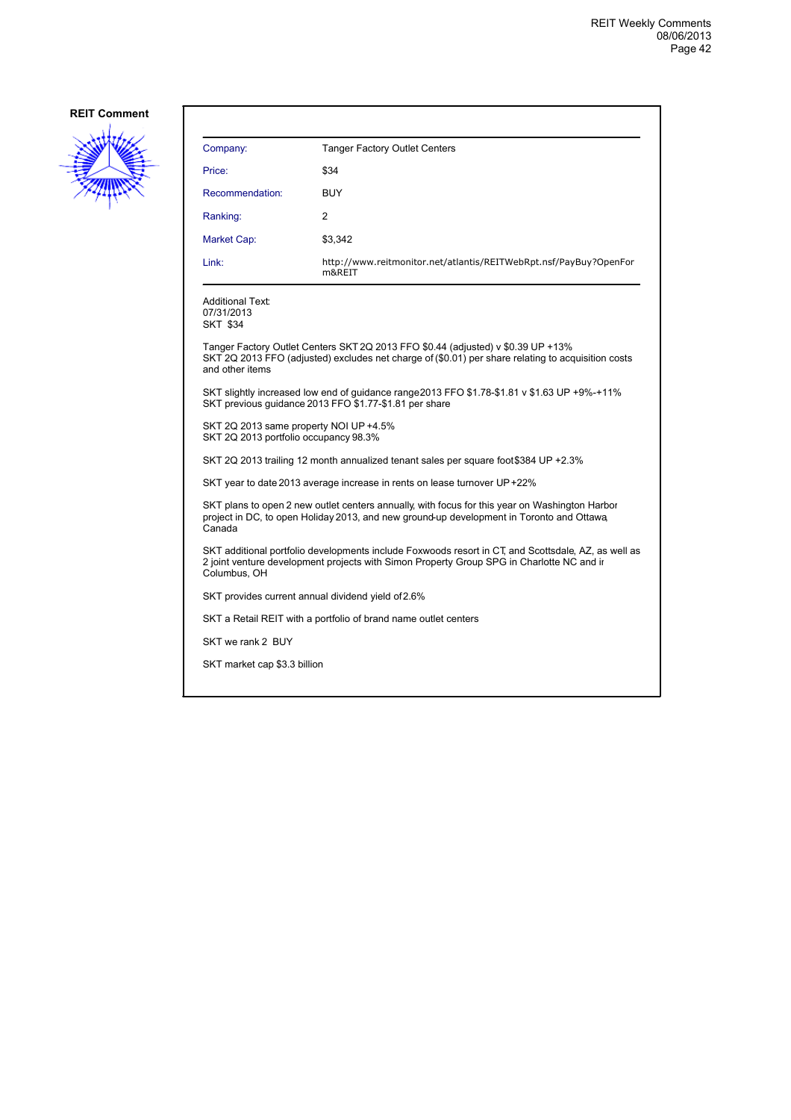

| Company:                                                                        | <b>Tanger Factory Outlet Centers</b>                                                                                                                                                             |
|---------------------------------------------------------------------------------|--------------------------------------------------------------------------------------------------------------------------------------------------------------------------------------------------|
| Price:                                                                          | \$34                                                                                                                                                                                             |
| Recommendation:                                                                 | <b>BUY</b>                                                                                                                                                                                       |
| Ranking:                                                                        | 2                                                                                                                                                                                                |
| Market Cap:                                                                     | \$3,342                                                                                                                                                                                          |
| Link:                                                                           | http://www.reitmonitor.net/atlantis/REITWebRpt.nsf/PayBuy?OpenFor<br>m&REIT                                                                                                                      |
| Additional Text:<br>07/31/2013<br><b>SKT \$34</b>                               |                                                                                                                                                                                                  |
| and other items                                                                 | Tanger Factory Outlet Centers SKT 2Q 2013 FFO \$0.44 (adjusted) v \$0.39 UP +13%<br>SKT 2Q 2013 FFO (adjusted) excludes net charge of (\$0.01) per share relating to acquisition costs           |
|                                                                                 | SKT slightly increased low end of guidance range 2013 FFO \$1.78-\$1.81 v \$1.63 UP +9%-+11%<br>SKT previous guidance 2013 FFO \$1.77-\$1.81 per share                                           |
| SKT 2Q 2013 same property NOI UP +4.5%<br>SKT 2Q 2013 portfolio occupancy 98.3% |                                                                                                                                                                                                  |
|                                                                                 | SKT 2Q 2013 trailing 12 month annualized tenant sales per square foot \$384 UP +2.3%                                                                                                             |
|                                                                                 | SKT year to date 2013 average increase in rents on lease turnover UP +22%                                                                                                                        |
| Canada                                                                          | SKT plans to open 2 new outlet centers annually, with focus for this year on Washington Harbor<br>project in DC, to open Holiday 2013, and new ground-up development in Toronto and Ottawa       |
| Columbus, OH                                                                    | SKT additional portfolio developments include Foxwoods resort in CT, and Scottsdale, AZ, as well as<br>2 joint venture development projects with Simon Property Group SPG in Charlotte NC and ir |
|                                                                                 | SKT provides current annual dividend yield of 2.6%                                                                                                                                               |
|                                                                                 | SKT a Retail REIT with a portfolio of brand name outlet centers                                                                                                                                  |
| SKT we rank 2 BUY                                                               |                                                                                                                                                                                                  |
| SKT market cap \$3.3 billion                                                    |                                                                                                                                                                                                  |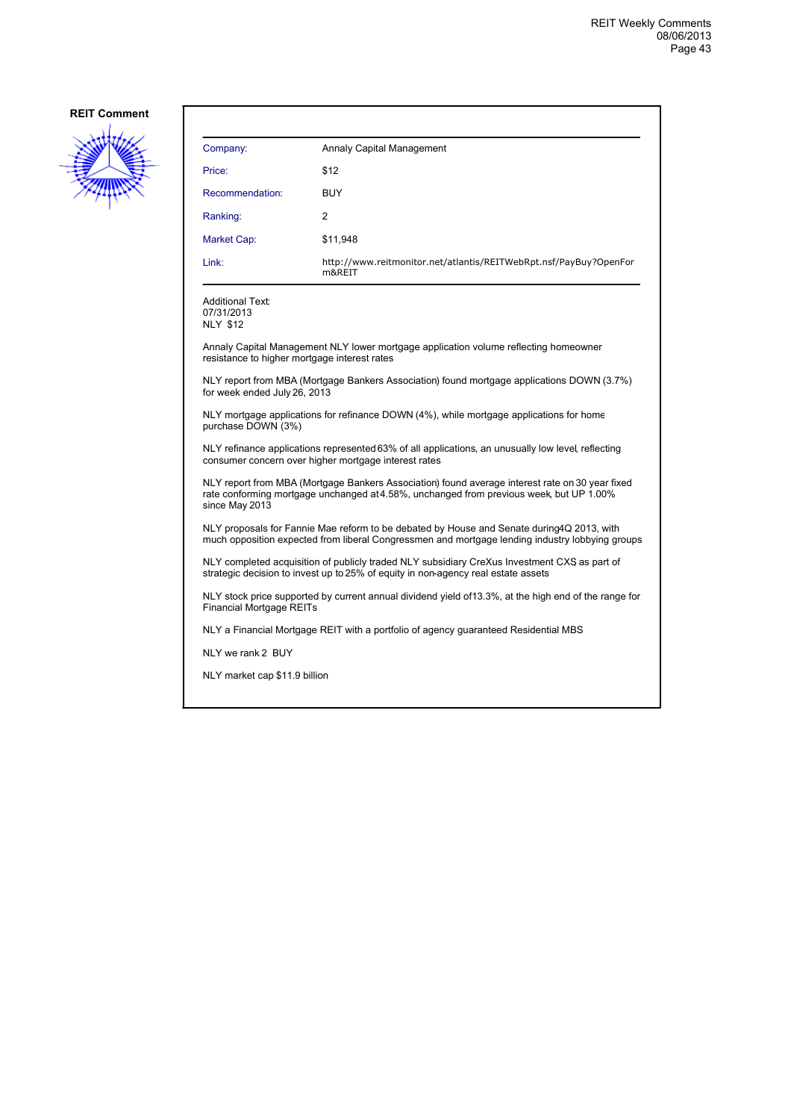

| Company:        | Annaly Capital Management                                                   |
|-----------------|-----------------------------------------------------------------------------|
| Price:          | \$12                                                                        |
| Recommendation: | <b>BUY</b>                                                                  |
| Ranking:        | 2                                                                           |
| Market Cap:     | \$11,948                                                                    |
| Link:           | http://www.reitmonitor.net/atlantis/REITWebRpt.nsf/PayBuy?OpenFor<br>m&REIT |

Additional Text: 07/31/2013 NLY \$12

Annaly Capital Management NLY lower mortgage application volume reflecting homeowner resistance to higher mortgage interest rates

NLY report from MBA (Mortgage Bankers Association) found mortgage applications DOWN (3.7%) for week ended July 26, 2013

NLY mortgage applications for refinance DOWN (4%), while mortgage applications for home purchase DOWN (3%)

NLY refinance applications represented 63% of all applications, an unusually low level, reflecting consumer concern over higher mortgage interest rates

NLY report from MBA (Mortgage Bankers Association) found average interest rate on 30 year fixed rate conforming mortgage unchanged at 4.58%, unchanged from previous week, but UP 1.00% since May 2013

NLY proposals for Fannie Mae reform to be debated by House and Senate during 4Q 2013, with much opposition expected from liberal Congressmen and mortgage lending industry lobbying groups

NLY completed acquisition of publicly traded NLY subsidiary CreXus Investment CXS, as part of strategic decision to invest up to 25% of equity in non-agency real estate assets

NLY stock price supported by current annual dividend yield of 13.3%, at the high end of the range for Financial Mortgage REITs

NLY a Financial Mortgage REIT with a portfolio of agency guaranteed Residential MBS

NLY we rank 2 BUY

NLY market cap \$11.9 billion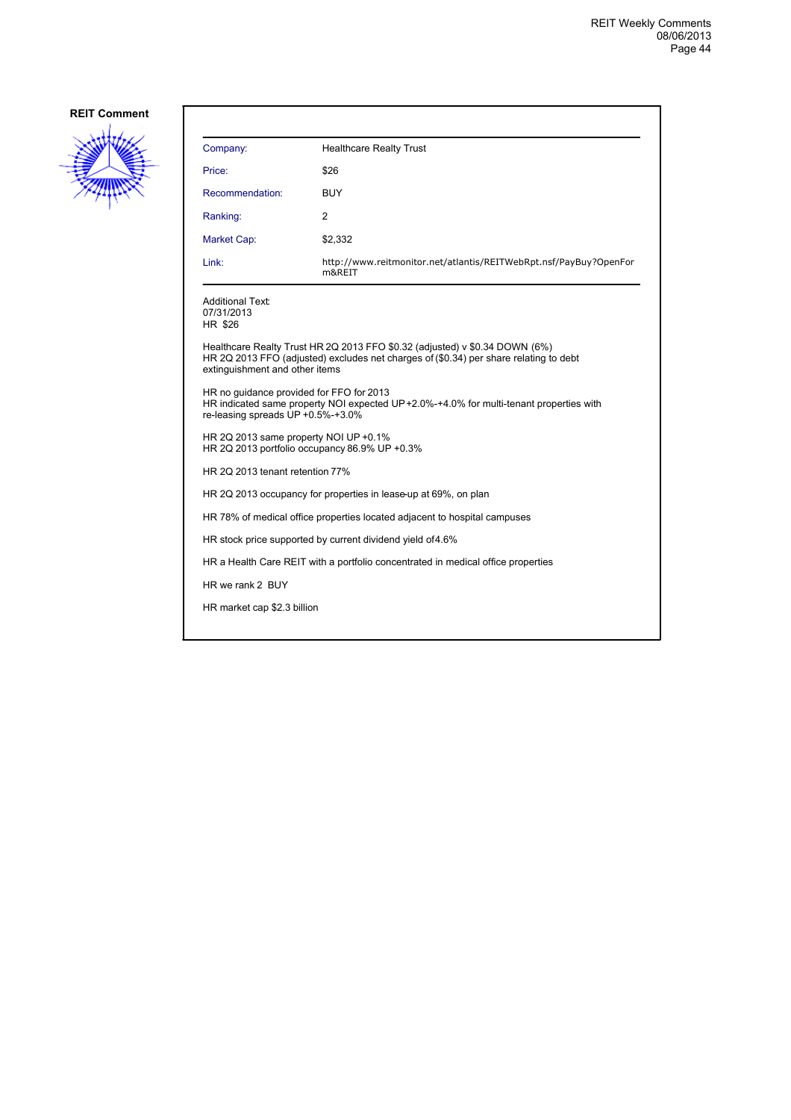

| Company:                                                                               | <b>Healthcare Realty Trust</b>                                                                                                                                       |  |
|----------------------------------------------------------------------------------------|----------------------------------------------------------------------------------------------------------------------------------------------------------------------|--|
| Price:                                                                                 | \$26                                                                                                                                                                 |  |
| Recommendation:                                                                        | BUY                                                                                                                                                                  |  |
| Ranking:                                                                               | $\overline{2}$                                                                                                                                                       |  |
| Market Cap:                                                                            | \$2,332                                                                                                                                                              |  |
| Link:                                                                                  | http://www.reitmonitor.net/atlantis/REITWebRpt.nsf/PayBuy?OpenFor<br>m&REIT                                                                                          |  |
| <b>Additional Text:</b><br>07/31/2013<br>HR \$26                                       |                                                                                                                                                                      |  |
| extinguishment and other items                                                         | Healthcare Realty Trust HR 2Q 2013 FFO \$0.32 (adjusted) v \$0.34 DOWN (6%)<br>HR 2Q 2013 FFO (adjusted) excludes net charges of (\$0.34) per share relating to debt |  |
| HR no quidance provided for FFO for 2013<br>re-leasing spreads UP +0.5%-+3.0%          | HR indicated same property NOI expected UP+2.0%-+4.0% for multi-tenant properties with                                                                               |  |
| HR 2Q 2013 same property NOI UP +0.1%<br>HR 2Q 2013 portfolio occupancy 86.9% UP +0.3% |                                                                                                                                                                      |  |
| HR 2Q 2013 tenant retention 77%                                                        |                                                                                                                                                                      |  |
| HR 2Q 2013 occupancy for properties in lease-up at 69%, on plan                        |                                                                                                                                                                      |  |
|                                                                                        | HR 78% of medical office properties located adjacent to hospital campuses                                                                                            |  |
| HR stock price supported by current dividend yield of 4.6%                             |                                                                                                                                                                      |  |
| HR a Health Care REIT with a portfolio concentrated in medical office properties       |                                                                                                                                                                      |  |
| HR we rank 2 BUY                                                                       |                                                                                                                                                                      |  |
| HR market cap \$2.3 billion                                                            |                                                                                                                                                                      |  |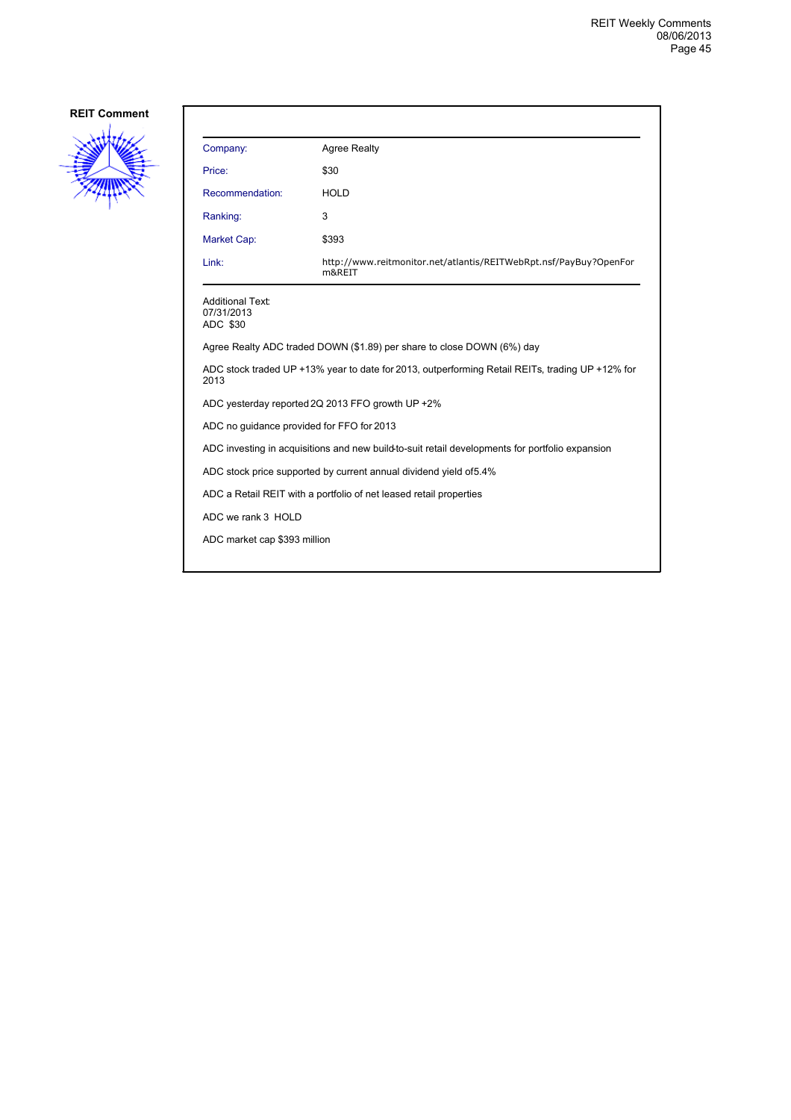

| Company:                                                                                                | <b>Agree Realty</b>                                                         |  |
|---------------------------------------------------------------------------------------------------------|-----------------------------------------------------------------------------|--|
| Price:                                                                                                  | \$30                                                                        |  |
| Recommendation:                                                                                         | <b>HOLD</b>                                                                 |  |
| Ranking:                                                                                                | 3                                                                           |  |
| <b>Market Cap:</b>                                                                                      | \$393                                                                       |  |
| Link:                                                                                                   | http://www.reitmonitor.net/atlantis/REITWebRpt.nsf/PayBuy?OpenFor<br>m&REIT |  |
| <b>Additional Text:</b><br>07/31/2013<br>ADC \$30                                                       |                                                                             |  |
|                                                                                                         | Agree Realty ADC traded DOWN (\$1.89) per share to close DOWN (6%) day      |  |
| ADC stock traded UP +13% year to date for 2013, outperforming Retail REITs, trading UP +12% for<br>2013 |                                                                             |  |
| ADC yesterday reported 2Q 2013 FFO growth UP +2%                                                        |                                                                             |  |
| ADC no guidance provided for FFO for 2013                                                               |                                                                             |  |
| ADC investing in acquisitions and new build-to-suit retail developments for portfolio expansion         |                                                                             |  |
| ADC stock price supported by current annual dividend yield of 5.4%                                      |                                                                             |  |
| ADC a Retail REIT with a portfolio of net leased retail properties                                      |                                                                             |  |
| ADC we rank 3 HOLD                                                                                      |                                                                             |  |
| ADC market cap \$393 million                                                                            |                                                                             |  |
|                                                                                                         |                                                                             |  |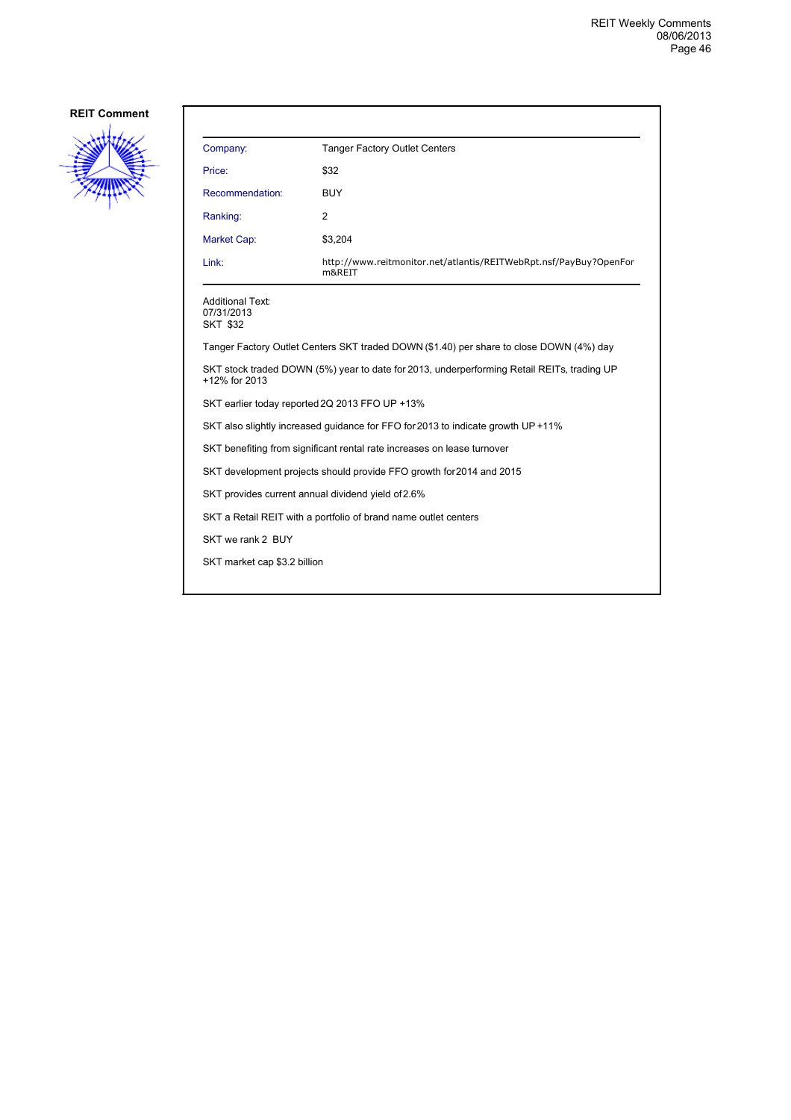

| Company:                                                        | Tanger Factory Outlet Centers                                                              |
|-----------------------------------------------------------------|--------------------------------------------------------------------------------------------|
| Price:                                                          | \$32                                                                                       |
| Recommendation:                                                 | <b>BUY</b>                                                                                 |
| Ranking:                                                        | 2                                                                                          |
| Market Cap:                                                     | \$3,204                                                                                    |
| Link:                                                           | http://www.reitmonitor.net/atlantis/REITWebRpt.nsf/PayBuy?OpenFor<br>m&REIT                |
| <b>Additional Text:</b><br>07/31/2013<br><b>SKT \$32</b>        |                                                                                            |
|                                                                 | Tanger Factory Outlet Centers SKT traded DOWN (\$1.40) per share to close DOWN (4%) day    |
| +12% for 2013                                                   | SKT stock traded DOWN (5%) year to date for 2013, underperforming Retail REITs, trading UP |
|                                                                 | SKT earlier today reported 2Q 2013 FFO UP +13%                                             |
|                                                                 | SKT also slightly increased guidance for FFO for 2013 to indicate growth UP +11%           |
|                                                                 | SKT benefiting from significant rental rate increases on lease turnover                    |
|                                                                 | SKT development projects should provide FFO growth for 2014 and 2015                       |
|                                                                 | SKT provides current annual dividend yield of 2.6%                                         |
| SKT a Retail REIT with a portfolio of brand name outlet centers |                                                                                            |
| SKT we rank 2 BUY                                               |                                                                                            |
| SKT market cap \$3.2 billion                                    |                                                                                            |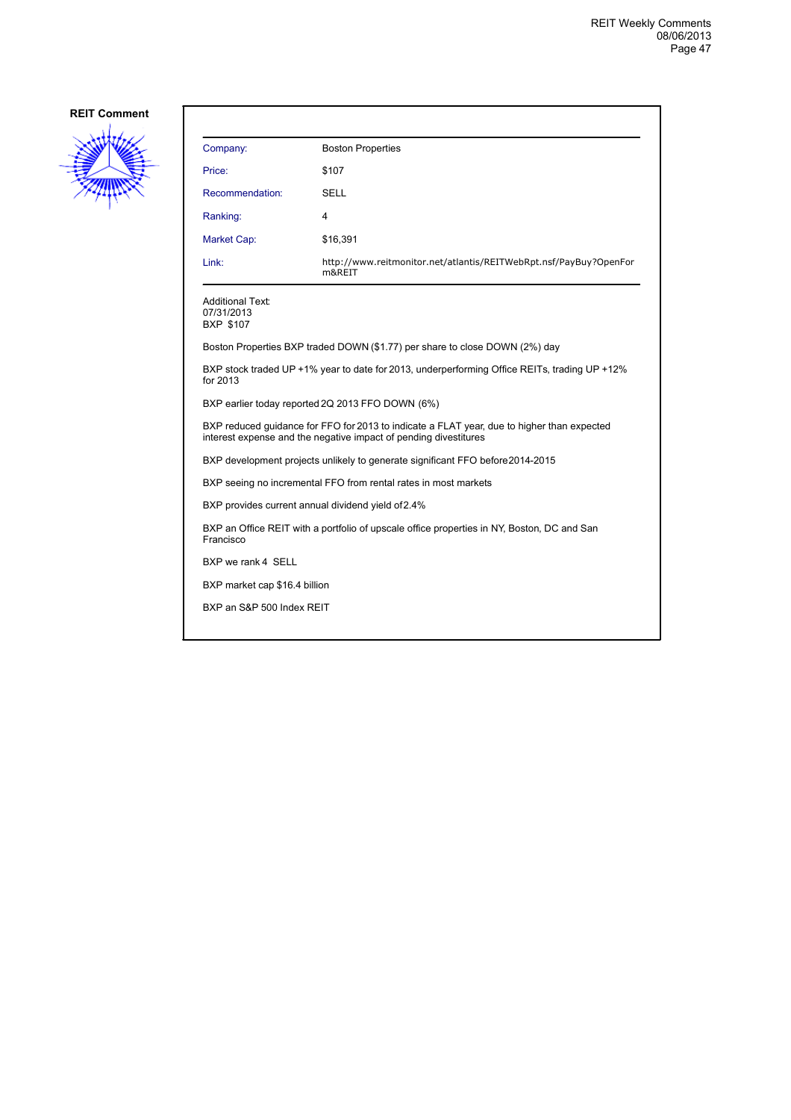

| Company:                                                                                                                                                       | <b>Boston Properties</b>                                                                     |  |
|----------------------------------------------------------------------------------------------------------------------------------------------------------------|----------------------------------------------------------------------------------------------|--|
| Price:                                                                                                                                                         | \$107                                                                                        |  |
| Recommendation:                                                                                                                                                | SELL                                                                                         |  |
| Ranking:                                                                                                                                                       | 4                                                                                            |  |
| Market Cap:                                                                                                                                                    | \$16,391                                                                                     |  |
| Link:                                                                                                                                                          | http://www.reitmonitor.net/atlantis/REITWebRpt.nsf/PayBuy?OpenFor<br>m&REIT                  |  |
| Additional Text:<br>07/31/2013<br><b>BXP \$107</b>                                                                                                             |                                                                                              |  |
|                                                                                                                                                                | Boston Properties BXP traded DOWN (\$1.77) per share to close DOWN (2%) day                  |  |
| for 2013                                                                                                                                                       | BXP stock traded UP +1% year to date for 2013, underperforming Office REITs, trading UP +12% |  |
| BXP earlier today reported 2Q 2013 FFO DOWN (6%)                                                                                                               |                                                                                              |  |
| BXP reduced quidance for FFO for 2013 to indicate a FLAT year, due to higher than expected<br>interest expense and the negative impact of pending divestitures |                                                                                              |  |
| BXP development projects unlikely to generate significant FFO before 2014-2015                                                                                 |                                                                                              |  |
| BXP seeing no incremental FFO from rental rates in most markets                                                                                                |                                                                                              |  |
| BXP provides current annual dividend yield of 2.4%                                                                                                             |                                                                                              |  |
| BXP an Office REIT with a portfolio of upscale office properties in NY, Boston, DC and San<br>Francisco                                                        |                                                                                              |  |
| BXP we rank 4 SELL                                                                                                                                             |                                                                                              |  |
| BXP market cap \$16.4 billion                                                                                                                                  |                                                                                              |  |
| BXP an S&P 500 Index REIT                                                                                                                                      |                                                                                              |  |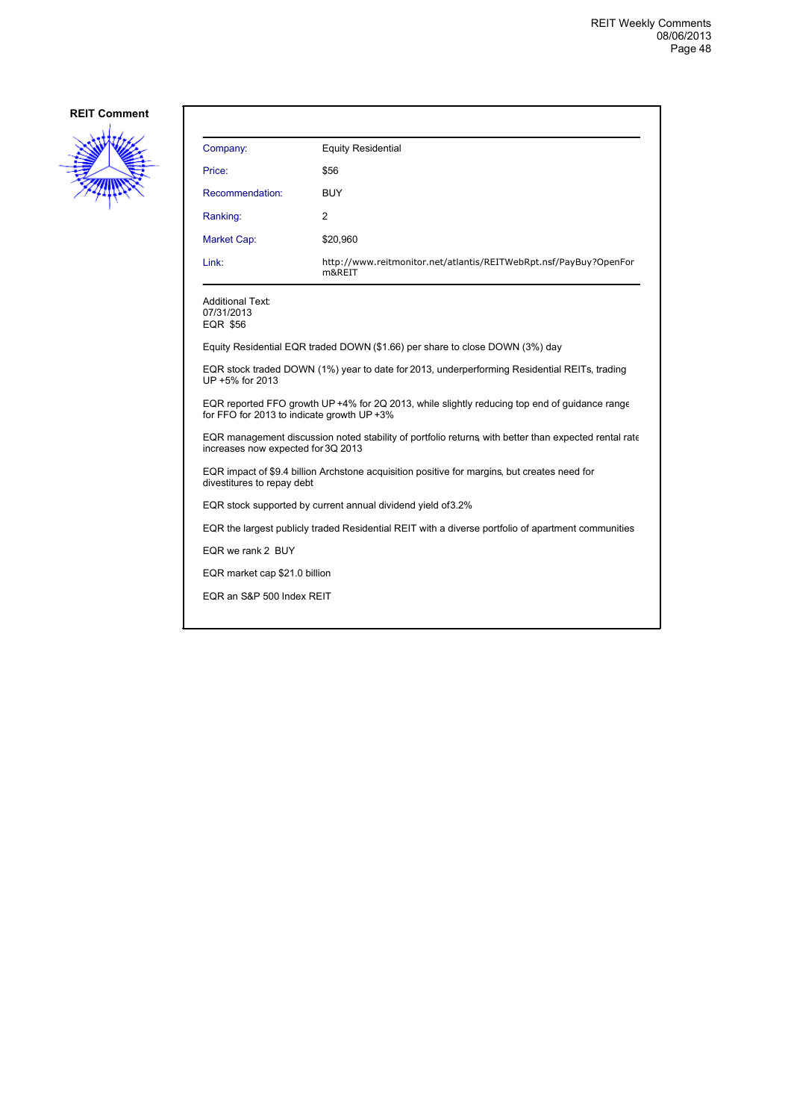

| Company:                                                                                                                                    | <b>Equity Residential</b>                                                    |  |
|---------------------------------------------------------------------------------------------------------------------------------------------|------------------------------------------------------------------------------|--|
| Price:                                                                                                                                      | \$56                                                                         |  |
| Recommendation:                                                                                                                             | BUY                                                                          |  |
| Ranking:                                                                                                                                    | 2                                                                            |  |
| Market Cap:                                                                                                                                 | \$20,960                                                                     |  |
| Link:                                                                                                                                       | http://www.reitmonitor.net/atlantis/REITWebRpt.nsf/PayBuy?OpenFor<br>m&REIT  |  |
| <b>Additional Text:</b><br>07/31/2013<br><b>EQR \$56</b>                                                                                    |                                                                              |  |
|                                                                                                                                             | Equity Residential EQR traded DOWN (\$1.66) per share to close DOWN (3%) day |  |
| EQR stock traded DOWN (1%) year to date for 2013, underperforming Residential REITs, trading<br>UP +5% for 2013                             |                                                                              |  |
| EQR reported FFO growth UP +4% for 2Q 2013, while slightly reducing top end of quidance range<br>for FFO for 2013 to indicate growth UP +3% |                                                                              |  |
| EQR management discussion noted stability of portfolio returns, with better than expected rental rate<br>increases now expected for 3Q 2013 |                                                                              |  |
| EQR impact of \$9.4 billion Archstone acquisition positive for margins, but creates need for<br>divestitures to repay debt                  |                                                                              |  |
| EQR stock supported by current annual dividend yield of 3.2%                                                                                |                                                                              |  |
| EQR the largest publicly traded Residential REIT with a diverse portfolio of apartment communities                                          |                                                                              |  |
| EQR we rank 2 BUY                                                                                                                           |                                                                              |  |
| EQR market cap \$21.0 billion                                                                                                               |                                                                              |  |
| EQR an S&P 500 Index REIT                                                                                                                   |                                                                              |  |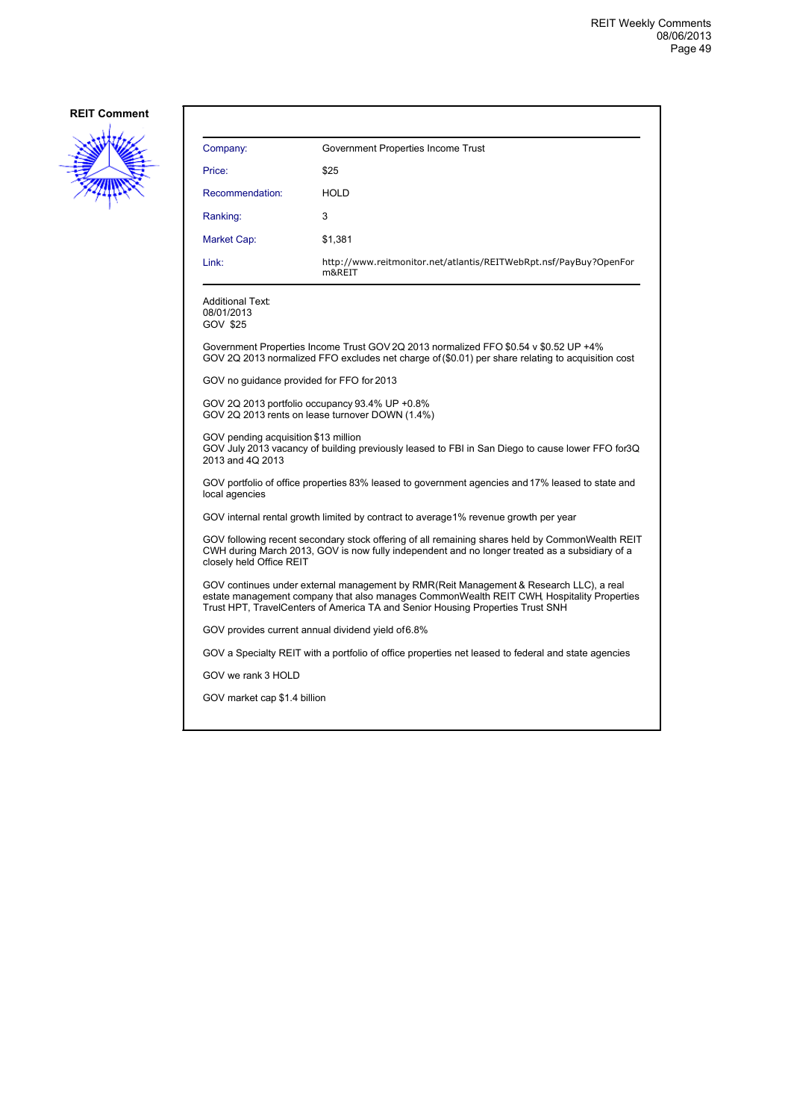

| Company:                                                                                                                                                                                                                                                              | Government Properties Income Trust                                                                                                                                                        |  |
|-----------------------------------------------------------------------------------------------------------------------------------------------------------------------------------------------------------------------------------------------------------------------|-------------------------------------------------------------------------------------------------------------------------------------------------------------------------------------------|--|
| Price:                                                                                                                                                                                                                                                                | \$25                                                                                                                                                                                      |  |
| Recommendation:                                                                                                                                                                                                                                                       | <b>HOLD</b>                                                                                                                                                                               |  |
| Ranking:                                                                                                                                                                                                                                                              | 3                                                                                                                                                                                         |  |
| Market Cap:                                                                                                                                                                                                                                                           | \$1,381                                                                                                                                                                                   |  |
| Link:                                                                                                                                                                                                                                                                 | http://www.reitmonitor.net/atlantis/REITWebRpt.nsf/PayBuy?OpenFor<br>m&REIT                                                                                                               |  |
| Additional Text:<br>08/01/2013<br>GOV \$25                                                                                                                                                                                                                            |                                                                                                                                                                                           |  |
|                                                                                                                                                                                                                                                                       | Government Properties Income Trust GOV 2Q 2013 normalized FFO \$0.54 v \$0.52 UP +4%<br>GOV 2Q 2013 normalized FFO excludes net charge of (\$0.01) per share relating to acquisition cost |  |
| GOV no guidance provided for FFO for 2013                                                                                                                                                                                                                             |                                                                                                                                                                                           |  |
| GOV 2Q 2013 portfolio occupancy 93.4% UP +0.8%<br>GOV 2Q 2013 rents on lease turnover DOWN (1.4%)                                                                                                                                                                     |                                                                                                                                                                                           |  |
| GOV pending acquisition \$13 million<br>GOV July 2013 vacancy of building previously leased to FBI in San Diego to cause lower FFO for3Q<br>2013 and 4Q 2013                                                                                                          |                                                                                                                                                                                           |  |
| GOV portfolio of office properties 83% leased to government agencies and 17% leased to state and<br>local agencies                                                                                                                                                    |                                                                                                                                                                                           |  |
| GOV internal rental growth limited by contract to average1% revenue growth per year                                                                                                                                                                                   |                                                                                                                                                                                           |  |
| GOV following recent secondary stock offering of all remaining shares held by CommonWealth REIT<br>CWH during March 2013, GOV is now fully independent and no longer treated as a subsidiary of a<br>closely held Office REIT                                         |                                                                                                                                                                                           |  |
| GOV continues under external management by RMR(Reit Management & Research LLC), a real<br>estate management company that also manages CommonWealth REIT CWH, Hospitality Properties<br>Trust HPT, TravelCenters of America TA and Senior Housing Properties Trust SNH |                                                                                                                                                                                           |  |
| GOV provides current annual dividend yield of 6.8%                                                                                                                                                                                                                    |                                                                                                                                                                                           |  |
|                                                                                                                                                                                                                                                                       | GOV a Specialty REIT with a portfolio of office properties net leased to federal and state agencies                                                                                       |  |
| GOV we rank 3 HOLD                                                                                                                                                                                                                                                    |                                                                                                                                                                                           |  |
| GOV market cap \$1.4 billion                                                                                                                                                                                                                                          |                                                                                                                                                                                           |  |
|                                                                                                                                                                                                                                                                       |                                                                                                                                                                                           |  |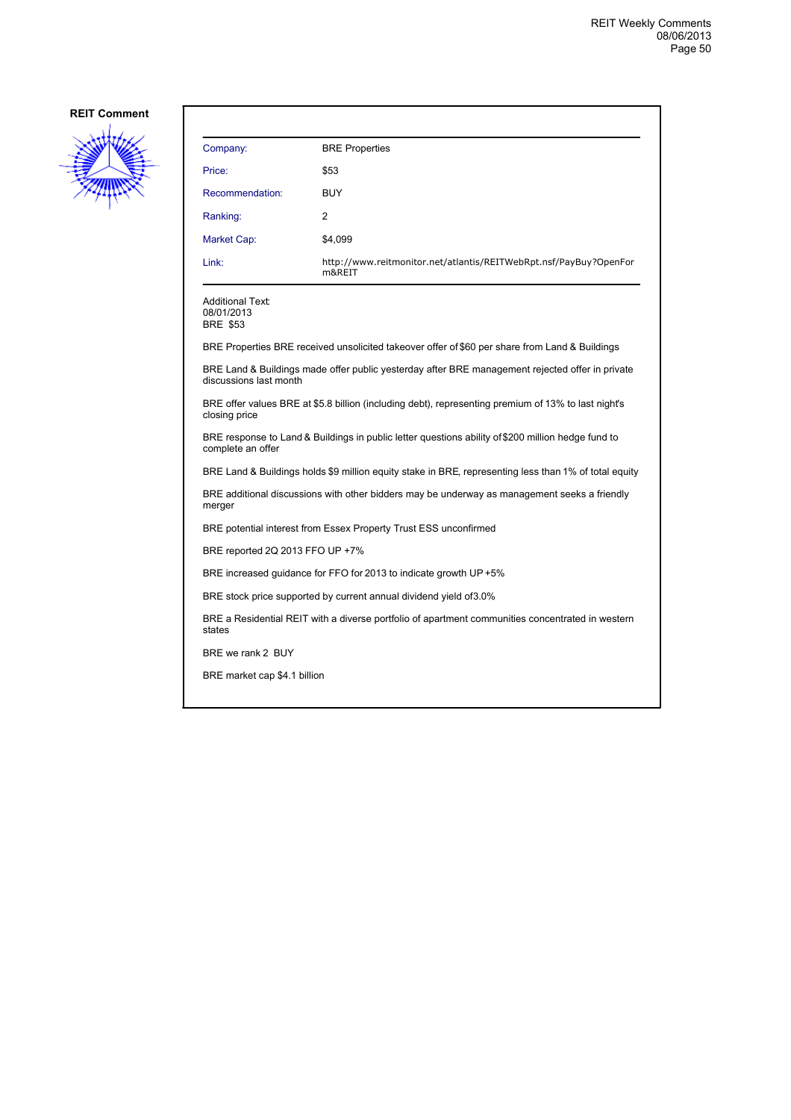

| Company:                                                                                                                | <b>BRE</b> Properties                                                                                 |  |
|-------------------------------------------------------------------------------------------------------------------------|-------------------------------------------------------------------------------------------------------|--|
| Price:                                                                                                                  | \$53                                                                                                  |  |
| Recommendation:                                                                                                         | <b>BUY</b>                                                                                            |  |
| Ranking:                                                                                                                | 2                                                                                                     |  |
| Market Cap:                                                                                                             | \$4,099                                                                                               |  |
| Link:                                                                                                                   | http://www.reitmonitor.net/atlantis/REITWebRpt.nsf/PayBuy?OpenFor<br>m&REIT                           |  |
| Additional Text:<br>08/01/2013<br><b>BRE \$53</b>                                                                       |                                                                                                       |  |
|                                                                                                                         | BRE Properties BRE received unsolicited takeover offer of \$60 per share from Land & Buildings        |  |
| discussions last month                                                                                                  | BRE Land & Buildings made offer public yesterday after BRE management rejected offer in private       |  |
| BRE offer values BRE at \$5.8 billion (including debt), representing premium of 13% to last night's<br>closing price    |                                                                                                       |  |
| BRE response to Land & Buildings in public letter questions ability of \$200 million hedge fund to<br>complete an offer |                                                                                                       |  |
|                                                                                                                         | BRE Land & Buildings holds \$9 million equity stake in BRE, representing less than 1% of total equity |  |
| BRE additional discussions with other bidders may be underway as management seeks a friendly<br>merger                  |                                                                                                       |  |
|                                                                                                                         | BRE potential interest from Essex Property Trust ESS unconfirmed                                      |  |
| BRE reported 2Q 2013 FFO UP +7%                                                                                         |                                                                                                       |  |
|                                                                                                                         | BRE increased guidance for FFO for 2013 to indicate growth UP +5%                                     |  |
| BRE stock price supported by current annual dividend yield of 3.0%                                                      |                                                                                                       |  |
| BRE a Residential REIT with a diverse portfolio of apartment communities concentrated in western<br>states              |                                                                                                       |  |
| BRE we rank 2 BUY                                                                                                       |                                                                                                       |  |
| BRE market cap \$4.1 billion                                                                                            |                                                                                                       |  |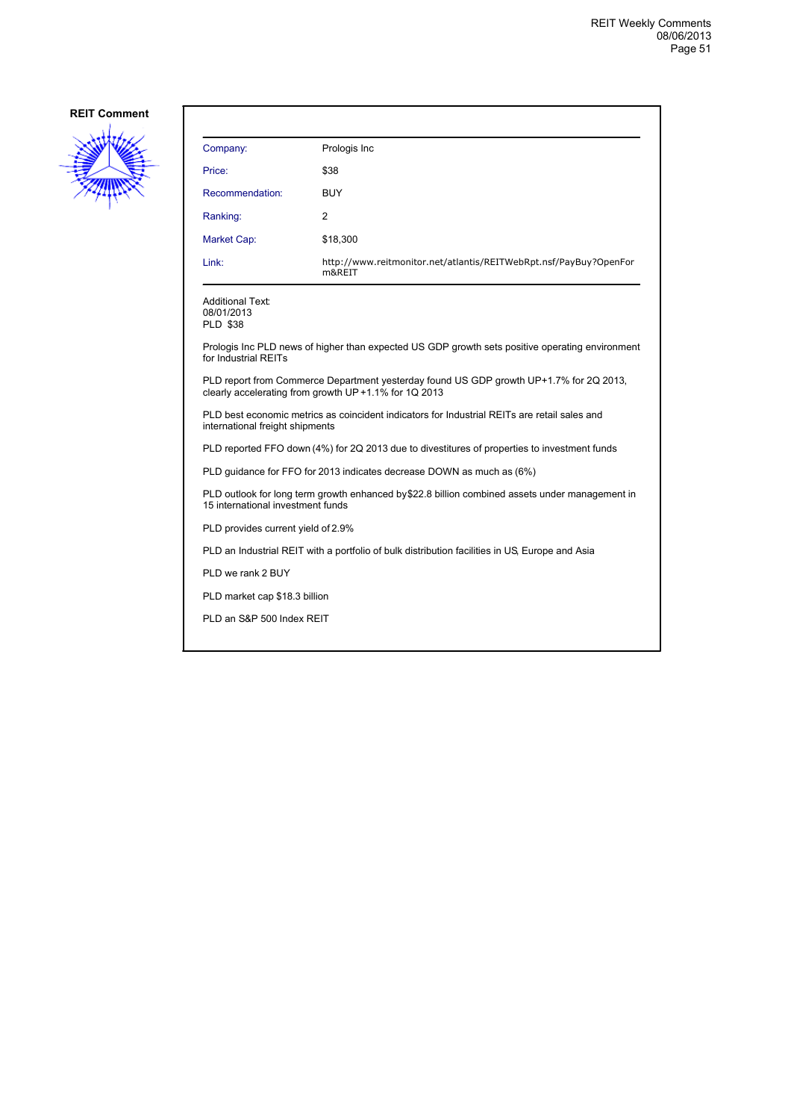

| Company:                                                                                                                                        | Prologis Inc                                                                                    |  |
|-------------------------------------------------------------------------------------------------------------------------------------------------|-------------------------------------------------------------------------------------------------|--|
| Price:                                                                                                                                          | \$38                                                                                            |  |
| Recommendation:                                                                                                                                 | <b>BUY</b>                                                                                      |  |
| Ranking:                                                                                                                                        | 2                                                                                               |  |
| Market Cap:                                                                                                                                     | \$18,300                                                                                        |  |
| Link:                                                                                                                                           | http://www.reitmonitor.net/atlantis/REITWebRpt.nsf/PayBuy?OpenFor<br>m&REIT                     |  |
| <b>Additional Text:</b><br>08/01/2013<br><b>PLD \$38</b>                                                                                        |                                                                                                 |  |
| for Industrial REITs                                                                                                                            | Prologis Inc PLD news of higher than expected US GDP growth sets positive operating environment |  |
| PLD report from Commerce Department yesterday found US GDP growth UP+1.7% for 2Q 2013,<br>clearly accelerating from growth UP +1.1% for 1Q 2013 |                                                                                                 |  |
| PLD best economic metrics as coincident indicators for Industrial REITs are retail sales and<br>international freight shipments                 |                                                                                                 |  |
| PLD reported FFO down (4%) for 2Q 2013 due to divestitures of properties to investment funds                                                    |                                                                                                 |  |
|                                                                                                                                                 | PLD guidance for FFO for 2013 indicates decrease DOWN as much as (6%)                           |  |
| PLD outlook for long term growth enhanced by \$22.8 billion combined assets under management in<br>15 international investment funds            |                                                                                                 |  |
| PLD provides current yield of 2.9%                                                                                                              |                                                                                                 |  |
|                                                                                                                                                 | PLD an Industrial REIT with a portfolio of bulk distribution facilities in US. Europe and Asia  |  |
| PLD we rank 2 BUY                                                                                                                               |                                                                                                 |  |

PLD market cap \$18.3 billion

PLD an S&P 500 Index REIT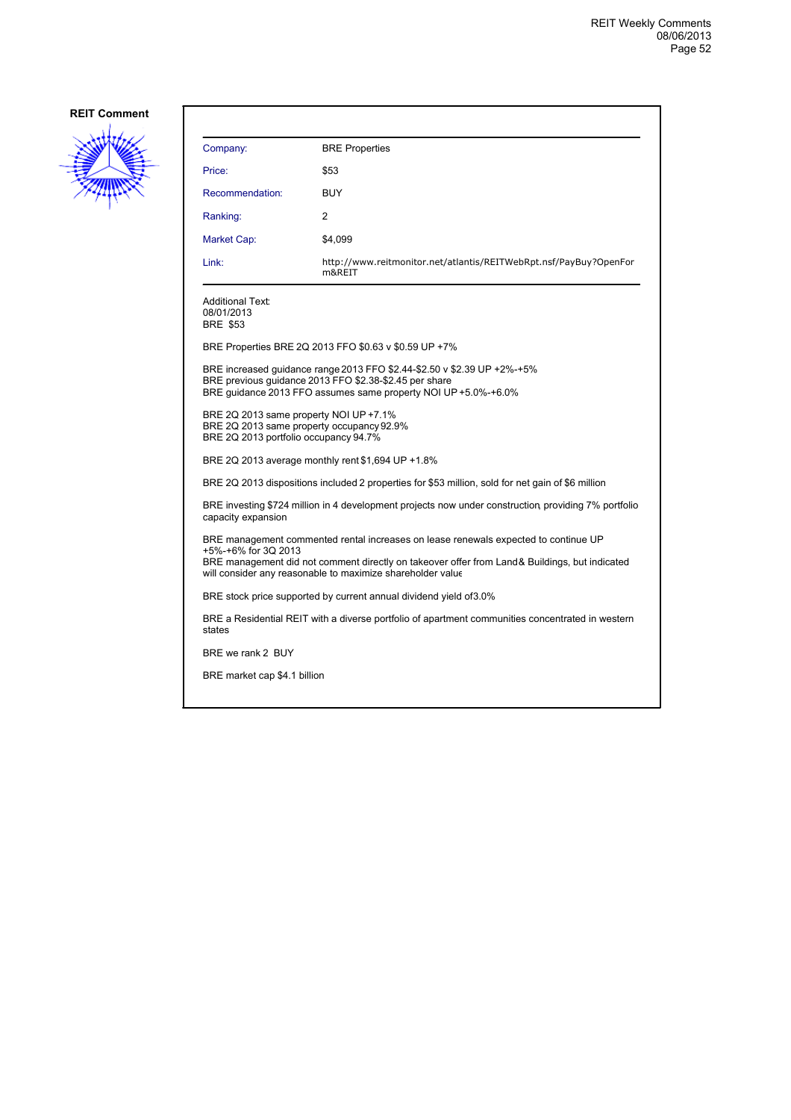

| Company:                                                                                                                                                                                                                                                                   | <b>BRE</b> Properties                                                                                                                                                                               |  |
|----------------------------------------------------------------------------------------------------------------------------------------------------------------------------------------------------------------------------------------------------------------------------|-----------------------------------------------------------------------------------------------------------------------------------------------------------------------------------------------------|--|
| Price:                                                                                                                                                                                                                                                                     | \$53                                                                                                                                                                                                |  |
| Recommendation:                                                                                                                                                                                                                                                            | <b>BUY</b>                                                                                                                                                                                          |  |
| Ranking:                                                                                                                                                                                                                                                                   | 2                                                                                                                                                                                                   |  |
| Market Cap:                                                                                                                                                                                                                                                                | \$4,099                                                                                                                                                                                             |  |
| Link:                                                                                                                                                                                                                                                                      | http://www.reitmonitor.net/atlantis/REITWebRpt.nsf/PayBuy?OpenFor<br>m&REIT                                                                                                                         |  |
| <b>Additional Text:</b><br>08/01/2013<br><b>BRE \$53</b>                                                                                                                                                                                                                   |                                                                                                                                                                                                     |  |
|                                                                                                                                                                                                                                                                            | BRE Properties BRE 2Q 2013 FFO \$0.63 v \$0.59 UP +7%                                                                                                                                               |  |
|                                                                                                                                                                                                                                                                            | BRE increased quidance range 2013 FFO \$2.44-\$2.50 v \$2.39 UP +2%-+5%<br>BRE previous quidance 2013 FFO \$2.38-\$2.45 per share<br>BRE quidance 2013 FFO assumes same property NOI UP +5.0%-+6.0% |  |
| BRE 2Q 2013 same property NOI UP +7.1%<br>BRE 2Q 2013 same property occupancy 92.9%<br>BRE 2Q 2013 portfolio occupancy 94.7%                                                                                                                                               |                                                                                                                                                                                                     |  |
|                                                                                                                                                                                                                                                                            | BRE 2Q 2013 average monthly rent \$1,694 UP +1.8%                                                                                                                                                   |  |
|                                                                                                                                                                                                                                                                            | BRE 2Q 2013 dispositions included 2 properties for \$53 million, sold for net gain of \$6 million                                                                                                   |  |
| BRE investing \$724 million in 4 development projects now under construction providing 7% portfolio<br>capacity expansion                                                                                                                                                  |                                                                                                                                                                                                     |  |
| BRE management commented rental increases on lease renewals expected to continue UP<br>+5%-+6% for 3Q 2013<br>BRE management did not comment directly on takeover offer from Land & Buildings, but indicated<br>will consider any reasonable to maximize shareholder value |                                                                                                                                                                                                     |  |
|                                                                                                                                                                                                                                                                            | BRE stock price supported by current annual dividend yield of 3.0%                                                                                                                                  |  |
| states                                                                                                                                                                                                                                                                     | BRE a Residential REIT with a diverse portfolio of apartment communities concentrated in western                                                                                                    |  |
| BRE we rank 2 BUY                                                                                                                                                                                                                                                          |                                                                                                                                                                                                     |  |
| BRE market cap \$4.1 billion                                                                                                                                                                                                                                               |                                                                                                                                                                                                     |  |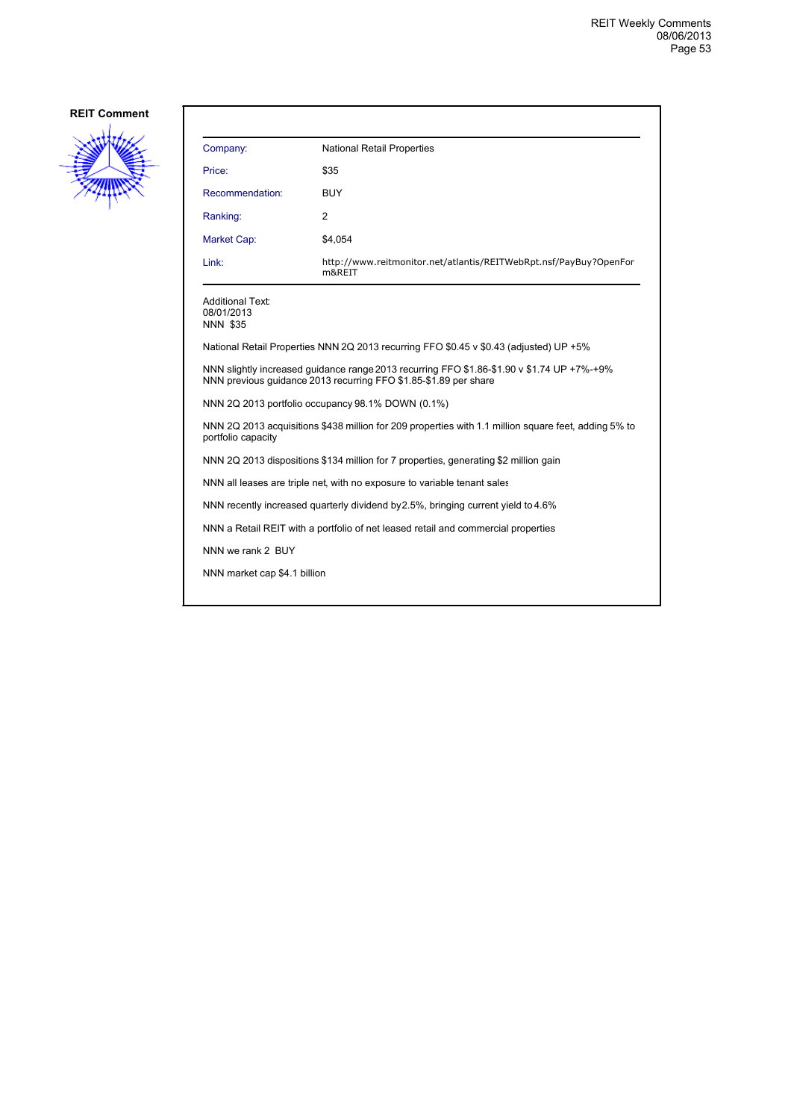

| Company:                                                                                                                                                       | <b>National Retail Properties</b>                                                      |  |
|----------------------------------------------------------------------------------------------------------------------------------------------------------------|----------------------------------------------------------------------------------------|--|
| Price:                                                                                                                                                         | \$35                                                                                   |  |
| Recommendation:                                                                                                                                                | <b>BUY</b>                                                                             |  |
| Ranking:                                                                                                                                                       | 2                                                                                      |  |
| Market Cap:                                                                                                                                                    | \$4,054                                                                                |  |
| Link:                                                                                                                                                          | http://www.reitmonitor.net/atlantis/REITWebRpt.nsf/PayBuy?OpenFor<br>m&REIT            |  |
| <b>Additional Text:</b><br>08/01/2013<br><b>NNN \$35</b>                                                                                                       |                                                                                        |  |
|                                                                                                                                                                | National Retail Properties NNN 2Q 2013 recurring FFO \$0.45 v \$0.43 (adjusted) UP +5% |  |
| NNN slightly increased guidance range 2013 recurring FFO \$1.86-\$1.90 v \$1.74 UP +7%-+9%<br>NNN previous guidance 2013 recurring FFO \$1.85-\$1.89 per share |                                                                                        |  |
| NNN 2Q 2013 portfolio occupancy 98.1% DOWN (0.1%)                                                                                                              |                                                                                        |  |
| NNN 2Q 2013 acquisitions \$438 million for 209 properties with 1.1 million square feet, adding 5% to<br>portfolio capacity                                     |                                                                                        |  |
| NNN 2Q 2013 dispositions \$134 million for 7 properties, generating \$2 million gain                                                                           |                                                                                        |  |
| NNN all leases are triple net, with no exposure to variable tenant sales                                                                                       |                                                                                        |  |
| NNN recently increased quarterly dividend by 2.5%, bringing current yield to 4.6%                                                                              |                                                                                        |  |
| NNN a Retail REIT with a portfolio of net leased retail and commercial properties                                                                              |                                                                                        |  |
| NNN we rank 2 BUY                                                                                                                                              |                                                                                        |  |
| NNN market cap \$4.1 billion                                                                                                                                   |                                                                                        |  |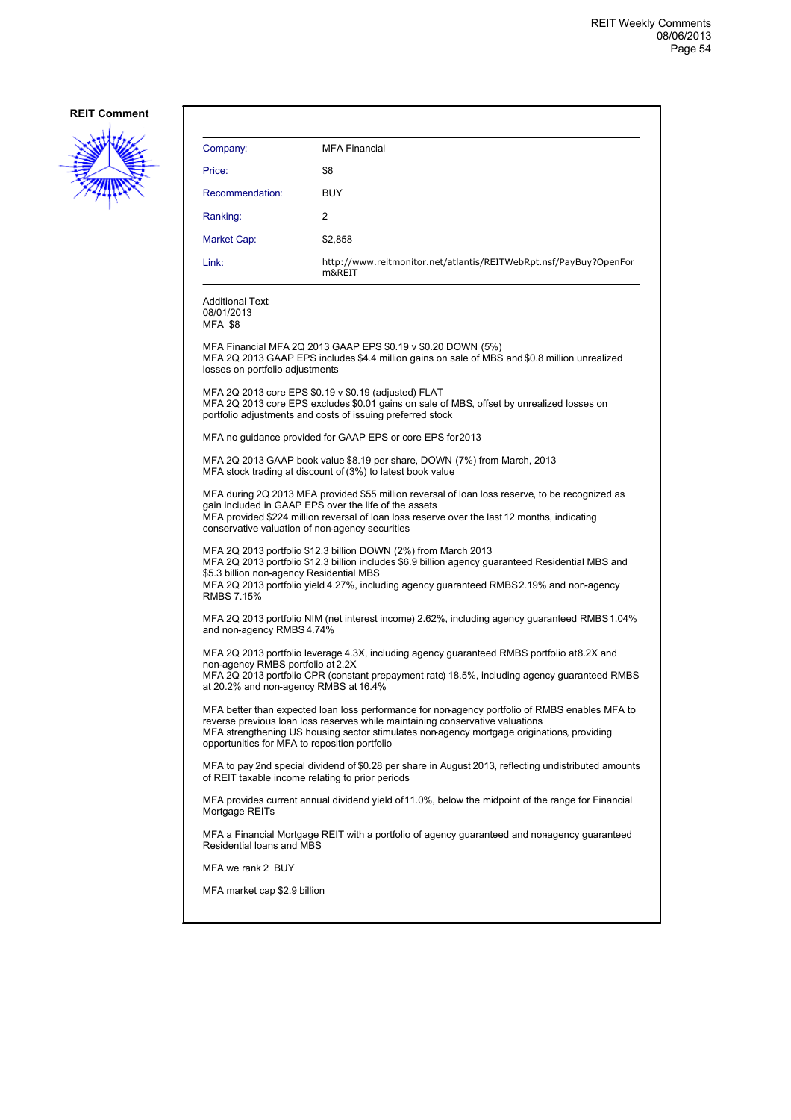

| Company:                                                                                                                                                                                                                                                                                                                         | <b>MFA Financial</b>                                                                                                                                                                                            |  |
|----------------------------------------------------------------------------------------------------------------------------------------------------------------------------------------------------------------------------------------------------------------------------------------------------------------------------------|-----------------------------------------------------------------------------------------------------------------------------------------------------------------------------------------------------------------|--|
| Price:                                                                                                                                                                                                                                                                                                                           | \$8                                                                                                                                                                                                             |  |
| Recommendation:                                                                                                                                                                                                                                                                                                                  | <b>BUY</b>                                                                                                                                                                                                      |  |
| Ranking:                                                                                                                                                                                                                                                                                                                         | 2                                                                                                                                                                                                               |  |
| Market Cap:                                                                                                                                                                                                                                                                                                                      | \$2,858                                                                                                                                                                                                         |  |
| Link:                                                                                                                                                                                                                                                                                                                            | http://www.reitmonitor.net/atlantis/REITWebRpt.nsf/PayBuy?OpenFor<br>m&REIT                                                                                                                                     |  |
| <b>Additional Text:</b><br>08/01/2013<br>MFA \$8                                                                                                                                                                                                                                                                                 |                                                                                                                                                                                                                 |  |
| losses on portfolio adjustments                                                                                                                                                                                                                                                                                                  | MFA Financial MFA 2Q 2013 GAAP EPS \$0.19 v \$0.20 DOWN (5%)<br>MFA 2Q 2013 GAAP EPS includes \$4.4 million gains on sale of MBS and \$0.8 million unrealized                                                   |  |
|                                                                                                                                                                                                                                                                                                                                  | MFA 2Q 2013 core EPS \$0.19 v \$0.19 (adjusted) FLAT<br>MFA 2Q 2013 core EPS excludes \$0.01 gains on sale of MBS, offset by unrealized losses on<br>portfolio adjustments and costs of issuing preferred stock |  |
|                                                                                                                                                                                                                                                                                                                                  | MFA no guidance provided for GAAP EPS or core EPS for 2013                                                                                                                                                      |  |
| MFA 2Q 2013 GAAP book value \$8.19 per share, DOWN (7%) from March, 2013<br>MFA stock trading at discount of (3%) to latest book value                                                                                                                                                                                           |                                                                                                                                                                                                                 |  |
| MFA during 2Q 2013 MFA provided \$55 million reversal of loan loss reserve, to be recognized as<br>gain included in GAAP EPS over the life of the assets<br>MFA provided \$224 million reversal of loan loss reserve over the last 12 months, indicating<br>conservative valuation of non-agency securities                      |                                                                                                                                                                                                                 |  |
| MFA 2Q 2013 portfolio \$12.3 billion DOWN (2%) from March 2013<br>MFA 2Q 2013 portfolio \$12.3 billion includes \$6.9 billion agency guaranteed Residential MBS and<br>\$5.3 billion non-agency Residential MBS<br>MFA 2Q 2013 portfolio yield 4.27%, including agency guaranteed RMBS 2.19% and non-agency<br><b>RMBS 7.15%</b> |                                                                                                                                                                                                                 |  |
| and non-agency RMBS 4.74%                                                                                                                                                                                                                                                                                                        | MFA 2Q 2013 portfolio NIM (net interest income) 2.62%, including agency guaranteed RMBS 1.04%                                                                                                                   |  |
| non-agency RMBS portfolio at 2.2X<br>at 20.2% and non-agency RMBS at 16.4%                                                                                                                                                                                                                                                       | MFA 2Q 2013 portfolio leverage 4.3X, including agency guaranteed RMBS portfolio at 8.2X and<br>MFA 2Q 2013 portfolio CPR (constant prepayment rate) 18.5%, including agency guaranteed RMBS                     |  |
| MFA better than expected loan loss performance for non-agency portfolio of RMBS enables MFA to<br>reverse previous loan loss reserves while maintaining conservative valuations<br>MFA strengthening US housing sector stimulates non-agency mortgage originations, providing<br>opportunities for MFA to reposition portfolio   |                                                                                                                                                                                                                 |  |
| MFA to pay 2nd special dividend of \$0.28 per share in August 2013, reflecting undistributed amounts<br>of REIT taxable income relating to prior periods                                                                                                                                                                         |                                                                                                                                                                                                                 |  |
| Mortgage REITs                                                                                                                                                                                                                                                                                                                   | MFA provides current annual dividend yield of 11.0%, below the midpoint of the range for Financial                                                                                                              |  |
| Residential loans and MBS                                                                                                                                                                                                                                                                                                        | MFA a Financial Mortgage REIT with a portfolio of agency guaranteed and nonagency guaranteed                                                                                                                    |  |
| MFA we rank 2 BUY                                                                                                                                                                                                                                                                                                                |                                                                                                                                                                                                                 |  |
| MFA market cap \$2.9 billion                                                                                                                                                                                                                                                                                                     |                                                                                                                                                                                                                 |  |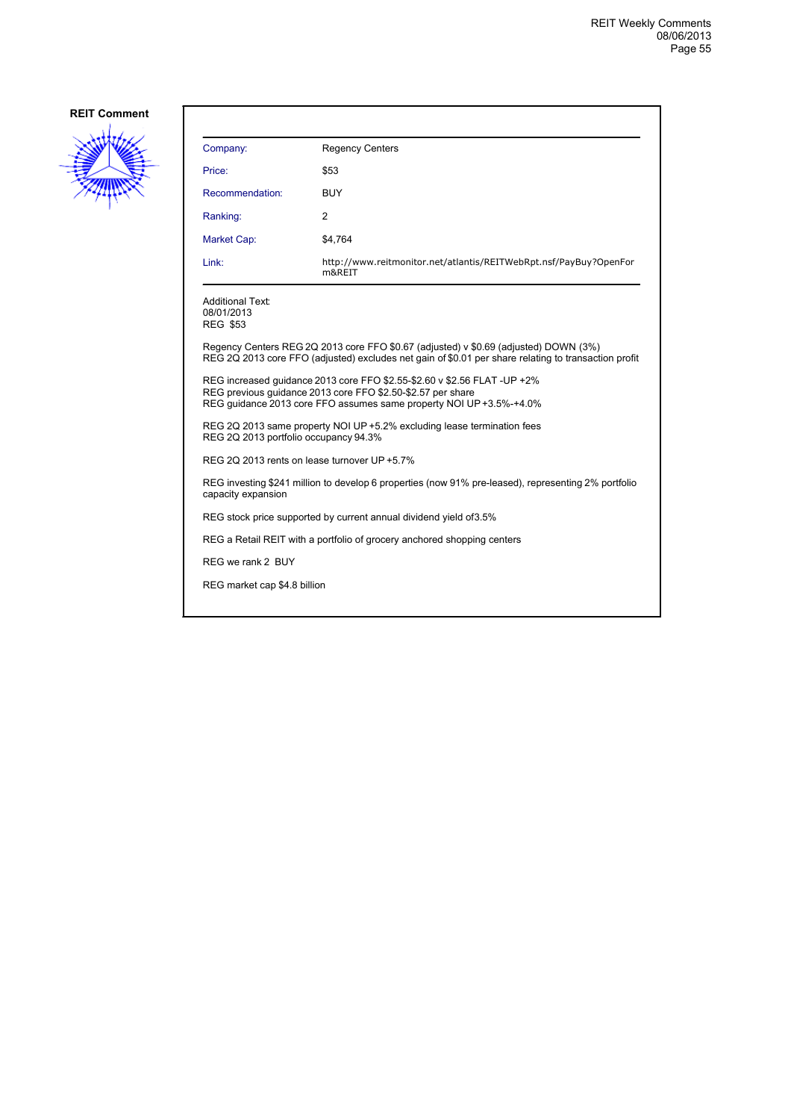

| Company:                                                                                                                                                                                                       | <b>Regency Centers</b>                                                                                                                                                                       |  |
|----------------------------------------------------------------------------------------------------------------------------------------------------------------------------------------------------------------|----------------------------------------------------------------------------------------------------------------------------------------------------------------------------------------------|--|
| Price:                                                                                                                                                                                                         | \$53                                                                                                                                                                                         |  |
| Recommendation:                                                                                                                                                                                                | <b>BUY</b>                                                                                                                                                                                   |  |
| Ranking:                                                                                                                                                                                                       | 2                                                                                                                                                                                            |  |
| <b>Market Cap:</b>                                                                                                                                                                                             | \$4,764                                                                                                                                                                                      |  |
| Link:                                                                                                                                                                                                          | http://www.reitmonitor.net/atlantis/REITWebRpt.nsf/PayBuy?OpenFor<br>m&REIT                                                                                                                  |  |
| Additional Text:<br>08/01/2013<br>REG \$53                                                                                                                                                                     |                                                                                                                                                                                              |  |
|                                                                                                                                                                                                                | Regency Centers REG 2Q 2013 core FFO \$0.67 (adjusted) v \$0.69 (adjusted) DOWN (3%)<br>REG 2Q 2013 core FFO (adjusted) excludes net gain of \$0.01 per share relating to transaction profit |  |
| REG increased quidance 2013 core FFO \$2.55-\$2.60 v \$2.56 FLAT -UP +2%<br>REG previous quidance 2013 core FFO \$2.50-\$2.57 per share<br>REG quidance 2013 core FFO assumes same property NOI UP +3.5%-+4.0% |                                                                                                                                                                                              |  |
| REG 2Q 2013 same property NOI UP +5.2% excluding lease termination fees<br>REG 2Q 2013 portfolio occupancy 94.3%                                                                                               |                                                                                                                                                                                              |  |
| REG 2Q 2013 rents on lease turnover UP +5.7%                                                                                                                                                                   |                                                                                                                                                                                              |  |
| capacity expansion                                                                                                                                                                                             | REG investing \$241 million to develop 6 properties (now 91% pre-leased), representing 2% portfolio                                                                                          |  |
| REG stock price supported by current annual dividend yield of 3.5%                                                                                                                                             |                                                                                                                                                                                              |  |
|                                                                                                                                                                                                                | REG a Retail REIT with a portfolio of grocery anchored shopping centers                                                                                                                      |  |
| REG we rank 2 BUY                                                                                                                                                                                              |                                                                                                                                                                                              |  |
| REG market cap \$4.8 billion                                                                                                                                                                                   |                                                                                                                                                                                              |  |
|                                                                                                                                                                                                                |                                                                                                                                                                                              |  |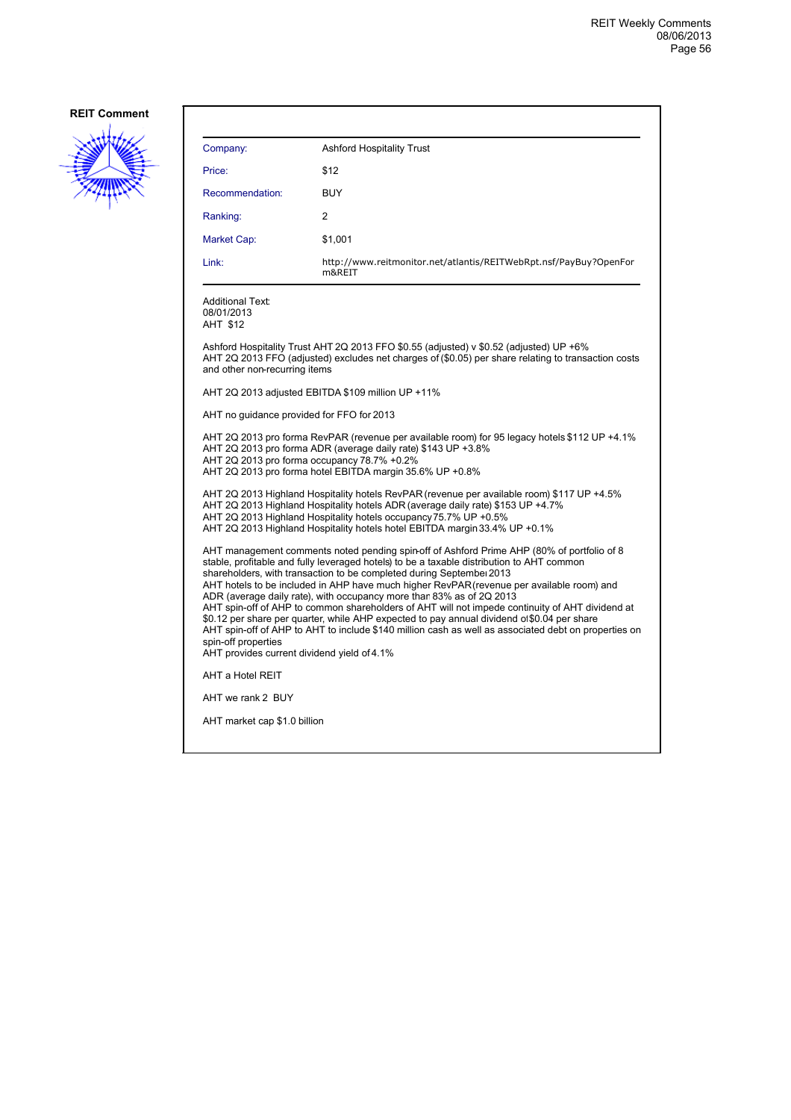

| Company:                                                                                                                                                                                                                                                                                                                                                                                                                                                                                                                                                                                                                                                                                                                                                                                                             | <b>Ashford Hospitality Trust</b>                                                                                                                                                              |  |
|----------------------------------------------------------------------------------------------------------------------------------------------------------------------------------------------------------------------------------------------------------------------------------------------------------------------------------------------------------------------------------------------------------------------------------------------------------------------------------------------------------------------------------------------------------------------------------------------------------------------------------------------------------------------------------------------------------------------------------------------------------------------------------------------------------------------|-----------------------------------------------------------------------------------------------------------------------------------------------------------------------------------------------|--|
| Price:                                                                                                                                                                                                                                                                                                                                                                                                                                                                                                                                                                                                                                                                                                                                                                                                               | \$12                                                                                                                                                                                          |  |
| Recommendation:                                                                                                                                                                                                                                                                                                                                                                                                                                                                                                                                                                                                                                                                                                                                                                                                      | BUY                                                                                                                                                                                           |  |
| Ranking:                                                                                                                                                                                                                                                                                                                                                                                                                                                                                                                                                                                                                                                                                                                                                                                                             | 2                                                                                                                                                                                             |  |
| Market Cap:                                                                                                                                                                                                                                                                                                                                                                                                                                                                                                                                                                                                                                                                                                                                                                                                          | \$1,001                                                                                                                                                                                       |  |
| Link:                                                                                                                                                                                                                                                                                                                                                                                                                                                                                                                                                                                                                                                                                                                                                                                                                | http://www.reitmonitor.net/atlantis/REITWebRpt.nsf/PayBuy?OpenFor<br>m&REIT                                                                                                                   |  |
| Additional Text:<br>08/01/2013<br>AHT \$12                                                                                                                                                                                                                                                                                                                                                                                                                                                                                                                                                                                                                                                                                                                                                                           |                                                                                                                                                                                               |  |
| and other non-recurring items                                                                                                                                                                                                                                                                                                                                                                                                                                                                                                                                                                                                                                                                                                                                                                                        | Ashford Hospitality Trust AHT 2Q 2013 FFO \$0.55 (adjusted) v \$0.52 (adjusted) UP +6%<br>AHT 2Q 2013 FFO (adjusted) excludes net charges of (\$0.05) per share relating to transaction costs |  |
|                                                                                                                                                                                                                                                                                                                                                                                                                                                                                                                                                                                                                                                                                                                                                                                                                      | AHT 2Q 2013 adjusted EBITDA \$109 million UP +11%                                                                                                                                             |  |
| AHT no guidance provided for FFO for 2013                                                                                                                                                                                                                                                                                                                                                                                                                                                                                                                                                                                                                                                                                                                                                                            |                                                                                                                                                                                               |  |
| AHT 2Q 2013 pro forma RevPAR (revenue per available room) for 95 legacy hotels \$112 UP +4.1%<br>AHT 2Q 2013 pro forma ADR (average daily rate) \$143 UP +3.8%<br>AHT 2Q 2013 pro forma occupancy 78.7% +0.2%<br>AHT 2Q 2013 pro forma hotel EBITDA margin 35.6% UP +0.8%                                                                                                                                                                                                                                                                                                                                                                                                                                                                                                                                            |                                                                                                                                                                                               |  |
| AHT 2Q 2013 Highland Hospitality hotels RevPAR (revenue per available room) \$117 UP +4.5%<br>AHT 2Q 2013 Highland Hospitality hotels ADR (average daily rate) \$153 UP +4.7%<br>AHT 2Q 2013 Highland Hospitality hotels occupancy 75.7% UP +0.5%<br>AHT 2Q 2013 Highland Hospitality hotels hotel EBITDA margin 33.4% UP +0.1%                                                                                                                                                                                                                                                                                                                                                                                                                                                                                      |                                                                                                                                                                                               |  |
| AHT management comments noted pending spin-off of Ashford Prime AHP (80% of portfolio of 8<br>stable, profitable and fully leveraged hotels) to be a taxable distribution to AHT common<br>shareholders, with transaction to be completed during Septembel 2013<br>AHT hotels to be included in AHP have much higher RevPAR (revenue per available room) and<br>ADR (average daily rate), with occupancy more than 83% as of 2Q 2013<br>AHT spin-off of AHP to common shareholders of AHT will not impede continuity of AHT dividend at<br>\$0.12 per share per quarter, while AHP expected to pay annual dividend of \$0.04 per share<br>AHT spin-off of AHP to AHT to include \$140 million cash as well as associated debt on properties on<br>spin-off properties<br>AHT provides current dividend yield of 4.1% |                                                                                                                                                                                               |  |
| AHT a Hotel REIT                                                                                                                                                                                                                                                                                                                                                                                                                                                                                                                                                                                                                                                                                                                                                                                                     |                                                                                                                                                                                               |  |
| AHT we rank 2 BUY                                                                                                                                                                                                                                                                                                                                                                                                                                                                                                                                                                                                                                                                                                                                                                                                    |                                                                                                                                                                                               |  |
| AHT market cap \$1.0 billion                                                                                                                                                                                                                                                                                                                                                                                                                                                                                                                                                                                                                                                                                                                                                                                         |                                                                                                                                                                                               |  |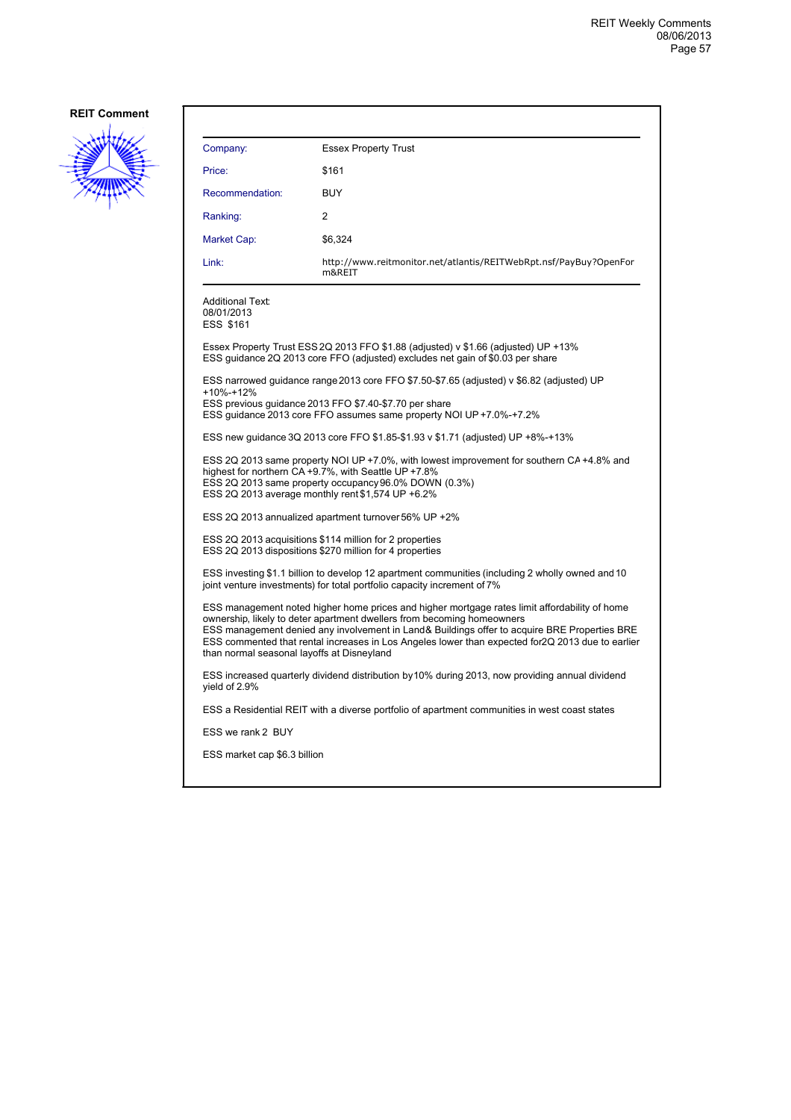

| Company:                                    | <b>Essex Property Trust</b>                                                                                                                                                                                                                                                                                                                                                  |
|---------------------------------------------|------------------------------------------------------------------------------------------------------------------------------------------------------------------------------------------------------------------------------------------------------------------------------------------------------------------------------------------------------------------------------|
| Price:                                      | \$161                                                                                                                                                                                                                                                                                                                                                                        |
| Recommendation:                             | <b>BUY</b>                                                                                                                                                                                                                                                                                                                                                                   |
| Ranking:                                    | 2                                                                                                                                                                                                                                                                                                                                                                            |
| Market Cap:                                 | \$6,324                                                                                                                                                                                                                                                                                                                                                                      |
| Link:                                       | http://www.reitmonitor.net/atlantis/REITWebRpt.nsf/PayBuy?OpenFor<br>m&REIT                                                                                                                                                                                                                                                                                                  |
| Additional Text:<br>08/01/2013<br>ESS \$161 |                                                                                                                                                                                                                                                                                                                                                                              |
|                                             | Essex Property Trust ESS 2Q 2013 FFO \$1.88 (adjusted) v \$1.66 (adjusted) UP +13%<br>ESS guidance 2Q 2013 core FFO (adjusted) excludes net gain of \$0.03 per share                                                                                                                                                                                                         |
| +10%-+12%                                   | ESS narrowed guidance range 2013 core FFO \$7.50-\$7.65 (adjusted) v \$6.82 (adjusted) UP<br>ESS previous guidance 2013 FFO \$7.40-\$7.70 per share<br>ESS guidance 2013 core FFO assumes same property NOI UP +7.0%-+7.2%                                                                                                                                                   |
|                                             | ESS new guidance 3Q 2013 core FFO \$1.85-\$1.93 v \$1.71 (adjusted) UP +8%-+13%                                                                                                                                                                                                                                                                                              |
|                                             | ESS 2Q 2013 same property NOI UP +7.0%, with lowest improvement for southern CA +4.8% and<br>highest for northern CA +9.7%, with Seattle UP +7.8%<br>ESS 2Q 2013 same property occupancy 96.0% DOWN (0.3%)<br>ESS 2Q 2013 average monthly rent \$1,574 UP +6.2%                                                                                                              |
|                                             | ESS 2Q 2013 annualized apartment turnover 56% UP +2%                                                                                                                                                                                                                                                                                                                         |
|                                             | ESS 2Q 2013 acquisitions \$114 million for 2 properties<br>ESS 2Q 2013 dispositions \$270 million for 4 properties                                                                                                                                                                                                                                                           |
|                                             | ESS investing \$1.1 billion to develop 12 apartment communities (including 2 wholly owned and 10<br>joint venture investments) for total portfolio capacity increment of 7%                                                                                                                                                                                                  |
| than normal seasonal layoffs at Disneyland  | ESS management noted higher home prices and higher mortgage rates limit affordability of home<br>ownership, likely to deter apartment dwellers from becoming homeowners<br>ESS management denied any involvement in Land& Buildings offer to acquire BRE Properties BRE<br>ESS commented that rental increases in Los Angeles lower than expected for 2Q 2013 due to earlier |
| vield of 2.9%                               | ESS increased quarterly dividend distribution by 10% during 2013, now providing annual dividend                                                                                                                                                                                                                                                                              |
|                                             | ESS a Residential REIT with a diverse portfolio of apartment communities in west coast states                                                                                                                                                                                                                                                                                |
| ESS we rank 2 BUY                           |                                                                                                                                                                                                                                                                                                                                                                              |
| ESS market cap \$6.3 billion                |                                                                                                                                                                                                                                                                                                                                                                              |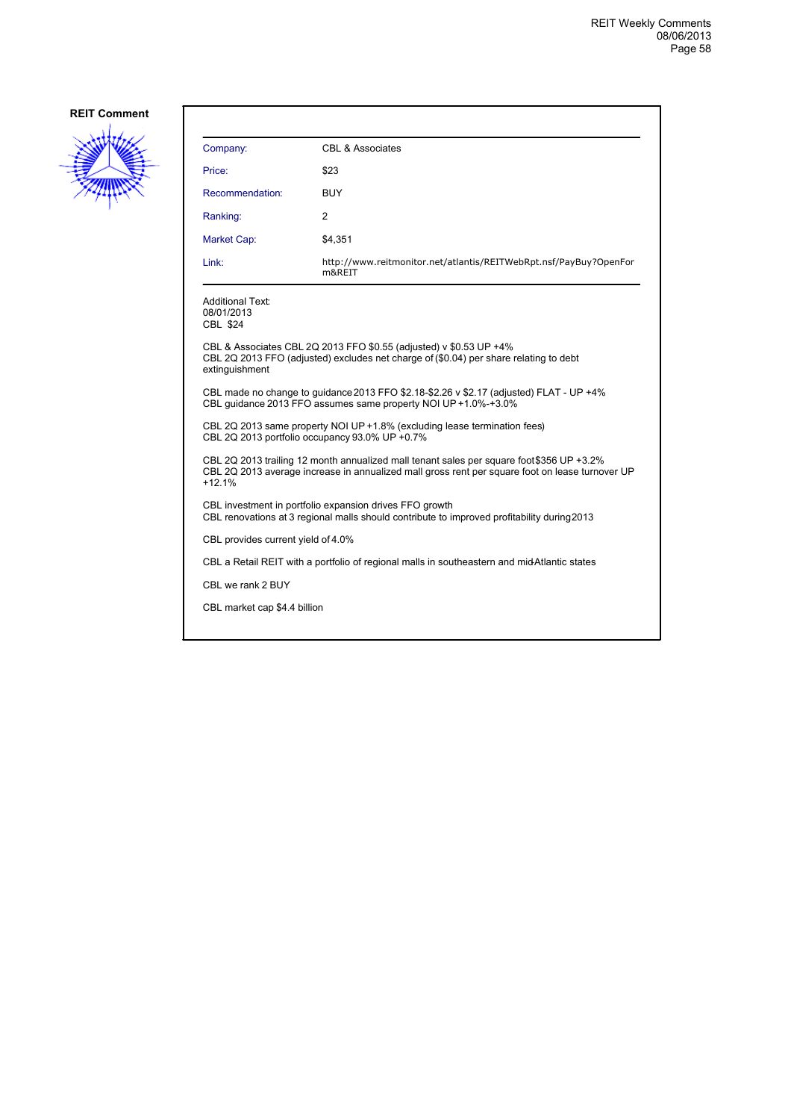

| Company:                                                                                                                                                                                                 | <b>CBL &amp; Associates</b>                                                                                                                                 |  |
|----------------------------------------------------------------------------------------------------------------------------------------------------------------------------------------------------------|-------------------------------------------------------------------------------------------------------------------------------------------------------------|--|
| Price:                                                                                                                                                                                                   | \$23                                                                                                                                                        |  |
| Recommendation:                                                                                                                                                                                          | <b>BUY</b>                                                                                                                                                  |  |
| Ranking:                                                                                                                                                                                                 | 2                                                                                                                                                           |  |
| Market Cap:                                                                                                                                                                                              | \$4,351                                                                                                                                                     |  |
| Link:                                                                                                                                                                                                    | http://www.reitmonitor.net/atlantis/REITWebRpt.nsf/PayBuy?OpenFor<br>m&REIT                                                                                 |  |
| <b>Additional Text:</b><br>08/01/2013<br><b>CBL \$24</b>                                                                                                                                                 |                                                                                                                                                             |  |
| extinguishment                                                                                                                                                                                           | CBL & Associates CBL 2Q 2013 FFO \$0.55 (adjusted) v \$0.53 UP +4%<br>CBL 2Q 2013 FFO (adjusted) excludes net charge of (\$0.04) per share relating to debt |  |
| CBL made no change to quidance 2013 FFO \$2.18-\$2.26 v \$2.17 (adjusted) FLAT - UP +4%<br>CBL guidance 2013 FFO assumes same property NOI UP +1.0%-+3.0%                                                |                                                                                                                                                             |  |
| CBL 2Q 2013 same property NOI UP +1.8% (excluding lease termination fees)<br>CBL 2Q 2013 portfolio occupancy 93.0% UP +0.7%                                                                              |                                                                                                                                                             |  |
| CBL 2Q 2013 trailing 12 month annualized mall tenant sales per square foot \$356 UP +3.2%<br>CBL 2Q 2013 average increase in annualized mall gross rent per square foot on lease turnover UP<br>$+12.1%$ |                                                                                                                                                             |  |
| CBL investment in portfolio expansion drives FFO growth<br>CBL renovations at 3 regional malls should contribute to improved profitability during 2013                                                   |                                                                                                                                                             |  |
| CBL provides current yield of 4.0%                                                                                                                                                                       |                                                                                                                                                             |  |
| CBL a Retail REIT with a portfolio of regional malls in southeastern and midAtlantic states                                                                                                              |                                                                                                                                                             |  |
| CBL we rank 2 BUY                                                                                                                                                                                        |                                                                                                                                                             |  |
| CBL market cap \$4.4 billion                                                                                                                                                                             |                                                                                                                                                             |  |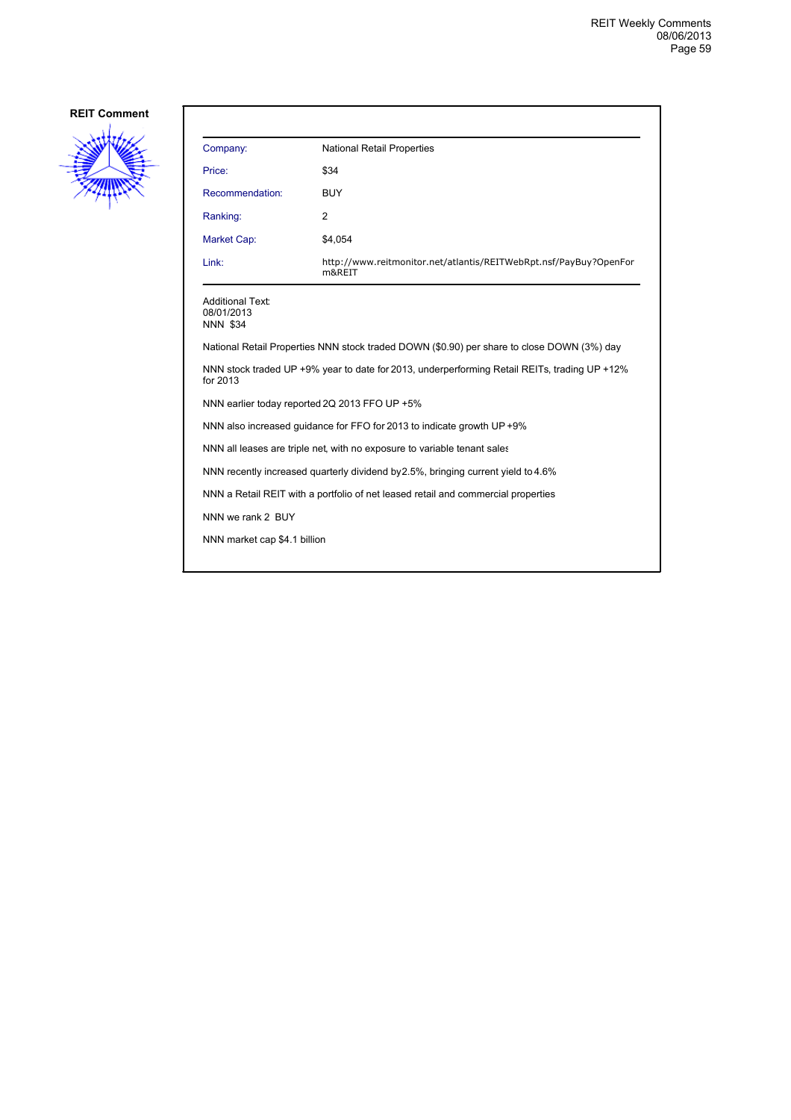

| Company:                                                 | <b>National Retail Properties</b>                                           |
|----------------------------------------------------------|-----------------------------------------------------------------------------|
| Price:                                                   | \$34                                                                        |
| Recommendation:                                          | <b>BUY</b>                                                                  |
| Ranking:                                                 | $\overline{2}$                                                              |
| Market Cap:                                              | \$4,054                                                                     |
| Link:                                                    | http://www.reitmonitor.net/atlantis/REITWebRpt.nsf/PayBuy?OpenFor<br>m&REIT |
| <b>Additional Text:</b><br>08/01/2013<br><b>NNN \$34</b> |                                                                             |

National Retail Properties NNN stock traded DOWN (\$0.90) per share to close DOWN (3%) day

NNN stock traded UP +9% year to date for 2013, underperforming Retail REITs, trading UP +12% for 2013

NNN earlier today reported 2Q 2013 FFO UP +5%

NNN also increased guidance for FFO for 2013 to indicate growth UP +9%

NNN all leases are triple net, with no exposure to variable tenant sales

NNN recently increased quarterly dividend by 2.5%, bringing current yield to 4.6%

NNN a Retail REIT with a portfolio of net leased retail and commercial properties

NNN we rank 2 BUY

NNN market cap \$4.1 billion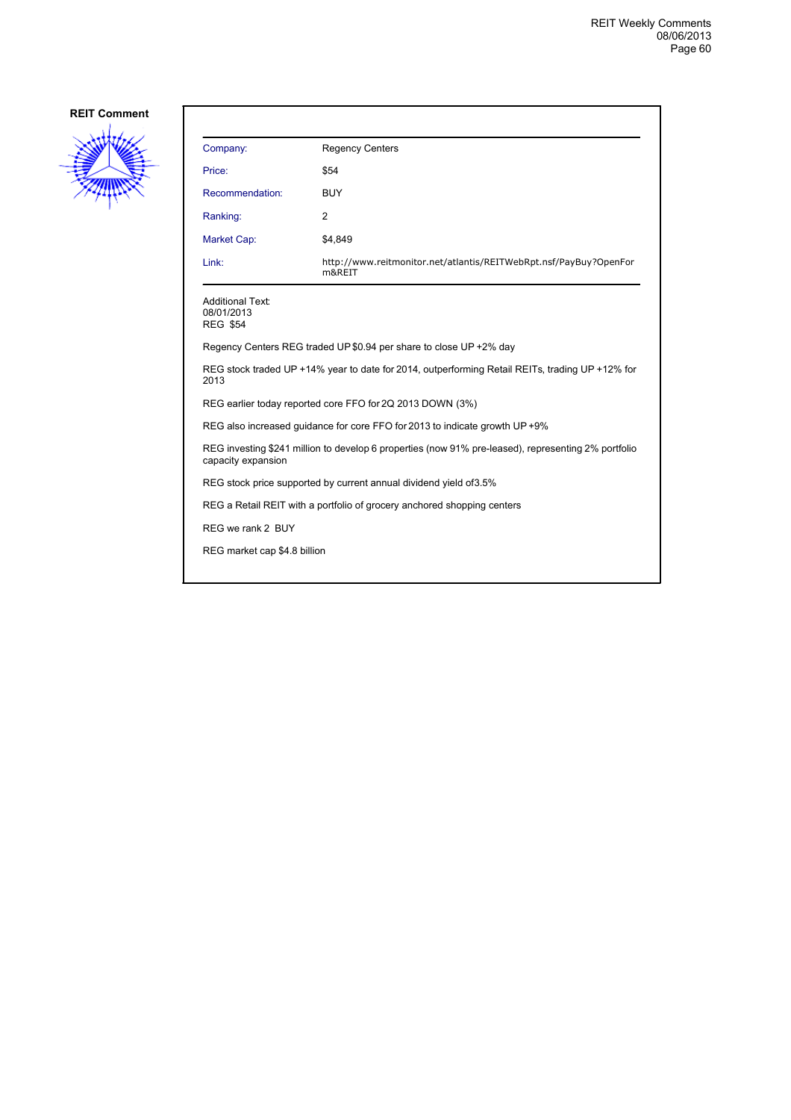

| Company:                                                                                                                  | <b>Regency Centers</b>                                                      |  |
|---------------------------------------------------------------------------------------------------------------------------|-----------------------------------------------------------------------------|--|
| Price:                                                                                                                    | \$54                                                                        |  |
| Recommendation:                                                                                                           | <b>BUY</b>                                                                  |  |
| Ranking:                                                                                                                  | 2                                                                           |  |
| Market Cap:                                                                                                               | \$4,849                                                                     |  |
| Link:                                                                                                                     | http://www.reitmonitor.net/atlantis/REITWebRpt.nsf/PayBuy?OpenFor<br>m&REIT |  |
| <b>Additional Text:</b><br>08/01/2013<br><b>REG \$54</b>                                                                  |                                                                             |  |
|                                                                                                                           | Regency Centers REG traded UP \$0.94 per share to close UP +2% day          |  |
| REG stock traded UP +14% year to date for 2014, outperforming Retail REITs, trading UP +12% for<br>2013                   |                                                                             |  |
| REG earlier today reported core FFO for 2Q 2013 DOWN (3%)                                                                 |                                                                             |  |
| REG also increased guidance for core FFO for 2013 to indicate growth UP +9%                                               |                                                                             |  |
| REG investing \$241 million to develop 6 properties (now 91% pre-leased), representing 2% portfolio<br>capacity expansion |                                                                             |  |
| REG stock price supported by current annual dividend yield of 3.5%                                                        |                                                                             |  |
| REG a Retail REIT with a portfolio of grocery anchored shopping centers                                                   |                                                                             |  |
| REG we rank 2 BUY                                                                                                         |                                                                             |  |
| REG market cap \$4.8 billion                                                                                              |                                                                             |  |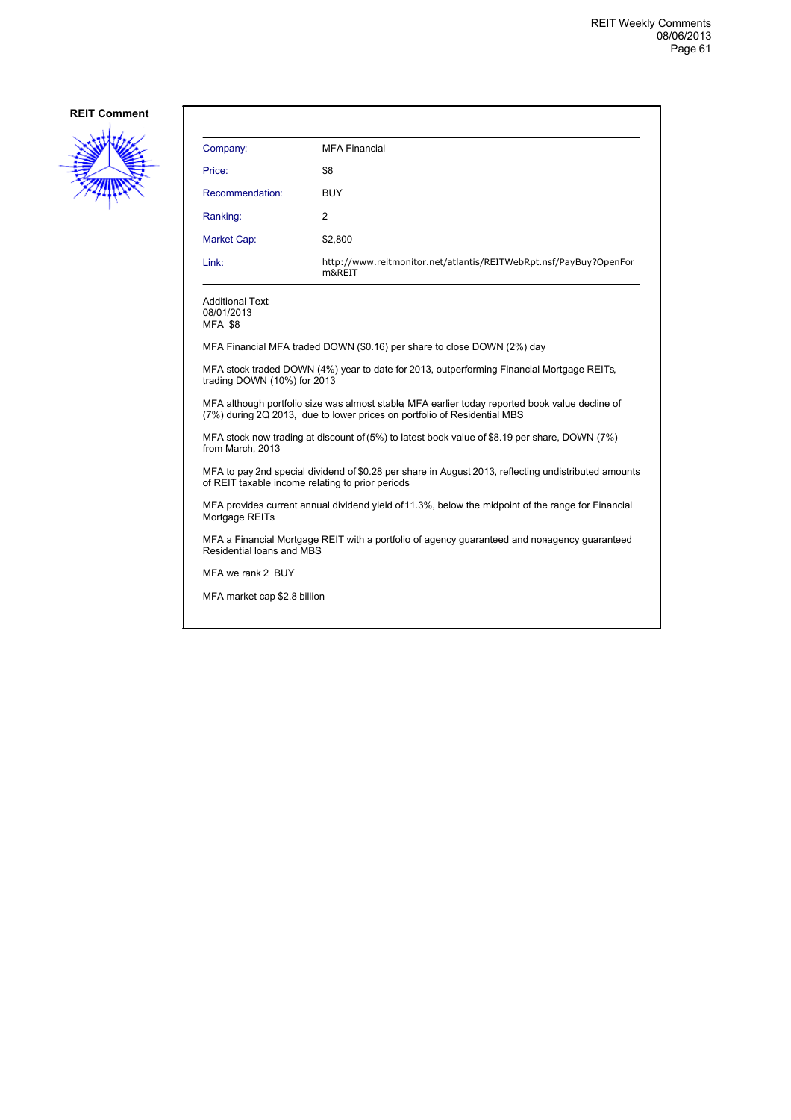

| Company:                                                                                                                                                                    | <b>MFA Financial</b>                                                                      |  |
|-----------------------------------------------------------------------------------------------------------------------------------------------------------------------------|-------------------------------------------------------------------------------------------|--|
| Price:                                                                                                                                                                      | \$8                                                                                       |  |
| Recommendation:                                                                                                                                                             | BUY                                                                                       |  |
| Ranking:                                                                                                                                                                    | 2                                                                                         |  |
| Market Cap:                                                                                                                                                                 | \$2,800                                                                                   |  |
| Link:                                                                                                                                                                       | http://www.reitmonitor.net/atlantis/REITWebRpt.nsf/PayBuy?OpenFor<br>m&REIT               |  |
| <b>Additional Text:</b><br>08/01/2013<br><b>MFA \$8</b>                                                                                                                     |                                                                                           |  |
|                                                                                                                                                                             | MFA Financial MFA traded DOWN (\$0.16) per share to close DOWN (2%) day                   |  |
| trading DOWN (10%) for 2013                                                                                                                                                 | MFA stock traded DOWN (4%) year to date for 2013, outperforming Financial Mortgage REITs, |  |
| MFA although portfolio size was almost stable, MFA earlier today reported book value decline of<br>(7%) during 2Q 2013, due to lower prices on portfolio of Residential MBS |                                                                                           |  |
| MFA stock now trading at discount of (5%) to latest book value of \$8.19 per share, DOWN (7%)<br>from March, 2013                                                           |                                                                                           |  |
| MFA to pay 2nd special dividend of \$0.28 per share in August 2013, reflecting undistributed amounts<br>of REIT taxable income relating to prior periods                    |                                                                                           |  |
| MFA provides current annual dividend yield of 11.3%, below the midpoint of the range for Financial<br>Mortgage REITs                                                        |                                                                                           |  |
| MFA a Financial Mortgage REIT with a portfolio of agency guaranteed and nonagency guaranteed<br>Residential loans and MBS                                                   |                                                                                           |  |
| MFA we rank 2 BUY                                                                                                                                                           |                                                                                           |  |
| MFA market cap \$2.8 billion                                                                                                                                                |                                                                                           |  |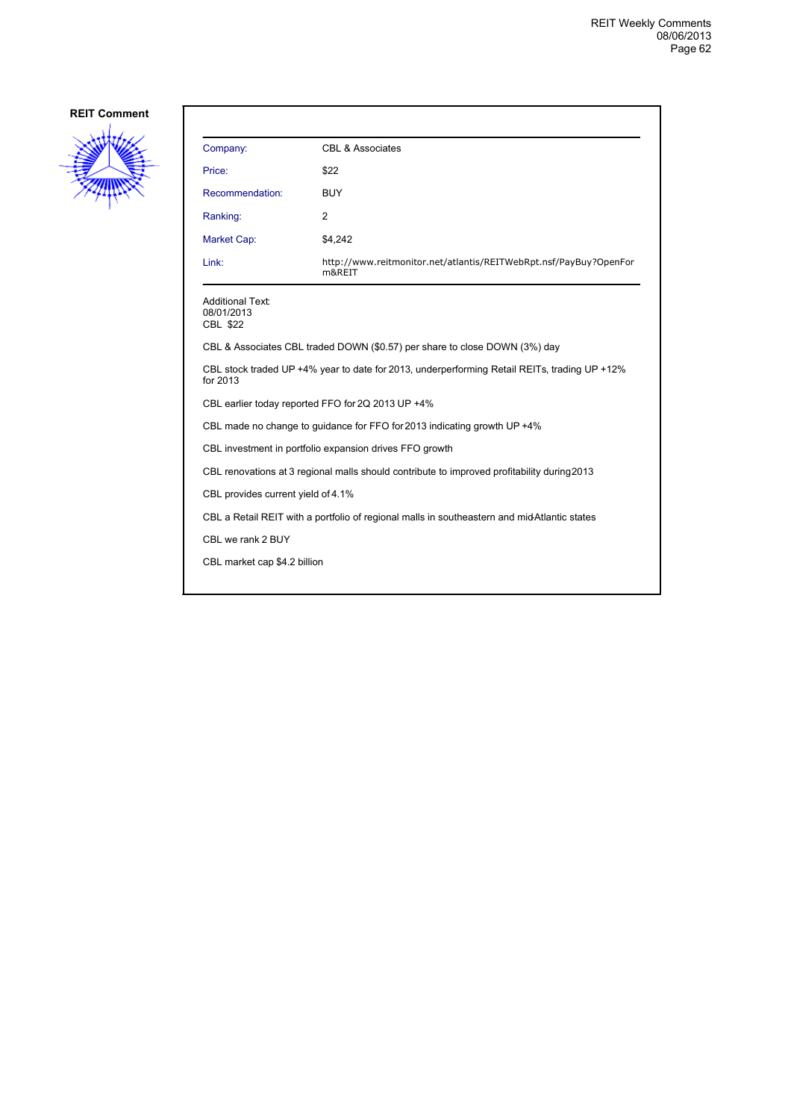

| Company:                                                                                                 | CBL & Associates                                                            |  |
|----------------------------------------------------------------------------------------------------------|-----------------------------------------------------------------------------|--|
| Price:                                                                                                   | \$22                                                                        |  |
| Recommendation:                                                                                          | <b>BUY</b>                                                                  |  |
| Ranking:                                                                                                 | 2                                                                           |  |
| Market Cap:                                                                                              | \$4,242                                                                     |  |
| Link:                                                                                                    | http://www.reitmonitor.net/atlantis/REITWebRpt.nsf/PayBuy?OpenFor<br>m&REIT |  |
| <b>Additional Text:</b><br>08/01/2013<br><b>CBL \$22</b>                                                 |                                                                             |  |
|                                                                                                          | CBL & Associates CBL traded DOWN (\$0.57) per share to close DOWN (3%) day  |  |
| CBL stock traded UP +4% year to date for 2013, underperforming Retail REITs, trading UP +12%<br>for 2013 |                                                                             |  |
| CBL earlier today reported FFO for 2Q 2013 UP +4%                                                        |                                                                             |  |
| CBL made no change to guidance for FFO for 2013 indicating growth UP +4%                                 |                                                                             |  |
| CBL investment in portfolio expansion drives FFO growth                                                  |                                                                             |  |
| CBL renovations at 3 regional malls should contribute to improved profitability during 2013              |                                                                             |  |
| CBL provides current yield of 4.1%                                                                       |                                                                             |  |
| CBL a Retail REIT with a portfolio of regional malls in southeastern and mid-Atlantic states             |                                                                             |  |
| CBL we rank 2 BUY                                                                                        |                                                                             |  |
| CBL market cap \$4.2 billion                                                                             |                                                                             |  |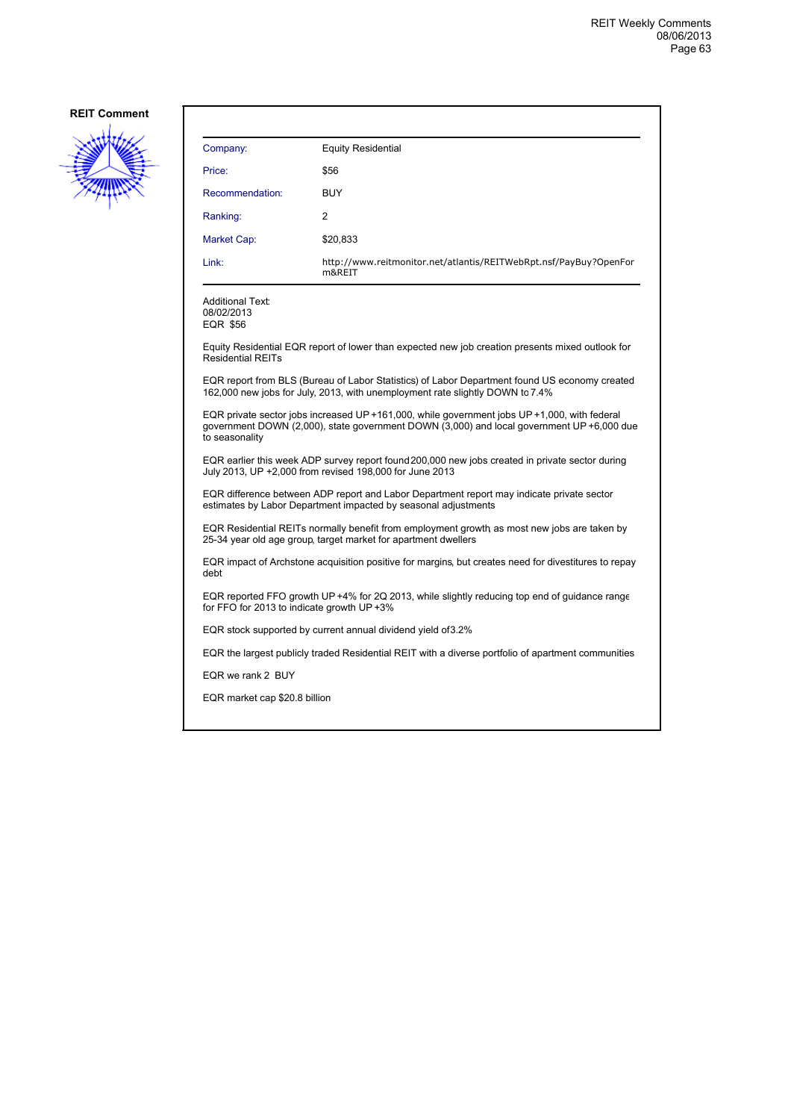

| Company:                                                                                                                                                                                                    | <b>Equity Residential</b>                                                                          |  |
|-------------------------------------------------------------------------------------------------------------------------------------------------------------------------------------------------------------|----------------------------------------------------------------------------------------------------|--|
| Price:                                                                                                                                                                                                      | \$56                                                                                               |  |
| Recommendation:                                                                                                                                                                                             | <b>BUY</b>                                                                                         |  |
| Ranking:                                                                                                                                                                                                    | 2                                                                                                  |  |
| Market Cap:                                                                                                                                                                                                 | \$20,833                                                                                           |  |
| Link:                                                                                                                                                                                                       | http://www.reitmonitor.net/atlantis/REITWebRpt.nsf/PayBuy?OpenFor<br>m&REIT                        |  |
| <b>Additional Text:</b><br>08/02/2013<br>EQR \$56                                                                                                                                                           |                                                                                                    |  |
| <b>Residential REITs</b>                                                                                                                                                                                    | Equity Residential EQR report of lower than expected new job creation presents mixed outlook for   |  |
| EQR report from BLS (Bureau of Labor Statistics) of Labor Department found US economy created<br>162,000 new jobs for July, 2013, with unemployment rate slightly DOWN to 7.4%                              |                                                                                                    |  |
| EQR private sector jobs increased UP +161,000, while government jobs UP +1,000, with federal<br>government DOWN (2,000), state government DOWN (3,000) and local government UP +6,000 due<br>to seasonality |                                                                                                    |  |
| EQR earlier this week ADP survey report found 200,000 new jobs created in private sector during<br>July 2013, UP +2,000 from revised 198,000 for June 2013                                                  |                                                                                                    |  |
| EQR difference between ADP report and Labor Department report may indicate private sector<br>estimates by Labor Department impacted by seasonal adjustments                                                 |                                                                                                    |  |
| EQR Residential REITs normally benefit from employment growth as most new jobs are taken by<br>25-34 year old age group, target market for apartment dwellers                                               |                                                                                                    |  |
| EQR impact of Archstone acquisition positive for margins, but creates need for divestitures to repay<br>debt                                                                                                |                                                                                                    |  |
| EQR reported FFO growth UP +4% for 2Q 2013, while slightly reducing top end of guidance range<br>for FFO for 2013 to indicate growth UP +3%                                                                 |                                                                                                    |  |
| EQR stock supported by current annual dividend yield of 3.2%                                                                                                                                                |                                                                                                    |  |
|                                                                                                                                                                                                             | EQR the largest publicly traded Residential REIT with a diverse portfolio of apartment communities |  |
| EQR we rank 2 BUY                                                                                                                                                                                           |                                                                                                    |  |
| EQR market cap \$20.8 billion                                                                                                                                                                               |                                                                                                    |  |
|                                                                                                                                                                                                             |                                                                                                    |  |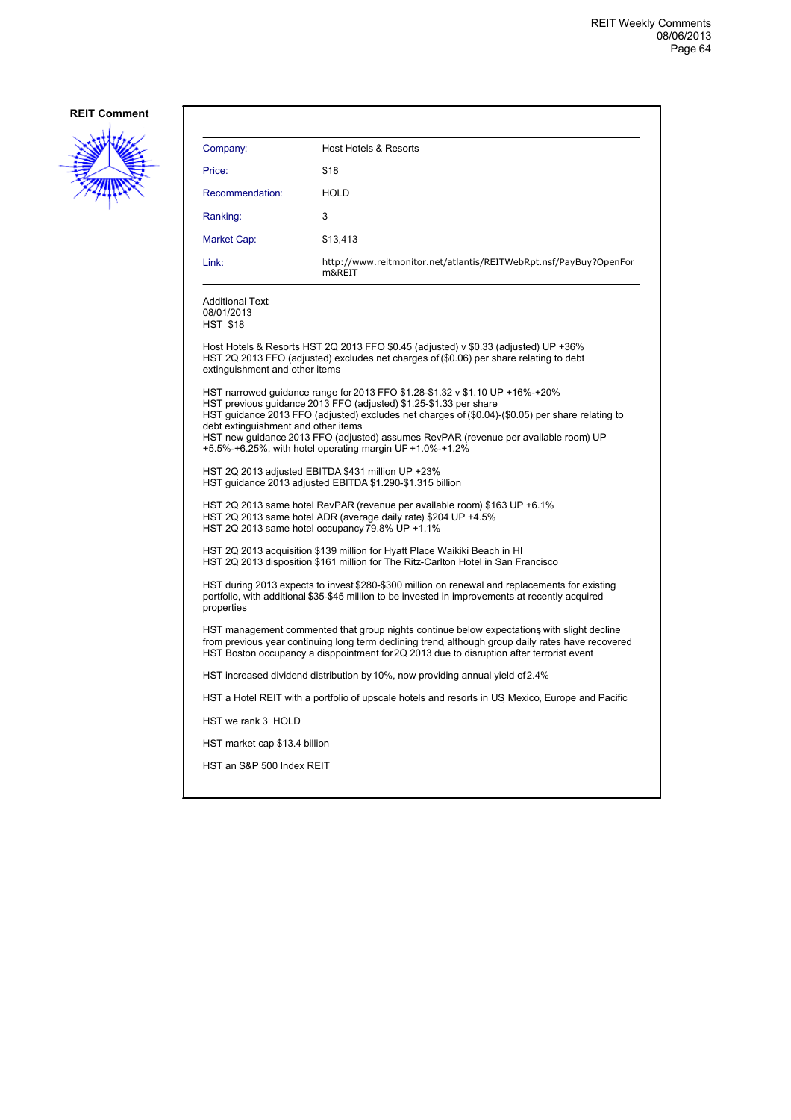

| Company:                                                 | Host Hotels & Resorts                                                                                                                                                                                                                                                                                                                                                                                    |
|----------------------------------------------------------|----------------------------------------------------------------------------------------------------------------------------------------------------------------------------------------------------------------------------------------------------------------------------------------------------------------------------------------------------------------------------------------------------------|
| Price:                                                   | \$18                                                                                                                                                                                                                                                                                                                                                                                                     |
| Recommendation:                                          | <b>HOLD</b>                                                                                                                                                                                                                                                                                                                                                                                              |
| Ranking:                                                 | 3                                                                                                                                                                                                                                                                                                                                                                                                        |
| Market Cap:                                              | \$13,413                                                                                                                                                                                                                                                                                                                                                                                                 |
| Link:                                                    | http://www.reitmonitor.net/atlantis/REITWebRpt.nsf/PayBuy?OpenFor<br>m&REIT                                                                                                                                                                                                                                                                                                                              |
| <b>Additional Text:</b><br>08/01/2013<br><b>HST \$18</b> |                                                                                                                                                                                                                                                                                                                                                                                                          |
| extinguishment and other items                           | Host Hotels & Resorts HST 2Q 2013 FFO \$0.45 (adjusted) v \$0.33 (adjusted) UP +36%<br>HST 2Q 2013 FFO (adjusted) excludes net charges of (\$0.06) per share relating to debt                                                                                                                                                                                                                            |
| debt extinguishment and other items                      | HST narrowed guidance range for 2013 FFO \$1.28-\$1.32 v \$1.10 UP +16%-+20%<br>HST previous guidance 2013 FFO (adjusted) \$1.25-\$1.33 per share<br>HST guidance 2013 FFO (adjusted) excludes net charges of (\$0.04)-(\$0.05) per share relating to<br>HST new guidance 2013 FFO (adjusted) assumes RevPAR (revenue per available room) UP<br>+5.5%-+6.25%, with hotel operating margin UP +1.0%-+1.2% |
|                                                          | HST 2Q 2013 adjusted EBITDA \$431 million UP +23%<br>HST guidance 2013 adjusted EBITDA \$1.290-\$1.315 billion                                                                                                                                                                                                                                                                                           |
|                                                          | HST 2Q 2013 same hotel RevPAR (revenue per available room) \$163 UP +6.1%<br>HST 2Q 2013 same hotel ADR (average daily rate) \$204 UP +4.5%<br>HST 2Q 2013 same hotel occupancy 79.8% UP +1.1%                                                                                                                                                                                                           |
|                                                          | HST 2Q 2013 acquisition \$139 million for Hyatt Place Waikiki Beach in HI<br>HST 2Q 2013 disposition \$161 million for The Ritz-Carlton Hotel in San Francisco                                                                                                                                                                                                                                           |
| properties                                               | HST during 2013 expects to invest \$280-\$300 million on renewal and replacements for existing<br>portfolio, with additional \$35-\$45 million to be invested in improvements at recently acquired                                                                                                                                                                                                       |
|                                                          | HST management commented that group nights continue below expectations with slight decline<br>from previous year continuing long term declining trend, although group daily rates have recovered<br>HST Boston occupancy a disppointment for 2Q 2013 due to disruption after terrorist event                                                                                                             |
|                                                          | HST increased dividend distribution by 10%, now providing annual yield of 2.4%                                                                                                                                                                                                                                                                                                                           |
|                                                          | HST a Hotel REIT with a portfolio of upscale hotels and resorts in US Mexico, Europe and Pacific                                                                                                                                                                                                                                                                                                         |
| HST we rank 3 HOLD                                       |                                                                                                                                                                                                                                                                                                                                                                                                          |
| HST market cap \$13.4 billion                            |                                                                                                                                                                                                                                                                                                                                                                                                          |
| HST an S&P 500 Index REIT                                |                                                                                                                                                                                                                                                                                                                                                                                                          |
|                                                          |                                                                                                                                                                                                                                                                                                                                                                                                          |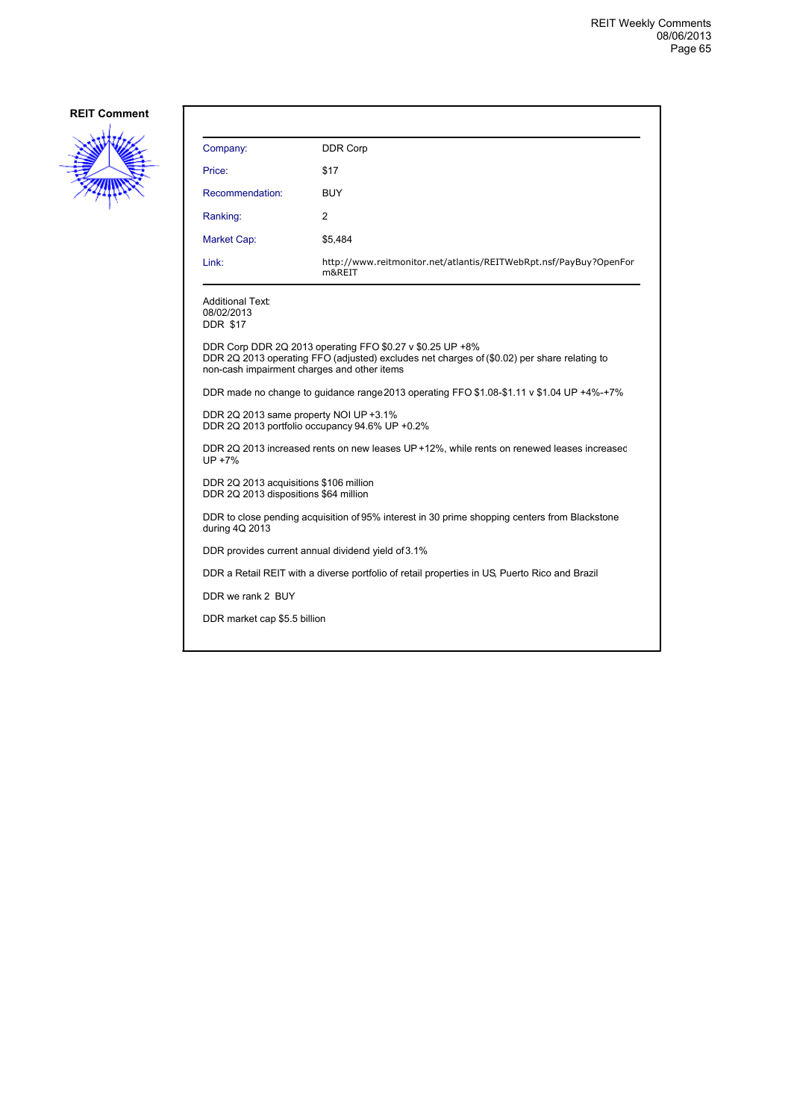

| Company:                                                                                 | <b>DDR Corp</b>                                                                                                                                          |  |
|------------------------------------------------------------------------------------------|----------------------------------------------------------------------------------------------------------------------------------------------------------|--|
| Price:                                                                                   | \$17                                                                                                                                                     |  |
| Recommendation:                                                                          | BUY                                                                                                                                                      |  |
| Ranking:                                                                                 | 2                                                                                                                                                        |  |
| Market Cap:                                                                              | \$5,484                                                                                                                                                  |  |
| Link:                                                                                    | http://www.reitmonitor.net/atlantis/REITWebRpt.nsf/PayBuy?OpenFor<br>m&REIT                                                                              |  |
| <b>Additional Text:</b><br>08/02/2013<br><b>DDR \$17</b>                                 |                                                                                                                                                          |  |
| non-cash impairment charges and other items                                              | DDR Corp DDR 2Q 2013 operating FFO \$0.27 v \$0.25 UP +8%<br>DDR 2Q 2013 operating FFO (adjusted) excludes net charges of (\$0.02) per share relating to |  |
|                                                                                          | DDR made no change to guidance range 2013 operating FFO \$1.08-\$1.11 v \$1.04 UP +4%-+7%                                                                |  |
| DDR 2Q 2013 same property NOI UP +3.1%<br>DDR 2Q 2013 portfolio occupancy 94.6% UP +0.2% |                                                                                                                                                          |  |
| UP +7%                                                                                   | DDR 2Q 2013 increased rents on new leases UP +12%, while rents on renewed leases increased                                                               |  |
| DDR 2Q 2013 acquisitions \$106 million<br>DDR 2Q 2013 dispositions \$64 million          |                                                                                                                                                          |  |
| during 4Q 2013                                                                           | DDR to close pending acquisition of 95% interest in 30 prime shopping centers from Blackstone                                                            |  |
|                                                                                          | DDR provides current annual dividend yield of 3.1%                                                                                                       |  |
|                                                                                          | DDR a Retail REIT with a diverse portfolio of retail properties in US, Puerto Rico and Brazil                                                            |  |
| DDR we rank 2 BUY                                                                        |                                                                                                                                                          |  |
| DDR market cap \$5.5 billion                                                             |                                                                                                                                                          |  |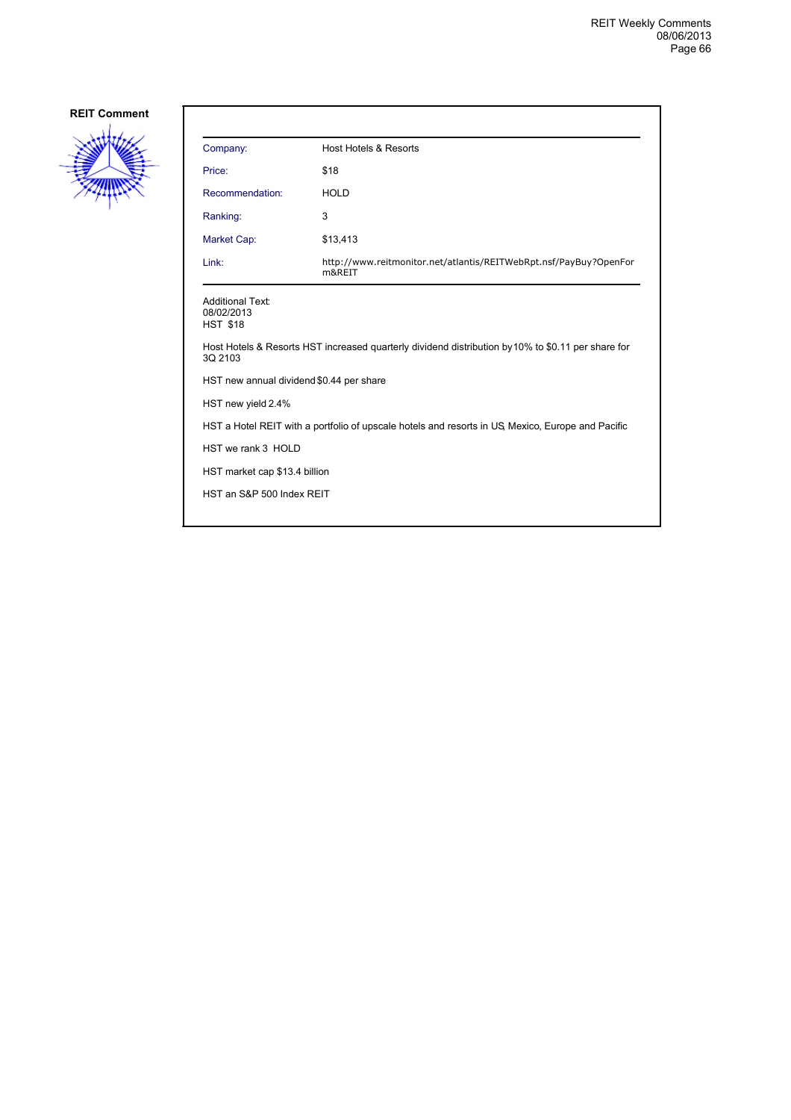

| Company:                                                 | Host Hotels & Resorts                                                                              |
|----------------------------------------------------------|----------------------------------------------------------------------------------------------------|
| Price:                                                   | \$18                                                                                               |
| Recommendation:                                          | <b>HOLD</b>                                                                                        |
| Ranking:                                                 | 3                                                                                                  |
| Market Cap:                                              | \$13,413                                                                                           |
| Link:                                                    | http://www.reitmonitor.net/atlantis/REITWebRpt.nsf/PayBuy?OpenFor<br>m&REIT                        |
| <b>Additional Text:</b><br>08/02/2013<br><b>HST \$18</b> |                                                                                                    |
| 3Q 2103                                                  | Host Hotels & Resorts HST increased quarterly dividend distribution by 10% to \$0.11 per share for |
| HST new annual dividend \$0.44 per share                 |                                                                                                    |
| HST new yield 2.4%                                       |                                                                                                    |
|                                                          | HST a Hotel REIT with a portfolio of upscale hotels and resorts in US Mexico, Europe and Pacific   |
| HST we rank 3 HOLD                                       |                                                                                                    |
| HST market cap \$13.4 billion                            |                                                                                                    |
| HST an S&P 500 Index REIT                                |                                                                                                    |
|                                                          |                                                                                                    |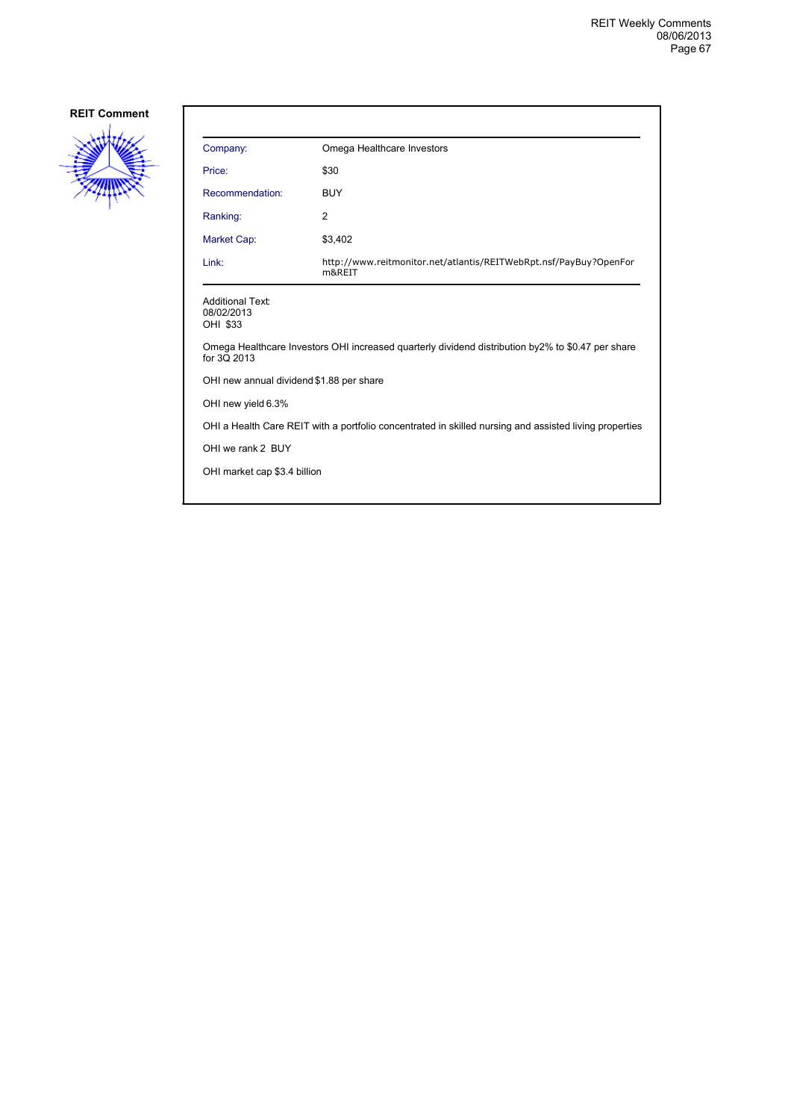

| Company:                                                                                               | Omega Healthcare Investors                                                                         |
|--------------------------------------------------------------------------------------------------------|----------------------------------------------------------------------------------------------------|
| Price:                                                                                                 | \$30                                                                                               |
| Recommendation:                                                                                        | <b>BUY</b>                                                                                         |
| Ranking:                                                                                               | 2                                                                                                  |
| Market Cap:                                                                                            | \$3,402                                                                                            |
| Link:                                                                                                  | http://www.reitmonitor.net/atlantis/REITWebRpt.nsf/PayBuy?OpenFor<br>m&REIT                        |
| <b>Additional Text:</b><br>08/02/2013<br>OHI \$33                                                      |                                                                                                    |
| for 3Q 2013                                                                                            | Omega Healthcare Investors OHI increased quarterly dividend distribution by 2% to \$0.47 per share |
| OHI new annual dividend \$1.88 per share                                                               |                                                                                                    |
| OHI new yield 6.3%                                                                                     |                                                                                                    |
| OHI a Health Care REIT with a portfolio concentrated in skilled nursing and assisted living properties |                                                                                                    |
| OHI we rank 2 BUY                                                                                      |                                                                                                    |
| OHI market cap \$3.4 billion                                                                           |                                                                                                    |
|                                                                                                        |                                                                                                    |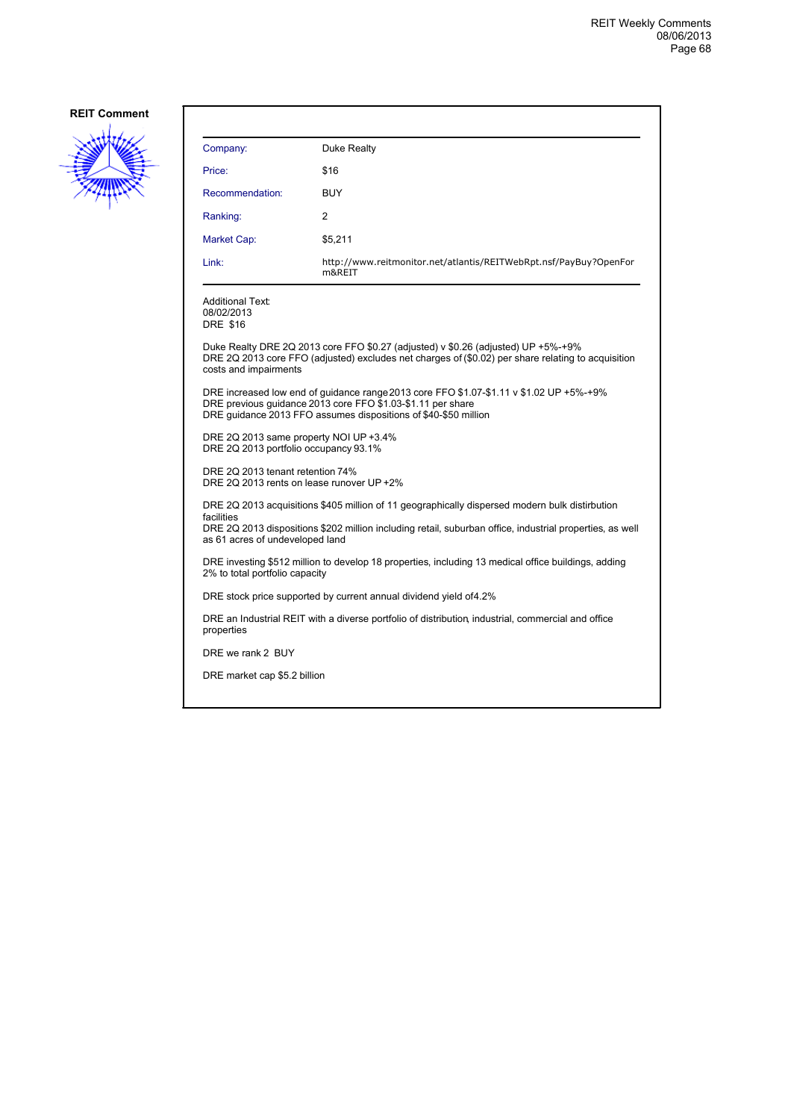

| Company:                                                                                                                              | Duke Realty                                                                                                                                                                                                               |  |
|---------------------------------------------------------------------------------------------------------------------------------------|---------------------------------------------------------------------------------------------------------------------------------------------------------------------------------------------------------------------------|--|
| Price:                                                                                                                                | \$16                                                                                                                                                                                                                      |  |
| Recommendation:                                                                                                                       | <b>BUY</b>                                                                                                                                                                                                                |  |
| Ranking:                                                                                                                              | 2                                                                                                                                                                                                                         |  |
| Market Cap:                                                                                                                           | \$5,211                                                                                                                                                                                                                   |  |
| Link:                                                                                                                                 | http://www.reitmonitor.net/atlantis/REITWebRpt.nsf/PayBuy?OpenFor<br>m&REIT                                                                                                                                               |  |
| <b>Additional Text:</b><br>08/02/2013<br><b>DRE \$16</b>                                                                              |                                                                                                                                                                                                                           |  |
| costs and impairments                                                                                                                 | Duke Realty DRE 2Q 2013 core FFO \$0.27 (adjusted) v \$0.26 (adjusted) UP +5%-+9%<br>DRE 2Q 2013 core FFO (adjusted) excludes net charges of (\$0.02) per share relating to acquisition                                   |  |
|                                                                                                                                       | DRE increased low end of guidance range 2013 core FFO \$1.07-\$1.11 v \$1.02 UP +5%-+9%<br>DRE previous guidance 2013 core FFO \$1.03-\$1.11 per share<br>DRE quidance 2013 FFO assumes dispositions of \$40-\$50 million |  |
| DRE 2Q 2013 same property NOI UP +3.4%<br>DRE 2Q 2013 portfolio occupancy 93.1%                                                       |                                                                                                                                                                                                                           |  |
| DRE 2Q 2013 tenant retention 74%<br>DRE 2Q 2013 rents on lease runover UP +2%                                                         |                                                                                                                                                                                                                           |  |
|                                                                                                                                       | DRE 2Q 2013 acquisitions \$405 million of 11 geographically dispersed modern bulk distirbution                                                                                                                            |  |
| facilities<br>as 61 acres of undeveloped land                                                                                         | DRE 2Q 2013 dispositions \$202 million including retail, suburban office, industrial properties, as well                                                                                                                  |  |
| DRE investing \$512 million to develop 18 properties, including 13 medical office buildings, adding<br>2% to total portfolio capacity |                                                                                                                                                                                                                           |  |
|                                                                                                                                       | DRE stock price supported by current annual dividend yield of 4.2%                                                                                                                                                        |  |
| properties                                                                                                                            | DRE an Industrial REIT with a diverse portfolio of distribution industrial, commercial and office                                                                                                                         |  |
| DRE we rank 2 BUY                                                                                                                     |                                                                                                                                                                                                                           |  |
| DRE market cap \$5.2 billion                                                                                                          |                                                                                                                                                                                                                           |  |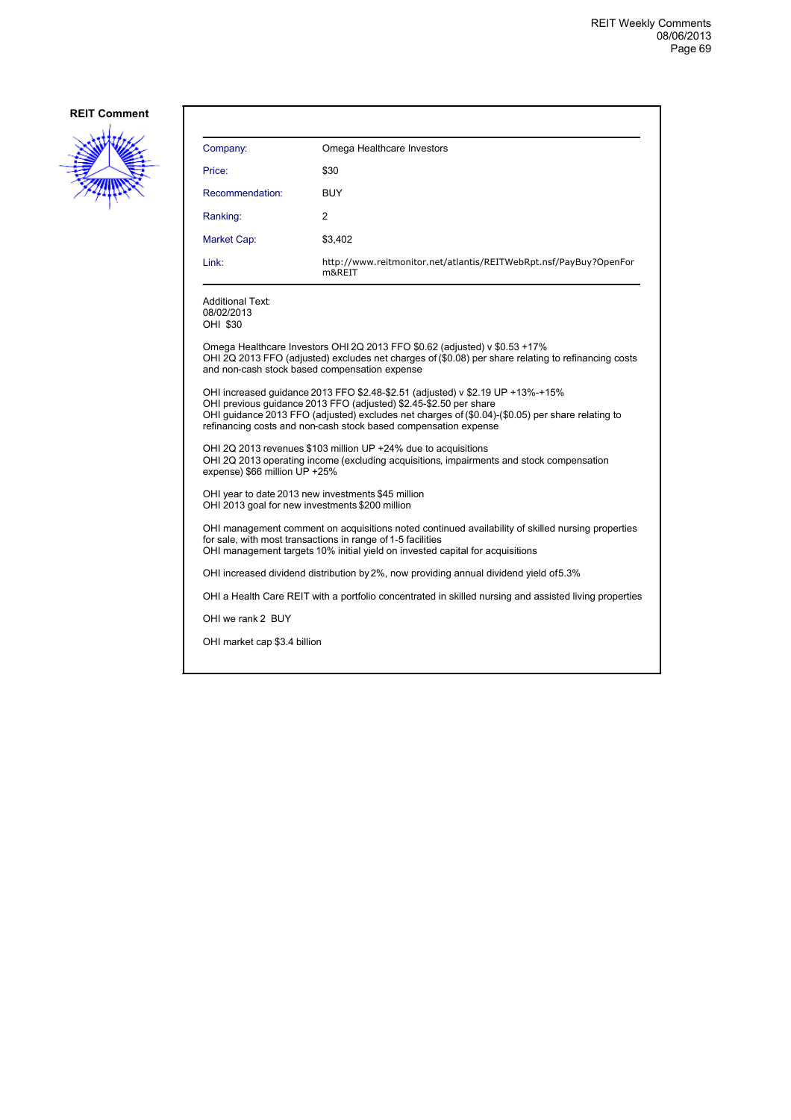

| Company:                                                                                              | Omega Healthcare Investors                                                                                                                                                                                                                                                                                                 |
|-------------------------------------------------------------------------------------------------------|----------------------------------------------------------------------------------------------------------------------------------------------------------------------------------------------------------------------------------------------------------------------------------------------------------------------------|
| Price:                                                                                                | \$30                                                                                                                                                                                                                                                                                                                       |
| Recommendation:                                                                                       | <b>BUY</b>                                                                                                                                                                                                                                                                                                                 |
| Ranking:                                                                                              | 2                                                                                                                                                                                                                                                                                                                          |
| Market Cap:                                                                                           | \$3,402                                                                                                                                                                                                                                                                                                                    |
| Link:                                                                                                 | http://www.reitmonitor.net/atlantis/REITWebRpt.nsf/PayBuy?OpenFor<br>m&REIT                                                                                                                                                                                                                                                |
| Additional Text:<br>08/02/2013<br>OHI \$30                                                            |                                                                                                                                                                                                                                                                                                                            |
| and non-cash stock based compensation expense                                                         | Omega Healthcare Investors OHI 2Q 2013 FFO \$0.62 (adjusted) v \$0.53 +17%<br>OHI 2Q 2013 FFO (adjusted) excludes net charges of (\$0.08) per share relating to refinancing costs                                                                                                                                          |
|                                                                                                       | OHI increased guidance 2013 FFO \$2.48-\$2.51 (adjusted) v \$2.19 UP +13%-+15%<br>OHI previous guidance 2013 FFO (adjusted) \$2.45-\$2.50 per share<br>OHI quidance 2013 FFO (adjusted) excludes net charges of (\$0.04)-(\$0.05) per share relating to<br>refinancing costs and non-cash stock based compensation expense |
| expense) \$66 million UP +25%                                                                         | OHI 2Q 2013 revenues \$103 million UP +24% due to acquisitions<br>OHI 2Q 2013 operating income (excluding acquisitions, impairments and stock compensation                                                                                                                                                                 |
| OHI year to date 2013 new investments \$45 million<br>OHI 2013 goal for new investments \$200 million |                                                                                                                                                                                                                                                                                                                            |
|                                                                                                       | OHI management comment on acquisitions noted continued availability of skilled nursing properties<br>for sale, with most transactions in range of 1-5 facilities<br>OHI management targets 10% initial yield on invested capital for acquisitions                                                                          |
|                                                                                                       | OHI increased dividend distribution by 2%, now providing annual dividend yield of 5.3%                                                                                                                                                                                                                                     |
|                                                                                                       | OHI a Health Care REIT with a portfolio concentrated in skilled nursing and assisted living properties                                                                                                                                                                                                                     |
| OHI we rank 2 BUY                                                                                     |                                                                                                                                                                                                                                                                                                                            |
| OHI market cap \$3.4 billion                                                                          |                                                                                                                                                                                                                                                                                                                            |
|                                                                                                       |                                                                                                                                                                                                                                                                                                                            |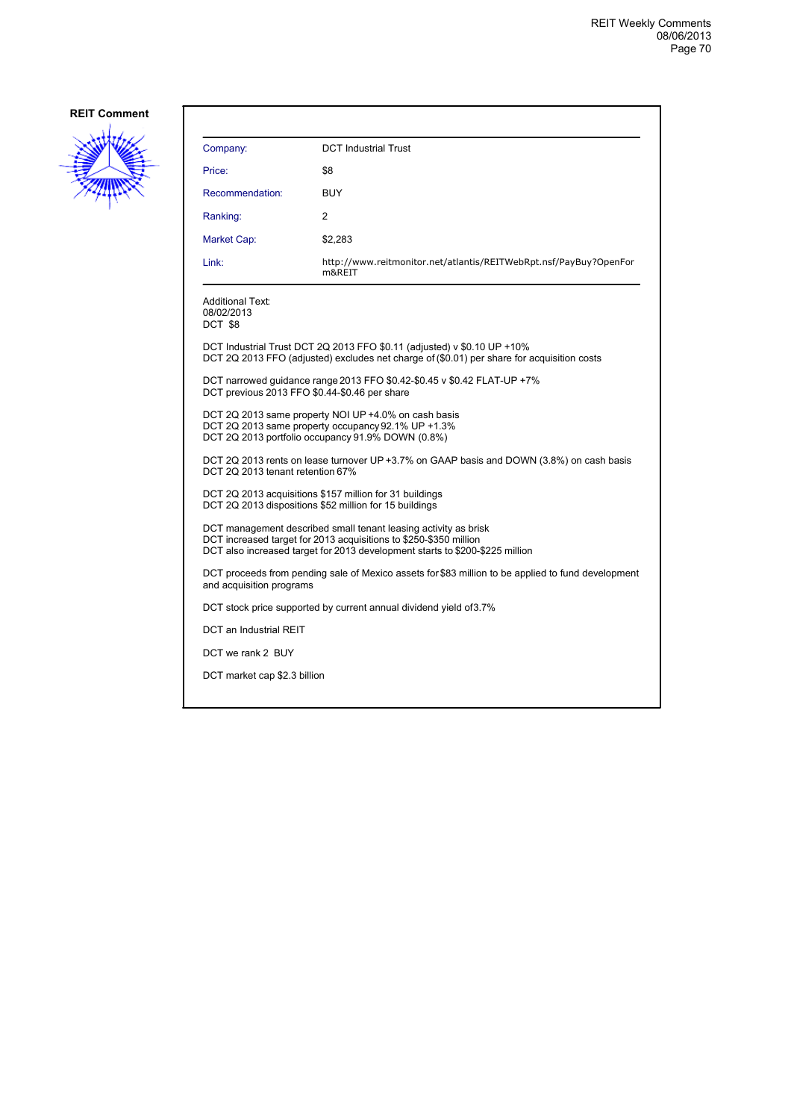

| Company:                                         | <b>DCT Industrial Trust</b>                                                                                                                                                                                          |  |
|--------------------------------------------------|----------------------------------------------------------------------------------------------------------------------------------------------------------------------------------------------------------------------|--|
| Price:                                           | \$8                                                                                                                                                                                                                  |  |
| Recommendation:                                  | <b>BUY</b>                                                                                                                                                                                                           |  |
| Ranking:                                         | 2                                                                                                                                                                                                                    |  |
| Market Cap:                                      | \$2,283                                                                                                                                                                                                              |  |
| Link:                                            | http://www.reitmonitor.net/atlantis/REITWebRpt.nsf/PayBuy?OpenFor<br>m&REIT                                                                                                                                          |  |
| <b>Additional Text:</b><br>08/02/2013<br>DCT \$8 |                                                                                                                                                                                                                      |  |
|                                                  | DCT Industrial Trust DCT 2Q 2013 FFO \$0.11 (adjusted) v \$0.10 UP +10%<br>DCT 2Q 2013 FFO (adjusted) excludes net charge of (\$0.01) per share for acquisition costs                                                |  |
|                                                  | DCT narrowed guidance range 2013 FFO \$0.42-\$0.45 v \$0.42 FLAT-UP +7%<br>DCT previous 2013 FFO \$0.44-\$0.46 per share                                                                                             |  |
|                                                  | DCT 2Q 2013 same property NOI UP +4.0% on cash basis<br>DCT 2Q 2013 same property occupancy 92.1% UP +1.3%<br>DCT 2Q 2013 portfolio occupancy 91.9% DOWN (0.8%)                                                      |  |
| DCT 2Q 2013 tenant retention 67%                 | DCT 2Q 2013 rents on lease turnover UP +3.7% on GAAP basis and DOWN (3.8%) on cash basis                                                                                                                             |  |
|                                                  | DCT 2Q 2013 acquisitions \$157 million for 31 buildings<br>DCT 2Q 2013 dispositions \$52 million for 15 buildings                                                                                                    |  |
|                                                  | DCT management described small tenant leasing activity as brisk<br>DCT increased target for 2013 acquisitions to \$250-\$350 million<br>DCT also increased target for 2013 development starts to \$200-\$225 million |  |
| and acquisition programs                         | DCT proceeds from pending sale of Mexico assets for \$83 million to be applied to fund development                                                                                                                   |  |
|                                                  | DCT stock price supported by current annual dividend yield of 3.7%                                                                                                                                                   |  |
| DCT an Industrial REIT                           |                                                                                                                                                                                                                      |  |
| DCT we rank 2 BUY                                |                                                                                                                                                                                                                      |  |
| DCT market cap \$2.3 billion                     |                                                                                                                                                                                                                      |  |
|                                                  |                                                                                                                                                                                                                      |  |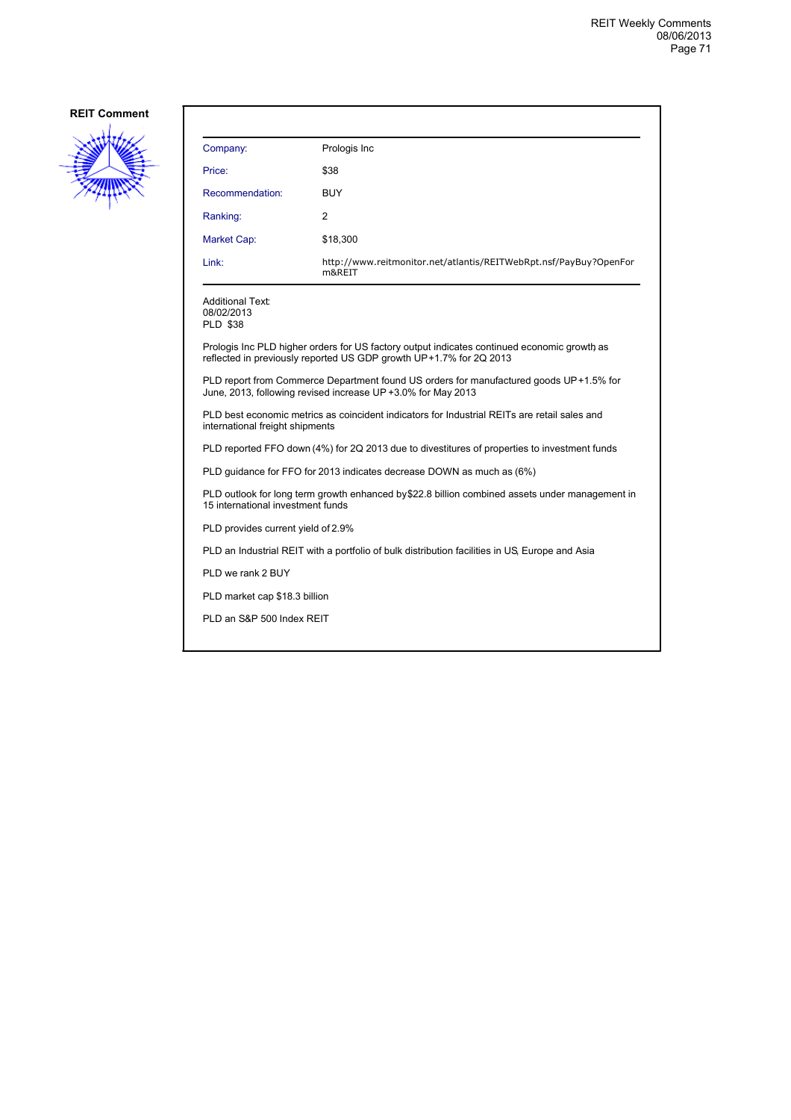

| Company:                                                                                                                                                          | Prologis Inc                                                                |  |
|-------------------------------------------------------------------------------------------------------------------------------------------------------------------|-----------------------------------------------------------------------------|--|
| Price:                                                                                                                                                            | \$38                                                                        |  |
| Recommendation:                                                                                                                                                   | <b>BUY</b>                                                                  |  |
| Ranking:                                                                                                                                                          | 2                                                                           |  |
| Market Cap:                                                                                                                                                       | \$18,300                                                                    |  |
| Link:                                                                                                                                                             | http://www.reitmonitor.net/atlantis/REITWebRpt.nsf/PayBuy?OpenFor<br>m&REIT |  |
| <b>Additional Text:</b><br>08/02/2013<br><b>PLD \$38</b>                                                                                                          |                                                                             |  |
| Prologis Inc PLD higher orders for US factory output indicates continued economic growth as<br>reflected in previously reported US GDP growth UP+1.7% for 2Q 2013 |                                                                             |  |
| PLD report from Commerce Department found US orders for manufactured goods UP+1.5% for<br>June, 2013, following revised increase UP +3.0% for May 2013            |                                                                             |  |
| PLD best economic metrics as coincident indicators for Industrial REITs are retail sales and<br>international freight shipments                                   |                                                                             |  |
| PLD reported FFO down (4%) for 2Q 2013 due to divestitures of properties to investment funds                                                                      |                                                                             |  |
| PLD quidance for FFO for 2013 indicates decrease DOWN as much as (6%)                                                                                             |                                                                             |  |
| PLD outlook for long term growth enhanced by\$22.8 billion combined assets under management in<br>15 international investment funds                               |                                                                             |  |
| PLD provides current yield of 2.9%                                                                                                                                |                                                                             |  |
| PLD an Industrial REIT with a portfolio of bulk distribution facilities in US. Europe and Asia                                                                    |                                                                             |  |
| PLD we rank 2 BUY                                                                                                                                                 |                                                                             |  |
| PLD market cap \$18.3 billion                                                                                                                                     |                                                                             |  |
|                                                                                                                                                                   |                                                                             |  |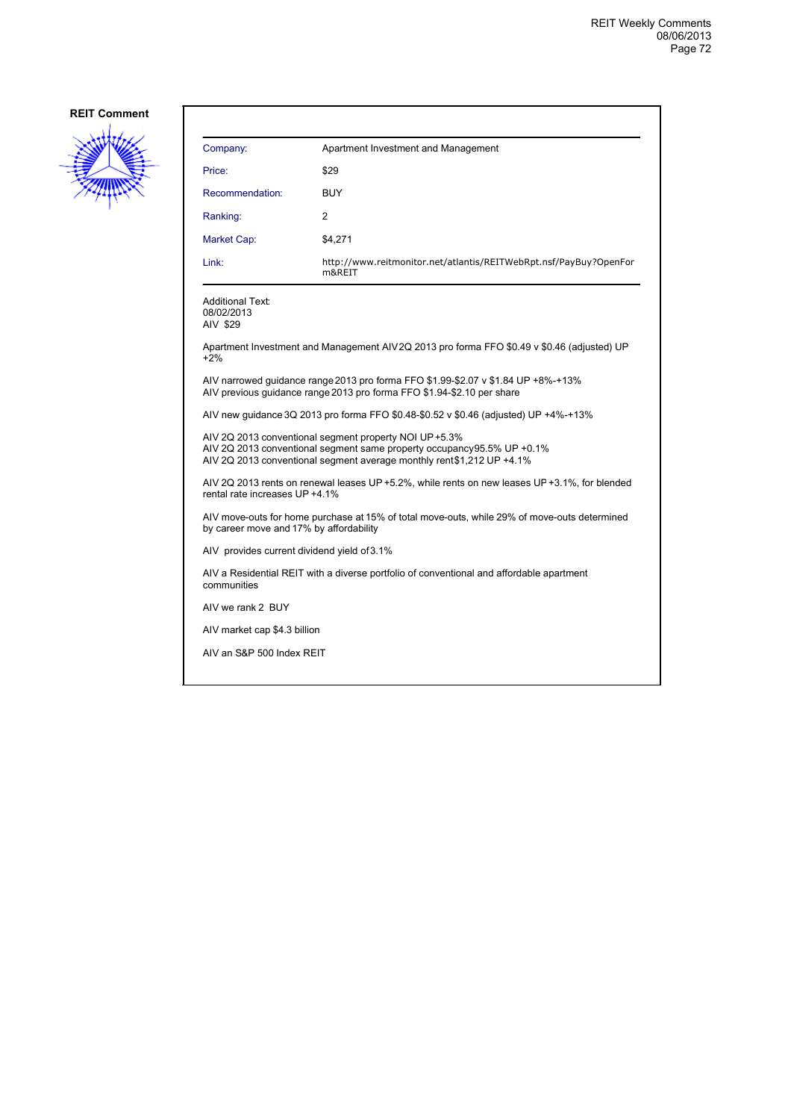

| Company:                                                                                                | Apartment Investment and Management                                                                                                                                                                         |  |
|---------------------------------------------------------------------------------------------------------|-------------------------------------------------------------------------------------------------------------------------------------------------------------------------------------------------------------|--|
| Price:                                                                                                  | \$29                                                                                                                                                                                                        |  |
| Recommendation:                                                                                         | <b>BUY</b>                                                                                                                                                                                                  |  |
| Ranking:                                                                                                | 2                                                                                                                                                                                                           |  |
| Market Cap:                                                                                             | \$4.271                                                                                                                                                                                                     |  |
| Link:                                                                                                   | http://www.reitmonitor.net/atlantis/REITWebRpt.nsf/PayBuy?OpenFor<br>m&REIT                                                                                                                                 |  |
| <b>Additional Text:</b><br>08/02/2013<br>AIV \$29                                                       |                                                                                                                                                                                                             |  |
| $+2%$                                                                                                   | Apartment Investment and Management AIV2Q 2013 pro forma FFO \$0.49 v \$0.46 (adjusted) UP                                                                                                                  |  |
|                                                                                                         | AIV narrowed quidance range 2013 pro forma FFO \$1.99-\$2.07 v \$1.84 UP +8%-+13%<br>AIV previous guidance range 2013 pro forma FFO \$1.94-\$2.10 per share                                                 |  |
|                                                                                                         | AIV new guidance 3Q 2013 pro forma FFO \$0.48-\$0.52 v \$0.46 (adjusted) UP +4%-+13%                                                                                                                        |  |
|                                                                                                         | AIV 2Q 2013 conventional segment property NOI UP +5.3%<br>AIV 2Q 2013 conventional segment same property occupancy 95.5% UP + 0.1%<br>AIV 2Q 2013 conventional segment average monthly rent\$1,212 UP +4.1% |  |
| rental rate increases UP +4.1%                                                                          | AIV 2Q 2013 rents on renewal leases UP +5.2%, while rents on new leases UP +3.1%, for blended                                                                                                               |  |
| by career move and 17% by affordability                                                                 | AIV move-outs for home purchase at 15% of total move-outs, while 29% of move-outs determined                                                                                                                |  |
|                                                                                                         | AIV provides current dividend yield of 3.1%                                                                                                                                                                 |  |
| AIV a Residential REIT with a diverse portfolio of conventional and affordable apartment<br>communities |                                                                                                                                                                                                             |  |
| AIV we rank 2 BUY                                                                                       |                                                                                                                                                                                                             |  |
| AIV market cap \$4.3 billion                                                                            |                                                                                                                                                                                                             |  |
| AIV an S&P 500 Index REIT                                                                               |                                                                                                                                                                                                             |  |
|                                                                                                         |                                                                                                                                                                                                             |  |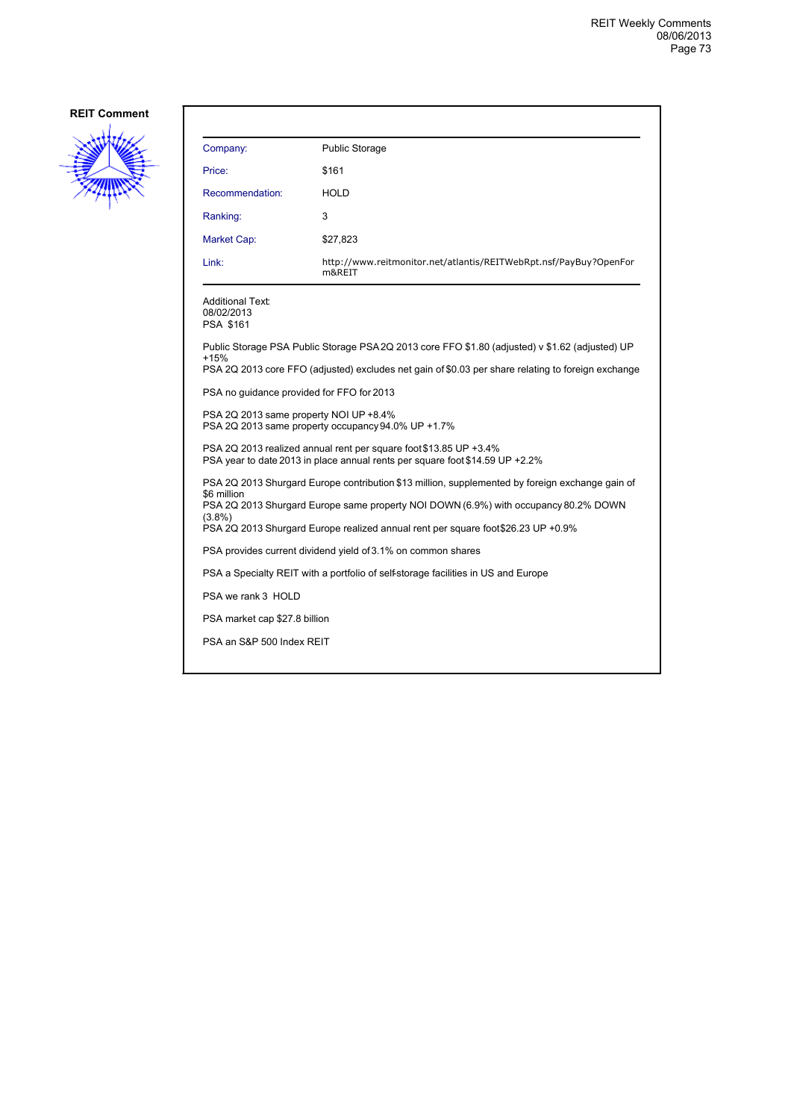

| Company:                                                                                                                                                                                                      | <b>Public Storage</b>                                                       |  |  |  |
|---------------------------------------------------------------------------------------------------------------------------------------------------------------------------------------------------------------|-----------------------------------------------------------------------------|--|--|--|
| Price:                                                                                                                                                                                                        | \$161                                                                       |  |  |  |
| Recommendation:                                                                                                                                                                                               | <b>HOLD</b>                                                                 |  |  |  |
| Ranking:                                                                                                                                                                                                      | 3                                                                           |  |  |  |
| Market Cap:                                                                                                                                                                                                   | \$27,823                                                                    |  |  |  |
| Link:                                                                                                                                                                                                         | http://www.reitmonitor.net/atlantis/REITWebRpt.nsf/PayBuy?OpenFor<br>m&REIT |  |  |  |
| <b>Additional Text:</b><br>08/02/2013<br><b>PSA \$161</b>                                                                                                                                                     |                                                                             |  |  |  |
| Public Storage PSA Public Storage PSA 2Q 2013 core FFO \$1.80 (adjusted) v \$1.62 (adjusted) UP<br>+15%<br>PSA 2Q 2013 core FFO (adjusted) excludes net gain of \$0.03 per share relating to foreign exchange |                                                                             |  |  |  |
| PSA no quidance provided for FFO for 2013                                                                                                                                                                     |                                                                             |  |  |  |
| PSA 2Q 2013 same property NOI UP +8.4%<br>PSA 2Q 2013 same property occupancy 94.0% UP +1.7%                                                                                                                  |                                                                             |  |  |  |
| PSA 2Q 2013 realized annual rent per square foot \$13.85 UP +3.4%<br>PSA year to date 2013 in place annual rents per square foot \$14.59 UP +2.2%                                                             |                                                                             |  |  |  |
| PSA 2Q 2013 Shurgard Europe contribution \$13 million, supplemented by foreign exchange gain of                                                                                                               |                                                                             |  |  |  |
| \$6 million<br>PSA 2Q 2013 Shurgard Europe same property NOI DOWN (6.9%) with occupancy 80.2% DOWN                                                                                                            |                                                                             |  |  |  |
| $(3.8\%)$<br>PSA 2Q 2013 Shurgard Europe realized annual rent per square foot \$26.23 UP +0.9%                                                                                                                |                                                                             |  |  |  |
| PSA provides current dividend yield of 3.1% on common shares                                                                                                                                                  |                                                                             |  |  |  |
| PSA a Specialty REIT with a portfolio of self-storage facilities in US and Europe                                                                                                                             |                                                                             |  |  |  |
| PSA we rank 3 HOLD                                                                                                                                                                                            |                                                                             |  |  |  |
| PSA market cap \$27.8 billion                                                                                                                                                                                 |                                                                             |  |  |  |
| PSA an S&P 500 Index REIT                                                                                                                                                                                     |                                                                             |  |  |  |
|                                                                                                                                                                                                               |                                                                             |  |  |  |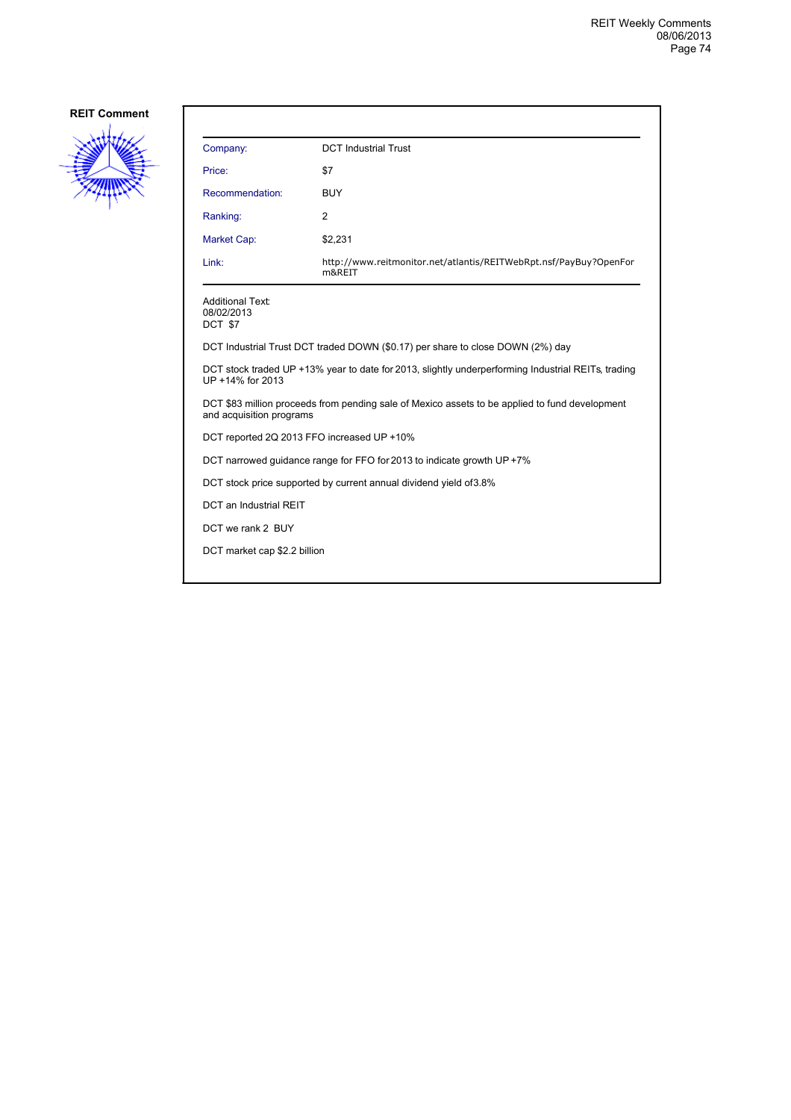

| Company:                                                                                                                   | <b>DCT</b> Industrial Trust                                                 |  |  |
|----------------------------------------------------------------------------------------------------------------------------|-----------------------------------------------------------------------------|--|--|
| Price:                                                                                                                     | \$7                                                                         |  |  |
| Recommendation:                                                                                                            | <b>BUY</b>                                                                  |  |  |
| Ranking:                                                                                                                   | 2                                                                           |  |  |
| <b>Market Cap:</b>                                                                                                         | \$2,231                                                                     |  |  |
| Link:                                                                                                                      | http://www.reitmonitor.net/atlantis/REITWebRpt.nsf/PayBuy?OpenFor<br>m&REIT |  |  |
| <b>Additional Text:</b><br>08/02/2013<br>DCT \$7                                                                           |                                                                             |  |  |
| DCT Industrial Trust DCT traded DOWN (\$0.17) per share to close DOWN (2%) day                                             |                                                                             |  |  |
| DCT stock traded UP +13% year to date for 2013, slightly underperforming Industrial REITs, trading<br>UP +14% for 2013     |                                                                             |  |  |
| DCT \$83 million proceeds from pending sale of Mexico assets to be applied to fund development<br>and acquisition programs |                                                                             |  |  |
| DCT reported 2Q 2013 FFO increased UP +10%                                                                                 |                                                                             |  |  |
| DCT narrowed guidance range for FFO for 2013 to indicate growth UP +7%                                                     |                                                                             |  |  |
| DCT stock price supported by current annual dividend yield of 3.8%                                                         |                                                                             |  |  |
| <b>DCT</b> an Industrial REIT                                                                                              |                                                                             |  |  |
| DCT we rank 2 BUY                                                                                                          |                                                                             |  |  |
| DCT market cap \$2.2 billion                                                                                               |                                                                             |  |  |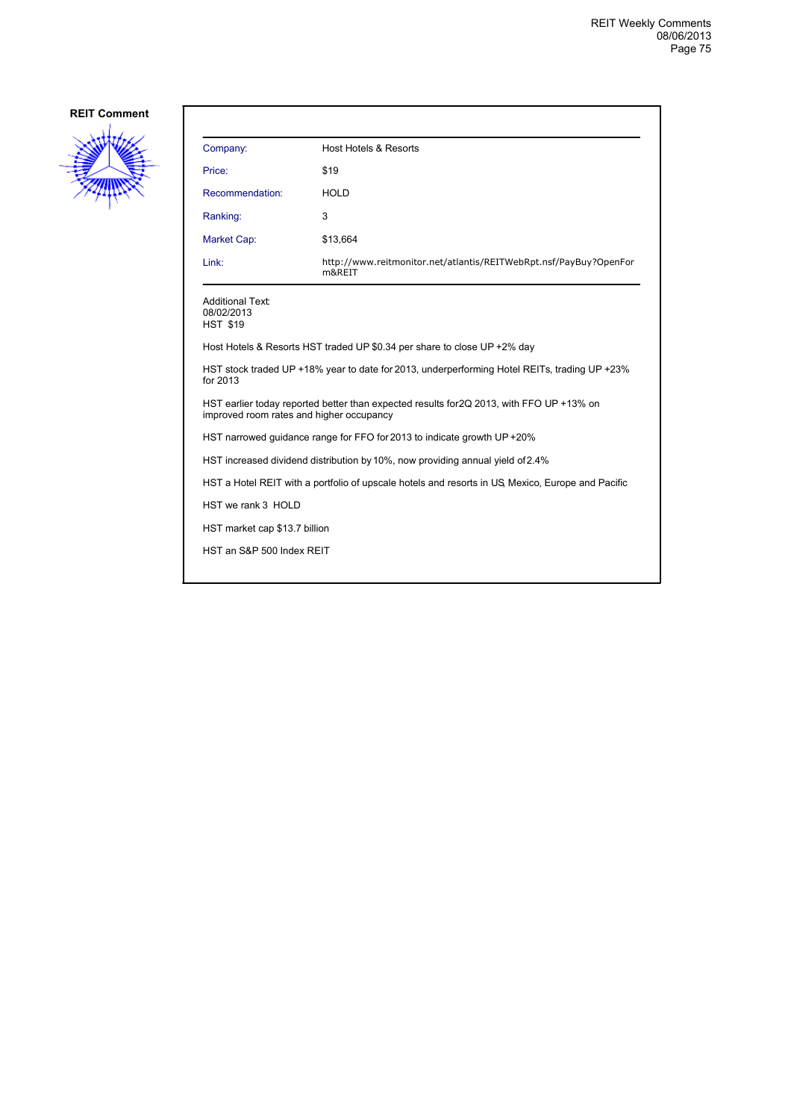

| Company:                                                                                                 | <b>Host Hotels &amp; Resorts</b>                                                         |  |
|----------------------------------------------------------------------------------------------------------|------------------------------------------------------------------------------------------|--|
| Price:                                                                                                   | \$19                                                                                     |  |
| Recommendation:                                                                                          | <b>HOLD</b>                                                                              |  |
| Ranking:                                                                                                 | 3                                                                                        |  |
| <b>Market Cap:</b>                                                                                       | \$13,664                                                                                 |  |
| Link:                                                                                                    | http://www.reitmonitor.net/atlantis/REITWebRpt.nsf/PayBuy?OpenFor<br>m&REIT              |  |
| <b>Additional Text:</b><br>08/02/2013<br><b>HST \$19</b>                                                 |                                                                                          |  |
|                                                                                                          | Host Hotels & Resorts HST traded UP \$0.34 per share to close UP +2% day                 |  |
| HST stock traded UP +18% year to date for 2013, underperforming Hotel REITs, trading UP +23%<br>for 2013 |                                                                                          |  |
| improved room rates and higher occupancy                                                                 | HST earlier today reported better than expected results for 2Q 2013, with FFO UP +13% on |  |
|                                                                                                          | HST narrowed guidance range for FFO for 2013 to indicate growth UP +20%                  |  |
| HST increased dividend distribution by 10%, now providing annual yield of 2.4%                           |                                                                                          |  |
| HST a Hotel REIT with a portfolio of upscale hotels and resorts in US, Mexico, Europe and Pacific        |                                                                                          |  |
| HST we rank 3 HOLD                                                                                       |                                                                                          |  |
| HST market cap \$13.7 billion                                                                            |                                                                                          |  |
| HST an S&P 500 Index REIT                                                                                |                                                                                          |  |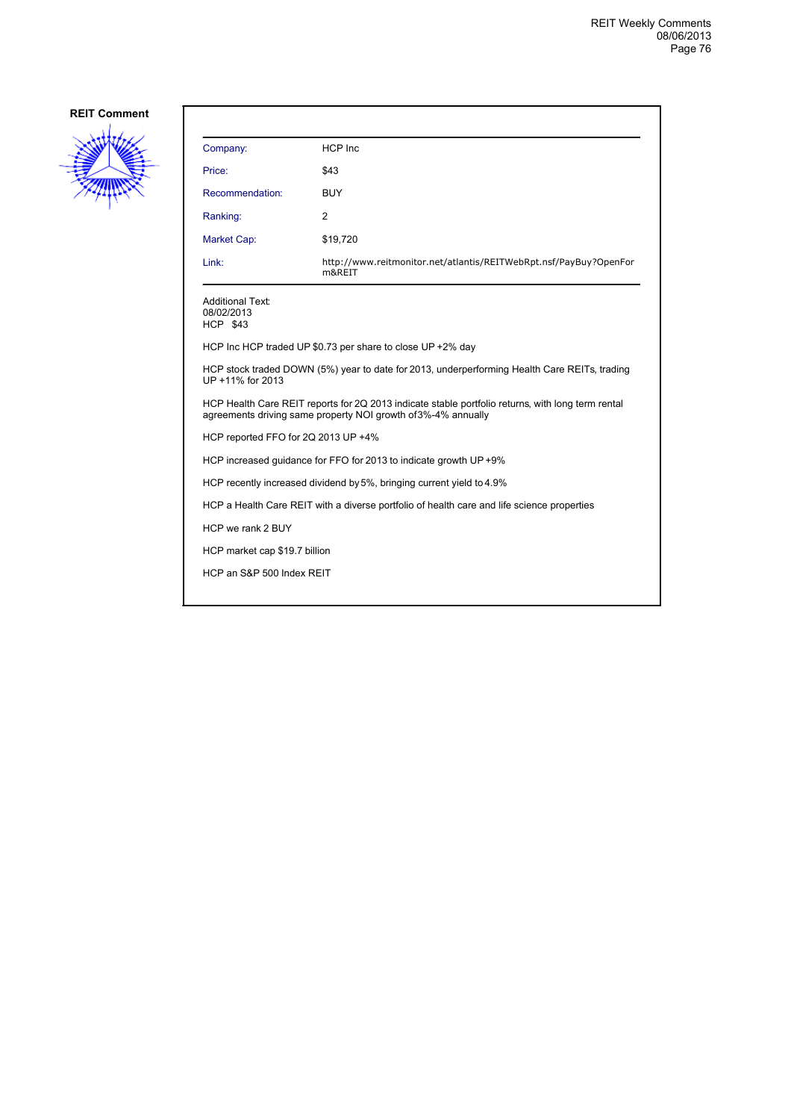

| Company:                                                                                                                                                           | <b>HCP</b> Inc                                                              |  |  |
|--------------------------------------------------------------------------------------------------------------------------------------------------------------------|-----------------------------------------------------------------------------|--|--|
| Price:                                                                                                                                                             | \$43                                                                        |  |  |
| Recommendation:                                                                                                                                                    | <b>BUY</b>                                                                  |  |  |
| Ranking:                                                                                                                                                           | 2                                                                           |  |  |
| Market Cap:                                                                                                                                                        | \$19,720                                                                    |  |  |
| Link:                                                                                                                                                              | http://www.reitmonitor.net/atlantis/REITWebRpt.nsf/PayBuy?OpenFor<br>m&REIT |  |  |
| Additional Text:<br>08/02/2013<br><b>HCP \$43</b>                                                                                                                  |                                                                             |  |  |
| HCP Inc HCP traded UP \$0.73 per share to close UP +2% day                                                                                                         |                                                                             |  |  |
| HCP stock traded DOWN (5%) year to date for 2013, underperforming Health Care REITs, trading<br>UP +11% for 2013                                                   |                                                                             |  |  |
| HCP Health Care REIT reports for 2Q 2013 indicate stable portfolio returns, with long term rental<br>agreements driving same property NOI growth of 3%-4% annually |                                                                             |  |  |
| HCP reported FFO for 2Q 2013 UP +4%                                                                                                                                |                                                                             |  |  |
| HCP increased quidance for FFO for 2013 to indicate growth UP +9%                                                                                                  |                                                                             |  |  |
| HCP recently increased dividend by 5%, bringing current yield to 4.9%                                                                                              |                                                                             |  |  |
| HCP a Health Care REIT with a diverse portfolio of health care and life science properties                                                                         |                                                                             |  |  |
| HCP we rank 2 BUY                                                                                                                                                  |                                                                             |  |  |
| HCP market cap \$19.7 billion                                                                                                                                      |                                                                             |  |  |
| HCP an S&P 500 Index REIT                                                                                                                                          |                                                                             |  |  |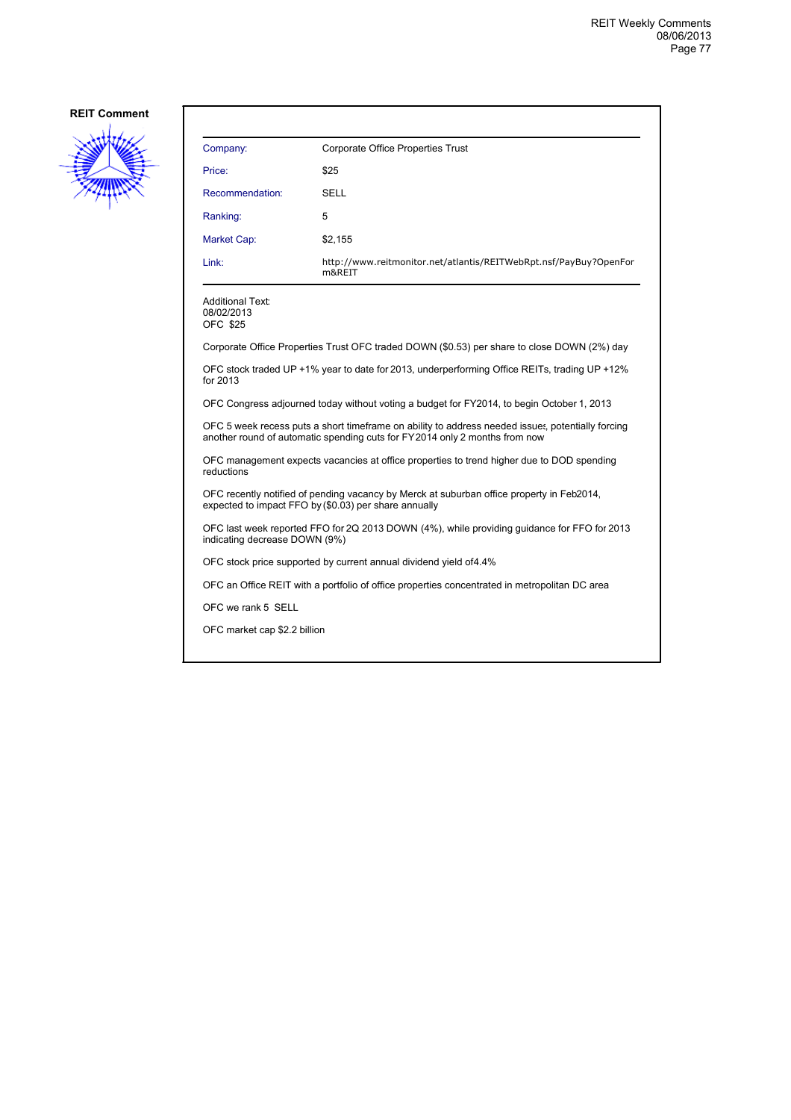

| Company:                                                                                                                                                                        | Corporate Office Properties Trust                                           |  |  |
|---------------------------------------------------------------------------------------------------------------------------------------------------------------------------------|-----------------------------------------------------------------------------|--|--|
| Price:                                                                                                                                                                          | \$25                                                                        |  |  |
| Recommendation:                                                                                                                                                                 | <b>SELL</b>                                                                 |  |  |
| Ranking:                                                                                                                                                                        | 5                                                                           |  |  |
| Market Cap:                                                                                                                                                                     | \$2,155                                                                     |  |  |
| Link:                                                                                                                                                                           | http://www.reitmonitor.net/atlantis/REITWebRpt.nsf/PayBuy?OpenFor<br>m&REIT |  |  |
| <b>Additional Text:</b><br>08/02/2013<br><b>OFC \$25</b>                                                                                                                        |                                                                             |  |  |
| Corporate Office Properties Trust OFC traded DOWN (\$0.53) per share to close DOWN (2%) day                                                                                     |                                                                             |  |  |
| OFC stock traded UP +1% year to date for 2013, underperforming Office REITs, trading UP +12%<br>for 2013                                                                        |                                                                             |  |  |
| OFC Congress adjourned today without voting a budget for FY2014, to begin October 1, 2013                                                                                       |                                                                             |  |  |
| OFC 5 week recess puts a short timeframe on ability to address needed issues, potentially forcing<br>another round of automatic spending cuts for FY2014 only 2 months from now |                                                                             |  |  |
| OFC management expects vacancies at office properties to trend higher due to DOD spending<br>reductions                                                                         |                                                                             |  |  |
| OFC recently notified of pending vacancy by Merck at suburban office property in Feb2014,<br>expected to impact FFO by (\$0.03) per share annually                              |                                                                             |  |  |
| OFC last week reported FFO for 2Q 2013 DOWN (4%), while providing guidance for FFO for 2013<br>indicating decrease DOWN (9%)                                                    |                                                                             |  |  |
| OFC stock price supported by current annual dividend yield of 4.4%                                                                                                              |                                                                             |  |  |
| OFC an Office REIT with a portfolio of office properties concentrated in metropolitan DC area                                                                                   |                                                                             |  |  |
| OFC we rank 5 SELL                                                                                                                                                              |                                                                             |  |  |
| OFC market cap \$2.2 billion                                                                                                                                                    |                                                                             |  |  |